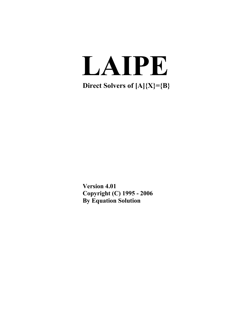# **LAIPE**

**Direct Solvers of [A]{X}={B}**

**Version 4.01 Copyright (C) 1995 - 2006 By Equation Solution**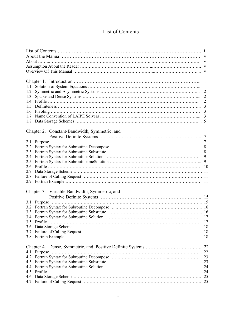# List of Contents

| 1.1 |                                               |    |
|-----|-----------------------------------------------|----|
| 1.2 |                                               |    |
|     |                                               |    |
| 1.3 |                                               |    |
| 1.4 |                                               |    |
| 15  |                                               |    |
| 1.6 |                                               |    |
| 17  |                                               |    |
| 1.8 |                                               |    |
|     |                                               |    |
|     | Chapter 2. Constant-Bandwidth, Symmetric, and |    |
|     |                                               |    |
| 2.1 |                                               |    |
| 2.2 |                                               |    |
| 2.3 |                                               |    |
| 2.4 |                                               |    |
| 2.5 |                                               |    |
| 2.6 |                                               |    |
| 2.7 |                                               |    |
| 2.8 |                                               |    |
| 2.9 |                                               |    |
|     |                                               |    |
|     | Chapter 3. Variable-Bandwidth, Symmetric, and |    |
|     |                                               |    |
|     |                                               |    |
|     |                                               |    |
| 3.2 |                                               |    |
| 3.3 |                                               |    |
| 3.4 |                                               |    |
|     |                                               |    |
|     |                                               | 18 |
| 3.7 |                                               | 18 |
| 3.8 |                                               | 18 |
|     |                                               |    |
|     |                                               | 22 |
|     |                                               |    |
| 4.2 |                                               | 23 |
| 4.3 |                                               |    |
| 4.4 |                                               | 24 |
| 4.5 |                                               | 24 |
| 4.6 |                                               | 25 |
| 4.7 |                                               | 25 |
|     |                                               |    |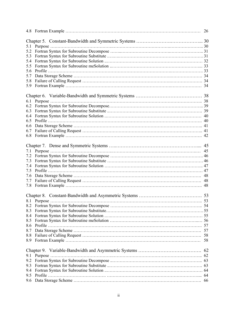|            |               | 26 |
|------------|---------------|----|
|            |               |    |
| 5.1        |               |    |
| 5.2        |               |    |
| 5.3        |               |    |
| 5.4        |               |    |
| 5.5        |               |    |
| 5.6        |               |    |
| 5.7        |               |    |
| 5.8        |               |    |
| 5.9        |               |    |
|            |               |    |
|            |               |    |
|            |               |    |
| 6.3        |               |    |
| 6.4        |               |    |
| 6.5        |               |    |
| 6.6        |               |    |
| 6.7        |               |    |
|            |               |    |
|            |               |    |
|            |               |    |
|            |               |    |
|            |               |    |
| 7.3        |               |    |
|            |               |    |
| 7.4<br>7.5 |               |    |
|            |               |    |
| 7.6        |               |    |
| 7.7        |               |    |
| 7.8        |               | 48 |
|            |               |    |
|            |               |    |
|            |               |    |
| 8.3        |               |    |
| 8.4        |               |    |
| 8.5        |               |    |
| 8.6        |               | 57 |
| 8.7        |               | 57 |
| 8.8        |               | 58 |
| 8.9        |               | 58 |
|            |               |    |
|            |               |    |
|            | $9.1$ Purpose |    |
| 9.2        |               |    |
| 9.3        |               |    |
| 9.4        |               |    |
| 9.5        |               | 64 |
| 9.6        |               | 66 |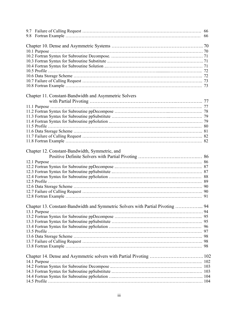|     |                                                                                | 66 |
|-----|--------------------------------------------------------------------------------|----|
| 9.8 |                                                                                | 66 |
|     |                                                                                |    |
|     |                                                                                |    |
|     |                                                                                |    |
|     |                                                                                |    |
|     |                                                                                |    |
|     |                                                                                |    |
|     |                                                                                |    |
|     |                                                                                |    |
|     |                                                                                |    |
|     |                                                                                |    |
|     | Chapter 11. Constant-Bandwidth and Asymmetric Solvers                          |    |
|     |                                                                                |    |
|     |                                                                                |    |
|     |                                                                                |    |
|     |                                                                                |    |
|     |                                                                                |    |
|     |                                                                                |    |
|     |                                                                                |    |
|     |                                                                                |    |
|     |                                                                                |    |
|     |                                                                                |    |
|     | Chapter 12. Constant-Bandwidth, Symmetric, and                                 |    |
|     |                                                                                |    |
|     |                                                                                |    |
|     |                                                                                |    |
|     |                                                                                |    |
|     |                                                                                |    |
|     |                                                                                |    |
|     |                                                                                |    |
|     |                                                                                |    |
|     |                                                                                |    |
|     |                                                                                |    |
|     | Chapter 13. Constant-Bandwidth and Symmetric Solvers with Partial Pivoting  94 |    |
|     |                                                                                |    |
|     |                                                                                |    |
|     |                                                                                |    |
|     |                                                                                |    |
|     |                                                                                |    |
|     |                                                                                |    |
|     |                                                                                |    |
|     |                                                                                |    |
|     |                                                                                |    |
|     |                                                                                |    |
|     |                                                                                |    |
|     |                                                                                |    |
|     |                                                                                |    |
|     |                                                                                |    |
|     |                                                                                |    |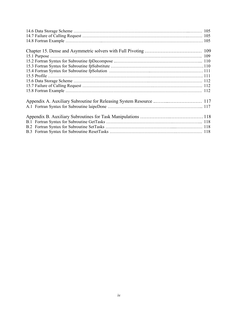| 109 million commute contract to the contract of the contract of the contract of the contract of the contract of the contract of the contract of the contract of the contract of the contract of the contract of the contract o |  |
|--------------------------------------------------------------------------------------------------------------------------------------------------------------------------------------------------------------------------------|--|
|                                                                                                                                                                                                                                |  |
|                                                                                                                                                                                                                                |  |
|                                                                                                                                                                                                                                |  |
|                                                                                                                                                                                                                                |  |
|                                                                                                                                                                                                                                |  |
|                                                                                                                                                                                                                                |  |
|                                                                                                                                                                                                                                |  |
|                                                                                                                                                                                                                                |  |
|                                                                                                                                                                                                                                |  |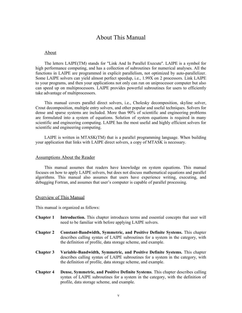# About This Manual

## About

The letters LAIPE(TM) stands for "Link And In Parallel Execute''. LAIPE is a symbol for high performance computing, and has a collection of subroutines for numerical analyses. All the functions in LAIPE are programmed in explicit parallelism, not optimized by auto-parallelizer. Some LAIPE solvers can yield almost perfect speedup, i.e., 1.99X on 2 processors. Link LAIPE to your programs, and then your applications not only can run on uniprocessor computer but also can speed up on multiprocessors. LAIPE provides powerful subroutines for users to efficiently take advantage of multiprocessors.

This manual covers parallel direct solvers, i.e., Cholesky decomposition, skyline solver, Crout decomposition, multiple entry solvers, and other popular and useful techniques. Solvers for dense and sparse systems are included. More than 90% of scientific and engineering problems are formulated into a system of equations. Solution of system equations is required in many scientific and engineering computing. LAIPE has the most useful and highly efficient solvers for scientific and engineering computing.

LAIPE is written in MTASK(TM) that is a parallel programming language. When building your application that links with LAIPE direct solvers, a copy of MTASK is necessary.

## Assumptions About the Reader

This manual assumes that readers have knowledge on system equations. This manual focuses on how to apply LAIPE solvers, but does not discuss mathematical equations and parallel algorithms. This manual also assumes that users have experience writing, executing, and debugging Fortran, and assumes that user's computer is capable of parallel processing.

#### Overview of This Manual

This manual is organized as follows:

- **Chapter 1 Introduction.** This chapter introduces terms and essential concepts that user will need to be familiar with before applying LAIPE solvers.
- **Chapter 2 Constant-Bandwidth, Symmetric, and Positive Definite Systems.** This chapter describes calling syntax of LAIPE subroutines for a system in the category, with the definition of profile, data storage scheme, and example.
- **Chapter 3 Variable-Bandwidth, Symmetric, and Positive Definite Systems.** This chapter describes calling syntax of LAIPE subroutines for a system in the category, with the definition of profile, data storage scheme, and example.
- **Chapter 4 Dense, Symmetric, and Positive Definite Systems**. This chapter describes calling syntax of LAIPE subroutines for a system in the category, with the definition of profile, data storage scheme, and example.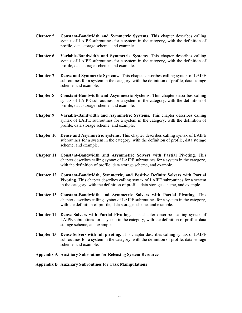- **Chapter 5 Constant-Bandwidth and Symmetric Systems**. This chapter describes calling syntax of LAIPE subroutines for a system in the category, with the definition of profile, data storage scheme, and example.
- **Chapter 6 Variable-Bandwidth and Symmetric Systems**. This chapter describes calling syntax of LAIPE subroutines for a system in the category, with the definition of profile, data storage scheme, and example.
- **Chapter 7 Dense and Symmetric Systems.** This chapter describes calling syntax of LAIPE subroutines for a system in the category, with the definition of profile, data storage scheme, and example.
- **Chapter 8 Constant-Bandwidth and Asymmetric Systems.** This chapter describes calling syntax of LAIPE subroutines for a system in the category, with the definition of profile, data storage scheme, and example.
- **Chapter 9 Variable-Bandwidth and Asymmetric Systems.** This chapter describes calling syntax of LAIPE subroutines for a system in the category, with the definition of profile, data storage scheme, and example.
- **Chapter 10 Dense and Asymmetric systems.** This chapter describes calling syntax of LAIPE subroutines for a system in the category, with the definition of profile, data storage scheme, and example.
- **Chapter 11 Constant-Bandwidth and Asymmetric Solvers with Partial Pivoting.** This chapter describes calling syntax of LAIPE subroutines for a system in the category, with the definition of profile, data storage scheme, and example.
- **Chapter 12 Constant-Bandwidth, Symmetric, and Positive Definite Solvers with Partial Pivoting.** This chapter describes calling syntax of LAIPE subroutines for a system in the category, with the definition of profile, data storage scheme, and example.
- **Chapter 13 Constant-Bandwidth and Symmetric Solvers with Partial Pivoting.** This chapter describes calling syntax of LAIPE subroutines for a system in the category, with the definition of profile, data storage scheme, and example.
- **Chapter 14 Dense Solvers with Partial Pivoting.** This chapter describes calling syntax of LAIPE subroutines for a system in the category, with the definition of profile, data storage scheme, and example.
- **Chapter 15 Dense Solvers with full pivoting.** This chapter describes calling syntax of LAIPE subroutines for a system in the category, with the definition of profile, data storage scheme, and example.
- **Appendix A Auxiliary Subroutine for Releasing System Resource**
- **Appendix B Auxiliary Subroutines for Task Manipulations**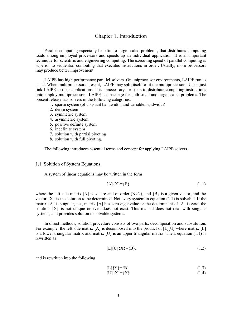# Chapter 1. Introduction

Parallel computing especially benefits to large-scaled problems, that distributes computing loads among employed processors and speeds up an individual application. It is an important technique for scientific and engineering computing. The executing speed of parallel computing is superior to sequential computing that executes instructions in order. Usually, more processors may produce better improvement.

LAIPE has high performance parallel solvers. On uniprocessor environments, LAIPE run as usual. When multiprocessors present, LAIPE may split itself to fit the multiprocessors. Users just link LAIPE to their applications. It is unnecessary for users to distribute computing instructions onto employ multiprocessors. LAIPE is a package for both small and large-scaled problems. The present release has solvers in the following categories:

- 1. sparse system (of constant bandwidth, and variable bandwidth)
- 2. dense system
- 3. symmetric system
- 4. asymmetric system
- 5. positive definite system
- 6. indefinite system
- 7. solution with partial pivoting
- 8. solution with full pivoting.

The following introduces essential terms and concept for applying LAIPE solvers.

#### 1.1 Solution of System Equations

A system of linear equations may be written in the form

$$
[A]\{X\}=\{B\}\tag{1.1}
$$

where the left side matrix [A] is square and of order (NxN), and  ${B}$  is a given vector, and the vector  ${X}$  is the solution to be determined. Not every system in equation (1.1) is solvable. If the matrix  $[A]$  is singular, i.e., matrix  $[A]$  has zero eigenvalue or the determinant of  $[A]$  is zero, the solution  ${X}$  is not unique or even does not exist. This manual does not deal with singular systems, and provides solution to solvable systems.

In direct methods, solution procedure consists of two parts, decomposition and substitution. For example, the left side matrix [A] is decomposed into the product of [L][U] where matrix [L] is a lower triangular matrix and matrix  $[U]$  is an upper triangular matrix. Then, equation (1.1) is rewritten as

$$
[L][U]{X} = {B}, \t(1.2)
$$

and is rewritten into the following

$$
[L]{Y} = {B} \tag{1.3}
$$
  

$$
[U]{X} = {Y} \tag{1.4}
$$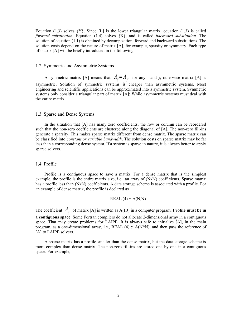Equation (1.3) solves  ${Y}$ . Since [L] is the lower triangular matrix, equation (1.3) is called *forward substitution*. Equation (1.4) solves {X}, and is called *backward substitution*. The solution of equation (1.1) is obtained by decomposition, forward and backward substitutions. The solution costs depend on the nature of matrix [A], for example, sparsity or symmetry. Each type of matrix [A] will be briefly introduced in the following.

#### 1.2 Symmetric and Asymmetric Systems

A symmetric matrix [A] means that  $A_{ij} = A_{ji}$  for any i and j; otherwise matrix [A] is asymmetric. Solution of symmetric systems is cheaper than asymmetric systems. Most engineering and scientific applications can be approximated into a symmetric system. Symmetric systems only consider a triangular part of matrix [A]; While asymmetric systems must deal with the entire matrix.

#### 1.3 Sparse and Dense Systems

In the situation that [A] has many zero coefficients, the row or column can be reordered such that the non-zero coefficients are clustered along the diagonal of [A]. The non-zero fill-ins generate a sparsity. This makes sparse matrix different from dense matrix. The sparse matrix can be classified into *constant or variable bandwidth*. The solution costs on sparse matrix may be far less than a corresponding dense system. If a system is sparse in nature, it is always better to apply sparse solvers.

#### 1.4 Profile

Profile is a contiguous space to save a matrix. For a dense matrix that is the simplest example, the profile is the entire matrix size, i.e., an array of (NxN) coefficients. Sparse matrix has a profile less than (NxN) coefficients. A data storage scheme is associated with a profile. For an example of dense matrix, the profile is declared as

$$
REAL(4) :: A(N,N)
$$

The coefficient  $A_{ij}$  of matrix [A] is written as A(I,J) in a computer program. **Profile must be in a contiguous space**. Some Fortran compilers do not allocate 2-dimensional array in a contiguous space. That may create problems for LAIPE. It is always safe to initialize [A], in the main program, as a one-dimensional array, i.e.,  $REAL$  (4)  $\therefore$  A(N\*N), and then pass the reference of [A] to LAIPE solvers.

A sparse matrix has a profile smaller than the dense matrix, but the data storage scheme is more complex than dense matrix. The non-zero fill-ins are stored one by one in a contiguous space. For example,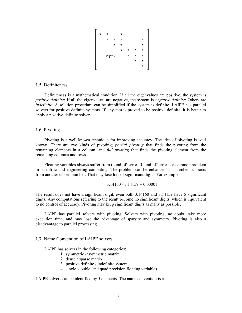

# 1.5 Definiteness

Definiteness is a mathematical condition. If all the eigenvalues are positive, the system is *positive definite*; If all the eigenvalues are negative, the system is *negative definite*; Others are *indefinite*. A solution procedure can be simplified if the system is definite. LAIPE has parallel solvers for positive definite systems. If a system is proved to be positive definite, it is better to apply a positive-definite solver.

#### 1.6 Pivoting

Pivoting is a well known technique for improving accuracy. The idea of pivoting is well known. There are two kinds of pivoting; *partial pivoting* that finds the pivoting from the remaining elements in a column, and *full pivoting* that finds the pivoting element from the remaining columns and rows.

Floating variables always suffer from round-off error. Round-off error is a common problem in scientific and engineering computing. The problem can be enhanced if a number subtracts from another closed number. That may lose lots of significant digits. For example,

$$
3.14160 - 3.14159 = 0.00001
$$

The result does not have a significant digit, even both 3.14160 and 3.14159 have 5 significant digits. Any computations referring to the result become no significant digits, which is equivalent to no control of accuracy. Pivoting may keep significant digits as many as possible.

LAIPE has parallel solvers with pivoting. Solvers with pivoting, no doubt, take more execution time, and may lose the advantage of sparsity and symmetry. Pivoting is also a disadvantage to parallel processing.

#### 1.7 Name Convention of LAIPE solvers

LAIPE has solvers in the following categories:

- 1. symmetric /asymmetric matrix
- 2. dense / sparse matrix
- 3. positive definite / indefinite system
- 4. single, double, and quad precision floating variables

LAIPE solvers can be identified by 5 elements. The name convention is as: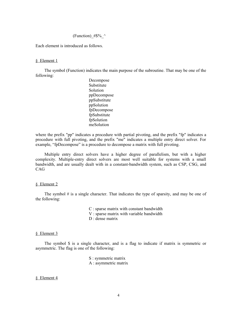# (Function) # $\frac{8}{6}$  ^

Each element is introduced as follows.

#### § Element 1

The symbol (Function) indicates the main purpose of the subroutine. That may be one of the following:

> Decompose Substitute Solution ppDecompose ppSubstitute ppSolution fpDecompose fpSubstitute fpSolution meSolution

where the prefix "pp" indicates a procedure with partial pivoting, and the prefix "fp" indicates a procedure with full pivoting, and the prefix "me" indicates a multiple entry direct solver. For example, "fpDecompose" is a procedure to decompose a matrix with full pivoting.

Multiple entry direct solvers have a higher degree of parallelism, but with a higher complexity. Multiple-entry direct solvers are most well suitable for systems with a small bandwidth, and are usually dealt with in a constant-bandwidth system, such as CSP, CSG, and CAG

#### § Element 2

The symbol  $\#$  is a single character. That indicates the type of sparsity, and may be one of the following:

C : sparse matrix with constant bandwidth

- V : sparse matrix with variable bandwidth
- D : dense matrix

#### § Element 3

The symbol \$ is a single character, and is a flag to indicate if matrix is symmetric or asymmetric. The flag is one of the following:

> S : symmetric matrix A : asymmetric matrix

# § Element 4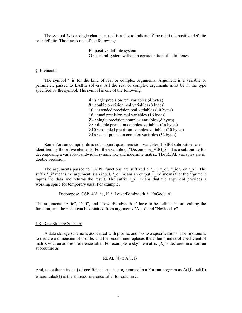The symbol % is a single character, and is a flag to indicate if the matrix is positive definite or indefinite. The flag is one of the following:

> P : positive definite system G : general system without a consideration of definiteness

#### § Element 5

The symbol  $\wedge$  is for the kind of real or complex arguments. Argument is a variable or parameter, passed to LAIPE solvers. All the real or complex arguments must be in the type specified by the symbol. The symbol is one of the following:

> 4 : single precision real variables (4 bytes) 8 : double precision real variables (8 bytes) 10 : extended precision real variables (10 bytes) 16 : quad precision real variables (16 bytes) Z4 : single precision complex variables (8 bytes) Z8 : double precision complex variables (16 bytes) Z10 : extended precision complex variables (10 bytes) Z16 : quad precision complex variables (32 bytes)

Some Fortran compiler does not support quad precision variables. LAIPE subroutines are identified by those five elements. For the example of "Decompose\_VSG\_8", it is a subroutine for decomposing a variable-bandwidth, symmetric, and indefinite matrix. The REAL variables are in double precision.

The arguments passed to LAIPE functions are suffixed a " $_i$ ", " $_0$ ", " $_i$ ", o", or " $_x$ ". The suffix " $i'$  i" means the argument is an input. " $o'$  means an output. " $i'o''$  means that the argument inputs the data and returns the result. The suffix "\_x" means that the argument provides a working space for temporary uses. For example,

Decompose CSP 4(A\_io, N\_i, LowerBandwidth\_i, NoGood\_o)

The arguments "A\_io", "N\_i", and "LowerBandwidth\_i" have to be defined before calling the function, and the result can be obtained from arguments "A\_io" and "NoGood\_o".

#### 1.8 Data Storage Schemes

A data storage scheme is associated with profile, and has two specifications. The first one is to declare a dimension of profile, and the second one replaces the column index of coefficient of matrix with an address reference label. For example, a skyline matrix [A] is declared in a Fortran subroutine as

$$
REAL(4) :: A(1,1)
$$

And, the column index j of coefficient  $A_{ij}$  is programmed in a Fortran program as A(I,Label(J)) where Label(J) is the address reference label for column J.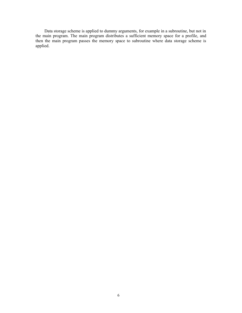Data storage scheme is applied to dummy arguments, for example in a subroutine, but not in the main program. The main program distributes a sufficient memory space for a profile, and then the main program passes the memory space to subroutine where data storage scheme is applied.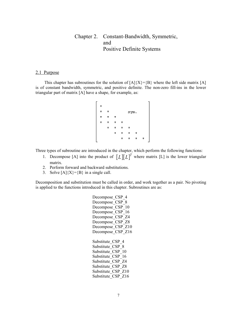# Chapter 2. Constant-Bandwidth, Symmetric, and Positive Definite Systems

# 2.1 Purpose

This chapter has subroutines for the solution of  $[A]{X}=\{B\}$  where the left side matrix [A] is of constant bandwidth, symmetric, and positive definite. The non-zero fill-ins in the lower triangular part of matrix [A] have a shape, for example, as:

Three types of subroutine are introduced in the chapter, which perform the following functions:

- 1. Decompose [A] into the product of  $[L][L]^T$  where matrix [L] is the lower triangular matrix.
- 2. Perform forward and backward substitutions.
- 3. Solve  $[A]\{X\}=\{B\}$  in a single call.

Decomposition and substitution must be called in order, and work together as a pair. No pivoting is applied to the functions introduced in this chapter. Subroutines are as:

> Decompose CSP 4 Decompose CSP 8 Decompose\_CSP\_10 Decompose CSP 16 Decompose CSP Z4 Decompose CSP Z8 Decompose CSP Z10 Decompose CSP Z16 Substitute CSP 4 Substitute CSP 8 Substitute CSP 10 Substitute CSP 16 Substitute CSP\_Z4 Substitute CSP Z8 Substitute CSP Z10 Substitute CSP Z16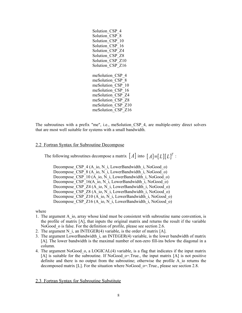The subroutines with a prefix "me", i.e., meSolution CSP 4, are multiple-entry direct solvers that are most well suitable for systems with a small bandwidth.

# 2.2 Fortran Syntax for Subroutine Decompose

The following subroutines decompose a matrix  $[A]$  into  $[A] = [L][L]^T$ :

Decompose\_CSP\_4 (A\_io, N\_i, LowerBandwidth\_i, NoGood\_o) Decompose  $CSP^{-8}$  (A\_io, N\_i, LowerBandwidth\_i, NoGood\_o) Decompose CSP\_10 (A\_io, N\_i, LowerBandwidth\_i, NoGood\_o) Decompose\_CSP\_16(A\_io, N\_i, LowerBandwidth  $\overline{i}$ , NoGood $\overline{o}$ ) Decompose CSP Z4 (A\_io, N\_i, LowerBandwidth\_i, NoGood\_o) Decompose CSP Z8 (A\_io, N\_i, LowerBandwidth\_i, NoGood\_o) Decompose CSP\_Z10 (A\_io, N\_i, LowerBandwidth\_i, NoGood\_o) Decompose CSP Z16 (A\_io, N\_i, LowerBandwidth\_i, NoGood\_o)

#### where

- 1. The argument A io, array whose kind must be consistent with subroutine name convention, is the profile of matrix [A], that inputs the original matrix and returns the result if the variable NoGood o is false. For the definition of profile, please see section 2.6.
- 2. The argument N i, an INTEGER(4) variable, is the order of matrix  $[A]$ .
- 3. The argument LowerBandwidth\_i, an INTEGER(4) variable, is the lower bandwidth of matrix [A]. The lower bandwidth is the maximal number of non-zero fill-ins below the diagonal in a column.
- 4. The argument NoGood\_o, a LOGICAL(4) variable, is a flag that indicates if the input matrix  $[A]$  is suitable for the subroutine. If NoGood o=.True., the input matrix  $[A]$  is not positive definite and there is no output from the subroutine; otherwise the profile A\_io returns the decomposed matrix [L]. For the situation where NoGood  $o=$ . True., please see section 2.8.

# 2.3 Fortran Syntax for Subroutine Substitute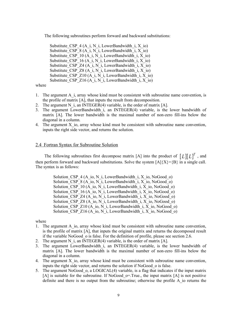The following subroutines perform forward and backward substitutions:

Substitute CSP  $4(A_i, N_i)$ , LowerBandwidth i, X io) Substitute CSP  $8(A_i, N_i)$ , LowerBandwidth i, X io) Substitute CSP 10 (A\_i, N\_i, LowerBandwidth\_i, X\_io) Substitute\_CSP\_16 (A\_i, N\_i, LowerBandwidth\_i, X\_io) Substitute CSP  $Z4$  (A i, N i, LowerBandwidth i, X io) Substitute CSP  $Z8$  (A i, N i, LowerBandwidth i, X io) Substitute CSP  $Z10$  (A i, N i, LowerBandwidth i, X io) Substitute CSP  $Z16$  (A i, N i, LowerBandwidth i, X io)

#### where

- 1. The argument A i, array whose kind must be consistent with subroutine name convention, is the profile of matrix [A], that inputs the result from decomposition.
- 2. The argument N i, an INTEGER $(4)$  variable, is the order of matrix [A].
- 3. The argument LowerBandwidth\_i, an INTEGER(4) variable, is the lower bandwidth of matrix [A]. The lower bandwidth is the maximal number of non-zero fill-ins below the diagonal in a column.
- 4. The argument  $X$  io, array whose kind must be consistent with subroutine name convention, inputs the right side vector, and returns the solution.

#### 2.4 Fortran Syntax for Subroutine Solution

The following subroutines first decompose matrix [A] into the product of  $[L][L]^T$ , and then perform forward and backward substitutions. Solve the system  $[A]\{X\}=\{B\}$  in a single call. The syntax is as follows:

> Solution CSP  $4(A_i, N_i)$ , LowerBandwidth i, X io, NoGood o) Solution CSP  $8(A_i, N_i)$ , LowerBandwidth i, X io, NoGood o) Solution CSP 10 (A\_io, N\_i, LowerBandwidth\_i, X\_io, NoGood\_o) Solution CSP 16 (A\_io, N\_i, LowerBandwidth\_i, X\_io, NoGood\_o) Solution CSP  $Z4$  (A\_io, N\_i, LowerBandwidth\_i, X\_io, NoGood\_o) Solution CSP  $Z8$  (A\_io, N\_i, LowerBandwidth i, X\_io, NoGood\_o) Solution CSP\_Z10 (A\_io, N\_i, LowerBandwidth\_i, X\_io, NoGood\_o) Solution CSP  $Z16$  (A\_io, N\_i, LowerBandwidth\_i, X\_io, NoGood\_o)

#### where

- 1. The argument A\_io, array whose kind must be consistent with subroutine name convention, is the profile of matrix [A], that inputs the original matrix and returns the decomposed result if the variable NoGood o is false. For the definition of profile, please see section 2.6.
- 2. The argument N i, an INTEGER $(4)$  variable, is the order of matrix [A].
- 3. The argument LowerBandwidth i, an INTEGER(4) variable, is the lower bandwidth of matrix [A]. The lower bandwidth is the maximal number of non-zero fill-ins below the diagonal in a column.
- 4. The argument  $X$  io, array whose kind must be consistent with subroutine name convention, inputs the right side vector, and returns the solution if NoGood\_o is false.
- 5. The argument NoGood\_o, a LOGICAL(4) variable, is a flag that indicates if the input matrix  $[A]$  is suitable for the subroutine. If NoGood  $o=$ . True., the input matrix  $[A]$  is not positive definite and there is no output from the subroutine; otherwise the profile A\_io returns the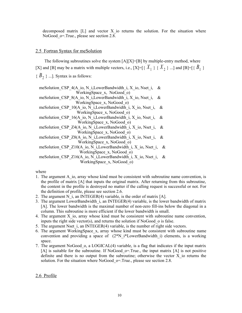decomposed matrix  $[L]$  and vector X io returns the solution. For the situation where NoGood o=.True., please see section 2.8.

# 2.5 Fortran Syntax for meSolution

The following subroutines solve the system  $[A][X]=[B]$  by multiple-entry method, where [X] and [B] may be a matrix with multiple vectors, i.e., [X]=[{ $X_1$ } { $X_2$ } ...] and [B]=[{ $B_1$ }  ${B_2}$  ...]. Syntax is as follows:

meSolution CSP 4(A\_io, N\_i,LowerBandwidth\_i, X\_io, Nset\_i, & WorkingSpace x, NoGood o) meSolution CSP 8(A\_io, N\_i,LowerBandwidth\_i, X\_io, Nset\_i, & WorkingSpace\_x, NoGood\_o) meSolution CSP\_10(A\_io, N\_i,LowerBandwidth\_i, X\_io, Nset\_i, & WorkingSpace x, NoGood o) meSolution CSP\_16(A\_io, N\_i,LowerBandwidth\_i, X\_io, Nset\_i, & WorkingSpace\_x, NoGood\_o) meSolution\_CSP\_Z4(A\_io, N\_i,LowerBandwidth\_i, X\_io, Nset\_i, & WorkingSpace\_x, NoGood\_o) meSolution CSP\_Z8(A\_io, N\_i,LowerBandwidth\_i, X\_io, Nset\_i, & WorkingSpace\_x, NoGood\_o) meSolution CSP\_Z10(A\_io, N\_i,LowerBandwidth\_i, X\_io, Nset\_i, & WorkingSpace\_x, NoGood\_o) meSolution\_CSP\_Z16(A\_io, N\_i,LowerBandwidth\_i, X\_io, Nset\_i, & WorkingSpace x, NoGood o)

where

- 1. The argument A\_io, array whose kind must be consistent with subroutine name convention, is the profile of matrix [A] that inputs the original matrix. After returning from this subroutine, the content in the profile is destroyed no matter if the calling request is successful or not. For the definition of profile, please see section 2.6.
- 2. The argument N i, an INTEGER(4) variable, is the order of matrix  $[A]$ .
- 3. The argument LowerBandwidth\_i, an INTEGER(4) variable, is the lower bandwidth of matrix [A]. The lower bandwidth is the maximal number of non-zero fill-ins below the diagonal in a column. This subroutine is more efficient if the lower bandwidth is small.
- 4. The argument X\_io, array whose kind must be consistent with subroutine name convention, inputs the right side vector(s), and returns the solution if NoGood\_o is false.
- 5. The argument Nset i, an INTEGER $(4)$  variable, is the number of right side vectors.
- 6. The argument WorkingSpace\_x, array whose kind must be consistent with subroutine name convention and providing a space of  $(2^*N_i)^*$ LowerBandwidth i) elements, is a working space.
- 7. The argument NoGood\_o, a LOGICAL(4) variable, is a flag that indicates if the input matrix [A] is suitable for the subroutine. If NoGood  $o=$ . True., the input matrix [A] is not positive definite and there is no output from the subroutine; otherwise the vector X\_io returns the solution. For the situation where NoGood  $o=$ . True., please see section 2.8.

# 2.6 Profile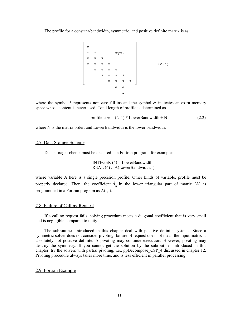The profile for a constant-bandwidth, symmetric, and positive definite matrix is as:



where the symbol  $*$  represents non-zero fill-ins and the symbol  $*$  indicates an extra memory space whose content is never used. Total length of profile is determined as

$$
profile size = (N-1) * LowerBandwidth + N
$$
 (2.2)

where N is the matrix order, and LowerBandwidth is the lower bandwidth.

# 2.7 Data Storage Scheme

Data storage scheme must be declared in a Fortran program, for example:

INTEGER (4) :: LowerBandwidth REAL (4) :: A(LowerBandwidth, 1)

where variable A here is a single precision profile. Other kinds of variable, profile must be properly declared. Then, the coefficient  $A_{ij}$  in the lower triangular part of matrix [A] is programmed in a Fortran program as A(I,J).

# 2.8 Failure of Calling Request

If a calling request fails, solving procedure meets a diagonal coefficient that is very small and is negligible compared to unity.

The subroutines introduced in this chapter deal with positive definite systems. Since a symmetric solver does not consider pivoting, failure of request does not mean the input matrix is absolutely not positive definite. A pivoting may continue execution. However, pivoting may destroy the symmetry. If you cannot get the solution by the subroutines introduced in this chapter, try the solvers with partial pivoting, i.e., ppDecompose\_CSP\_4 discussed in chapter 12. Pivoting procedure always takes more time, and is less efficient in parallel processing.

# 2.9 Fortran Example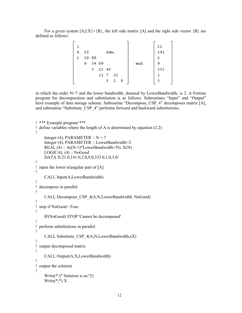For a given system  $[A](X) = {B}$ , the left side matrix  $[A]$  and the right side vector  ${B}$  are defined as follows:

|   |    |       |       |       |     |    |     | 21  |
|---|----|-------|-------|-------|-----|----|-----|-----|
| 4 | 25 |       |       | sym.  |     |    |     | 141 |
| 2 |    | 29 88 |       |       |     |    |     | -2  |
|   | 9  |       | 34 89 |       |     |    | and | 9   |
|   |    | з     |       | 23 45 |     |    |     | 333 |
|   |    |       | 11    | -7    | -22 |    |     |     |
|   |    |       |       | з     | 2   | -9 |     | з   |
|   |    |       |       |       |     |    |     |     |

in which the order N=7 and the lower bandwidth, denoted by LowerBandwidth, is 2. A Fortran program for decomposition and substitution is as follows. Subroutines "Input" and "Output" have example of data storage scheme. Subroutine "Decompose CSP 4" decomposes matrix [A], and subroutine "Substitute\_CSP\_4" performs forward and backward substitutions.

```
! *** Example program ***
! define variables where the length of A is determined by equation (2.2)
!
    Integer (4), PARAMETER :: N = 7 Integer (4), PARAMETER :: LowerBandwidth=2
    REAL (4) :: A((N-1)*LowerBandwidth+N), X(N) LOGICAL (4) :: NoGood
     DATA X/21.0,141.0,2.0,9.0,333.0,1.0,3.0/
!
! input the lower triangular part of [A]
!
     CALL Input(A,LowerBandwidth)
!
! decompose in parallel
!
     CALL Decompose_CSP_4(A,N,LowerBandwidth, NoGood)
!
! stop if NoGood=.True.
!
     IF(NoGood) STOP 'Cannot be decomposed'
!
! perform substitutions in parallel
!
    CALL Substitute CSP 4(A,N,LowerBandwidth,sX)
!
! output decomposed matrix
!
     CALL Output(A,N,LowerBandwidth)
!
! output the solution
!
     Write(*,'('' Solution is as:'')')
    Write(*,*) X
```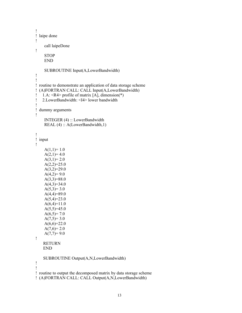```
!
! laipe done
!
     call laipeDone
!
     STOP
     END
     SUBROUTINE Input(A,LowerBandwidth)
!
!
! routine to demonstrate an application of data storage scheme
! (A)FORTRAN CALL: CALL Input(A,LowerBandwidth)
! 1.A: <R4> profile of matrix [A], dimension(*)
! 2.LowerBandwidth: <I4> lower bandwidth
!
! dummy arguments
!
     INTEGER (4) :: LowerBandwidth
    REAL (4) :: A(LowerBandwidth,1)
!
! input
!
    A(1,1)=1.0A(2,1)=4.0A(3,1)=2.0A(2,2)=25.0A(3,2)=29.0A(4,2)=9.0A(3,3)=88.0A(4,3)=34.0A(5,3)=3.0A(4,4)=89.0A(5,4)=23.0A(6,4)=11.0A(5,5)=45.0A(6,5)=7.0A(7,5)=3.0A(6,6)=22.0A(7,6)=2.0A(7,7)=9.0!
    RETURN
    END
    SUBROUTINE Output(A,N,LowerBandwidth)
!
!
! routine to output the decomposed matrix by data storage scheme
! (A)FORTRAN CALL: CALL Output(A,N,LowerBandwidth)
```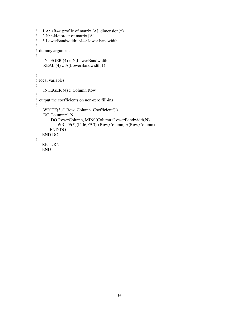```
! 1.A: <R4> profile of matrix [A], dimension(*)
! 2.N: \leqI4> order of matrix [A]
! 3.LowerBandwidth: <I4> lower bandwidth
!
! dummy arguments
!
     INTEGER (4) :: N,LowerBandwidth
    REAL (4) :: A(LowerBandwidth, 1)
!
! local variables
!
     INTEGER (4) :: Column,Row
!
! output the coefficients on non-zero fill-ins
!
    WRITE(*,'('' Row Column Coefficient'')')
     DO Column=1,N
         DO Row=Column, MIN0(Column+LowerBandwidth,N)
            WRITE(*,'(I4,I6,F9.3)') Row,Column, A(Row,Column)
        END DO
    END DO
!
    RETURN
    END
```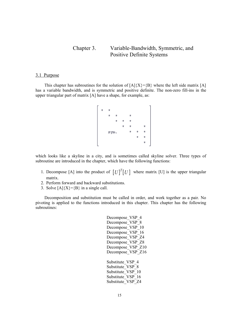# Chapter 3. Variable-Bandwidth, Symmetric, and Positive Definite Systems

# 3.1 Purpose

This chapter has subroutines for the solution of  $[A]{X}=\{B\}$  where the left side matrix [A] has a variable bandwidth, and is symmetric and positive definite. The non-zero fill-ins in the upper triangular part of matrix [A] have a shape, for example, as:

$$
\begin{bmatrix}\n \star & \star & & \star & \star & \star \\
 \star & \star & \star & \star & \star \\
 & \star & \star & \star & \star \\
 & \text{sym.} & & \star & \star & \star \\
 & & & \star & \star & \star \\
 & & & & \star & \star \\
 & & & & & \star\n \end{bmatrix}
$$

which looks like a skyline in a city, and is sometimes called skyline solver. Three types of subroutine are introduced in the chapter, which have the following functions:

- 1. Decompose [A] into the product of  $[U]^{T}[U]$  where matrix [U] is the upper triangular matrix.
- 2. Perform forward and backward substitutions.
- 3. Solve  $[A]\{X\}=\{B\}$  in a single call.

Decomposition and substitution must be called in order, and work together as a pair. No pivoting is applied to the functions introduced in this chapter. This chapter has the following subroutines:

| VSP<br>Decompose<br>4         |
|-------------------------------|
| VSP<br>8<br>Decompose         |
| VSP<br>Decompose<br>10        |
| VSP<br>16<br>Decompose        |
| VSP<br>74<br>Decompose        |
| VSP<br>Decompose<br>78        |
| VSP<br>Z10<br>Decompose       |
| VSP<br>Decompose<br>Z16       |
|                               |
| <b>VSP</b><br>Substitute<br>4 |
| Substitute<br>VSP<br>8        |
| Substitute<br>VSP<br>10       |
| VSP<br>Substitute<br>16       |
| Substitute<br>VSP             |
|                               |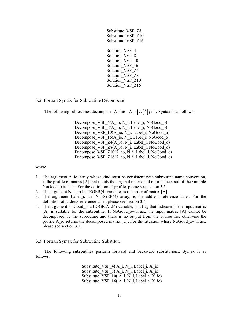| Substitute VSP<br>78<br>Substitute VSP<br>Z10<br>Substitute VSP<br>Z16 |
|------------------------------------------------------------------------|
| Solution VSP<br>4                                                      |
| Solution VSP<br>8<br>Solution VSP<br>10                                |
| Solution VSP<br>16                                                     |
| Solution VSP<br>74<br>Solution<br>VSP<br>78                            |
| Solution<br>VSP<br>Z <sub>10</sub>                                     |
| Solution<br>VSP<br>Z16                                                 |

# 3.2 Fortran Syntax for Subroutine Decompose

The following subroutines decompose [A] into  $[A] = [U]^T [U]$ . Syntax is as follows:

Decompose VSP 4(A\_io, N\_i, Label\_i, NoGood\_o) Decompose VSP 8(A\_io, N\_i, Label\_i, NoGood\_o) Decompose VSP\_10(A\_io, N\_i, Label\_i, NoGood\_o) Decompose VSP 16(A\_io, N\_i, Label\_i, NoGood\_o) Decompose VSP Z4(A\_io, N\_i, Label\_i, NoGood\_o) Decompose VSP Z8(A\_io, N\_i, Label\_i, NoGood\_o) Decompose VSP  $Z10(A$  io, N i, Label i, NoGood o) Decompose VSP Z16(A io, N i, Label i, NoGood o)

where

- 1. The argument A\_io, array whose kind must be consistent with subroutine name convention, is the profile of matrix [A] that inputs the original matrix and returns the result if the variable NoGood o is false. For the definition of profile, please see section 3.5.
- 2. The argument N i, an INTEGER(4) variable, is the order of matrix [A].
- 3. The argument Label\_i, an INTEGER(4) array, is the address reference label. For the definition of address reference label, please see section 3.6.
- 4. The argument NoGood o, a LOGICAL(4) variable, is a flag that indicates if the input matrix  $[A]$  is suitable for the subroutine. If NoGood  $o$ =.True., the input matrix  $[A]$  cannot be decomposed by the subroutine and there is no output from the subroutine; otherwise the profile A io returns the decomposed matrix [U]. For the situation where NoGood  $o=$ .True., please see section 3.7.

#### 3.3 Fortran Syntax for Subroutine Substitute

The following subroutines perform forward and backward substitutions. Syntax is as follows:

> Substitute VSP  $4(A_i, N_i)$ , Label i, X io) Substitute\_VSP\_8( A\_i, N\_i, Label\_i, X\_io) Substitute VSP  $10(A_i, N_i)$ , Label i, X io) Substitute VSP  $16(A_i, N_i)$ , Label i, X io)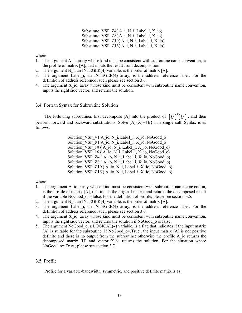Substitute VSP  $Z4(A_i, N_i)$ , Label i, X io) Substitute VSP  $Z8(A_i, N_i)$ , Label i, X io) Substitute VSP  $Z10(A_i, N_i)$ , Label i, X io) Substitute VSP  $Z16(A_i, N_i, \text{Label } i, X_i)$ 

where

- 1. The argument A i<sub>1</sub>, array whose kind must be consistent with subroutine name convention, is the profile of matrix [A], that inputs the result from decomposition.
- 2. The argument N i, an INTEGER $(4)$  variable, is the order of matrix [A].
- 3. The argument Label\_i, an INTEGER(4) array, is the address reference label. For the definition of address reference label, please see section 3.6.
- 4. The argument  $X$  io, array whose kind must be consistent with subroutine name convention, inputs the right side vector, and returns the solution.

# 3.4 Fortran Syntax for Subroutine Solution

The following subroutines first decompose [A] into the product of  $[U]^T [U]$  , and then perform forward and backward substitutions. Solve  $[A]\{X\}=\{B\}$  in a single call. Syntax is as follows:

> Solution VSP  $4 (A_i, N_i)$ , Label i, X io, NoGood o) Solution VSP  $8(A_i, N_i)$ , Label i, X io, NoGood o) Solution VSP  $10 (A_i, N_i)$ , Label i, X io, NoGood o) Solution  $VSP^{-16}$  ( A<sup>-</sup>io, N<sup>-</sup>i, Label<sup>-</sup>i, X<sup>-</sup>io, NoGood<sup>-o)</sup> Solution VSP  $Z4$  (A\_io, N\_i, Label i, X\_io, NoGood\_o) Solution VSP  $Z8$  (A io, N i, Label i, X io, NoGood o) Solution VSP  $Z10$  (A io, N i, Label i, X io, NoGood o) Solution\_VSP\_Z16 ( $\overline{A}$  io, N\_i, Label\_i, X\_io, NoGood\_o)

where

- 1. The argument A\_io, array whose kind must be consistent with subroutine name convention, is the profile of matrix [A], that inputs the original matrix and returns the decomposed result if the variable NoGood o is false. For the definition of profile, please see section 3.5.
- 2. The argument N i, an INTEGER(4) variable, is the order of matrix  $[A]$ .
- 3. The argument Label i, an INTEGER(4) array, is the address reference label. For the definition of address reference label, please see section 3.6.
- 4. The argument  $X$  io, array whose kind must be consistent with subroutine name convention, inputs the right side vector, and returns the solution if NoGood\_o is false.
- 5. The argument NoGood\_o, a LOGICAL(4) variable, is a flag that indicates if the input matrix  $[A]$  is suitable for the subroutine. If NoGood  $o=$ . True., the input matrix  $[A]$  is not positive definite and there is no output from the subroutine; otherwise the profile A\_io returns the decomposed matrix [U] and vector X\_io returns the solution. For the situation where NoGood o=.True., please see section 3.7.

# 3.5 Profile

Profile for a variable-bandwidth, symmetric, and positive definite matrix is as: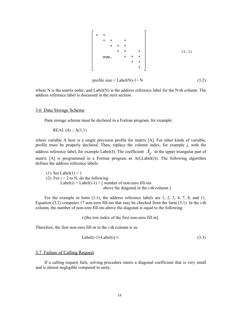

$$
profile size = Label(N)-1+N
$$
\n(3.2)

where N is the matrix order, and Label(N) is the address reference label for the N-th column. The address reference label is discussed in the next section.

#### 3.6 Data Storage Scheme

Data storage scheme must be declared in a Fortran program, for example:

REAL  $(4)$  :: A $(1,1)$ 

where variable A here is a single precision profile for matrix [A]. For other kinds of variable, profile must be properly declared. Then, replace the column index, for example j, with the address reference label, for example Label(J). The coefficient  $A_{ii}$  in the upper triangular part of matrix [A] is programmed in a Fortran program as A(I,Label(J)). The following algorithm defines the address reference labels:

(1) Set Label(1) = 1 (2) For  $i = 2$  to N, do the following Label(i) = Label(i-1) + [ number of non-zero fill-ins above the diagonal in the i-th column ]

For the example in form (3.1), the address reference labels are 1, 2, 3, 4, 7, 8, and 11. Equation  $(3.2)$  computes 17 non-zero fill-ins that may be checked from the form  $(3.1)$ . In the i-th column, the number of non-zero fill-ins above the diagonal is equal to the following:

i-[the row index of the first non-zero fill-in]

Therefore, the first non-zero fill-in in the i-th column is as:

$$
Label(i-1)-Label(i)+i
$$
\n(3.3)

# 3.7 Failure of Calling Request

If a calling request fails, solving procedure meets a diagonal coefficient that is very small and is almost negligible compared to unity.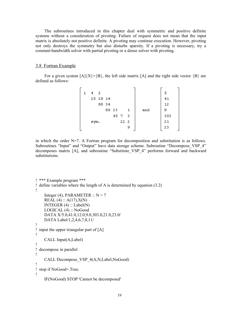The subroutines introduced in this chapter deal with symmetric and positive definite systems without a consideration of pivoting. Failure of request does not mean that the input matrix is absolutely not positive definite. A pivoting may continue execution. However, pivoting not only destroys the symmetry but also disturbs sparsity. If a pivoting is necessary, try a constant-bandwidth solver with partial pivoting or a dense solver with pivoting.

## 3.8 Fortran Example

For a given system  $[A]\{X\}=\{B\}$ , the left side matrix  $[A]$  and the right side vector  $\{B\}$  are defined as follows:

| 4 2  |          |       |        |   |     | 5   |
|------|----------|-------|--------|---|-----|-----|
|      | 25 29 14 |       |        |   |     | 41  |
|      | 88 34    |       |        |   |     | 12  |
|      |          | 89 23 |        | 1 | and | 9   |
|      |          |       | 45 7 3 |   |     | 303 |
| sym. |          |       | 22 2   |   |     | 21  |
|      |          |       |        | 9 |     | -23 |
|      |          |       |        |   |     |     |

in which the order  $N=7$ . A Fortran program for decomposition and substitution is as follows. Subroutines "Input" and "Output" have data storage scheme. Subroutine "Decompose VSP 4" decomposes matrix [A], and subroutine "Substitute\_VSP\_4" performs forward and backward substitutions.

```
! *** Example program ***
! define variables where the length of A is determined by equation (3.2)
!
    Integer (4), PARAMETER :: N = 7REAL (4) :: A(17), X(N)
    INTEGER (4) :: Label(N) LOGICAL (4) :: NoGood
     DATA X/5.0,41.0,12.0,9.0,303.0,21.0,23.0/
     DATA Label/1,2,4,6,7,8,11/
!
! input the upper triangular part of [A]
!
     CALL Input(A,Label)
!
! decompose in parallel
!
     CALL Decompose_VSP_4(A,N,Label,NoGood)
!
! stop if NoGood=.True.
!
     IF(NoGood) STOP 'Cannot be decomposed'
```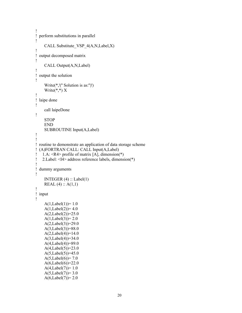```
!
! perform substitutions in parallel
!
      CALL Substitute_VSP_4(A,N,Label,X)
!
! output decomposed matrix
!
      CALL Output(A,N,Label)
!
! output the solution
!
     Write(*,'('' Solution is as:'')')
     Write(*,*) X
!
! laipe done
!
      call laipeDone
!
     STOP
      END
      SUBROUTINE Input(A,Label)
!
!
! routine to demonstrate an application of data storage scheme
! (A)FORTRAN CALL: CALL Input(A,Label)
! 1.A: \langle R4 \rangle profile of matrix [A], dimension(*)
! 2.Label: \langle \vec{A} \rangle address reference labels, dimension(*)
!
! dummy arguments
!
     INTEGER (4) :: Label(1)REAL (4) :: A(1,1)!
! input
!
     A(1,Label(1))=1.0A(1,Label(2))=4.0A(2,Label(2)) = 25.0A(1,Label(3))=2.0 A(2,Label(3))=29.0
     A(3,Label(3)) = 88.0A(2,Label(4))=14.0A(3,Label(4)) = 34.0A(4,Label(4)) = 89.0A(4,Label(5))=23.0A(5,Label(5))=45.0A(5,Label(6)) = 7.0A(6,Label(6))=22.0A(4,Label(7))=1.0A(5,Label(7)) = 3.0A(6,Label(7))=2.0
```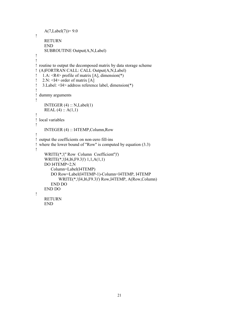```
A(7,Label(7)) = 9.0!
     RETURN
     END
     SUBROUTINE Output(A,N,Label)
!
!
! routine to output the decomposed matrix by data storage scheme
! (A)FORTRAN CALL: CALL Output(A,N,Label)
! 1.A: <R4> profile of matrix [A], dimension(*)
! 2.N: \leqI4> order of matrix [A]
! 3.Label: <I4> address reference label, dimension(*)
!
! dummy arguments
!
    INTEGER (4) :: N, Label(1)REAL (4) :: A(1,1)!
! local variables
!
     INTEGER (4) :: I4TEMP,Column,Row
!
! output the coefficients on non-zero fill-ins
! where the lower bound of "Row" is computed by equation (3.3)
!
     WRITE(*,'('' Row Column Coefficient'')')
     WRITE(*,'(I4,I6,F9.3)') 1,1,A(1,1)
     DO I4TEMP=2,N
         Column=Label(I4TEMP)
         DO Row=Label(I4TEMP-1)-Column+I4TEMP, I4TEMP
            WRITE(*,'(I4,I6,F9.3)') Row,I4TEMP, A(Row,Column)
        END DO
     END DO
!
     RETURN
```
END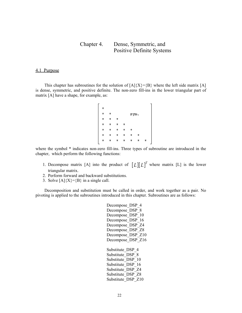# Chapter 4. Dense, Symmetric, and Positive Definite Systems

# 4.1 Purpose

This chapter has subroutines for the solution of  $[A]{X}=\{B\}$  where the left side matrix [A] is dense, symmetric, and positive definite. The non-zero fill-ins in the lower triangular part of matrix [A] have a shape, for example, as:

where the symbol  $*$  indicates non-zero fill-ins. Three types of subroutine are introduced in the chapter, which perform the following functions:

- 1. Decompose matrix [A] into the product of  $[L][L]^T$  where matrix [L] is the lower triangular matrix.
- 2. Perform forward and backward substitutions.
- 3. Solve  $[A]\{X\}=\{B\}$  in a single call.

Decomposition and substitution must be called in order, and work together as a pair. No pivoting is applied to the subroutines introduced in this chapter. Subroutines are as follows:

> Decompose DSP 4 Decompose DSP 8 Decompose DSP 10 Decompose DSP 16 Decompose DSP Z4 Decompose DSP Z8 Decompose DSP Z10 Decompose DSP Z16 Substitute DSP 4 Substitute DSP 8 Substitute DSP 10 Substitute DSP 16 Substitute DSP Z4 Substitute\_DSP\_Z8 Substitute DSP Z10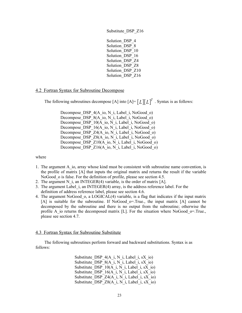Substitute\_DSP\_Z16

Solution DSP 4 Solution DSP 8 Solution\_DSP\_10 Solution DSP 16 Solution DSP Z4 Solution\_DSP\_Z8 Solution DSP Z10 Solution DSP Z16

# 4.2 Fortran Syntax for Subroutine Decompose

The following subroutines decompose [A] into  $[A] = [L][L]^T$ . Syntax is as follows:

Decompose DSP 4(A\_io, N\_i, Label\_i, NoGood\_o) Decompose DSP 8(A\_io, N\_i, Label\_i, NoGood\_o) Decompose\_DSP\_10(A\_io, N\_i, Label\_i, NoGood\_o) Decompose DSP 16(A io, N i, Label i, NoGood o) Decompose DSP Z4(A\_io, N\_i, Label\_i, NoGood\_o) Decompose DSP Z8(A\_io, N\_i, Label\_i, NoGood\_o) Decompose DSP Z10(A io, N i, Label i, NoGood o) Decompose DSP Z16(A io, N i, Label i, NoGood o)

where

- 1. The argument A\_io, array whose kind must be consistent with subroutine name convention, is the profile of matrix [A] that inputs the original matrix and returns the result if the variable NoGood o is false. For the definition of profile, please see section 4.5.
- 2. The argument N i, an INTEGER(4) variable, is the order of matrix  $[A]$ .
- 3. The argument Label\_i, an INTEGER(4) array, is the address reference label. For the definition of address reference label, please see section 4.6.
- 4. The argument NoGood\_o, a LOGICAL(4) variable, is a flag that indicates if the input matrix [A] is suitable for the subroutine. If NoGood\_o=.True., the input matrix [A] cannot be decomposed by the subroutine and there is no output from the subroutine; otherwise the profile A io returns the decomposed matrix [L]. For the situation where NoGood  $\sigma$ =.True., please see section 4.7.

# 4.3 Fortran Syntax for Subroutine Substitute

The following subroutines perform forward and backward substitutions. Syntax is as follows:

> Substitute DSP  $4(A_i, N_i)$ , Label i, sX io) Substitute DSP  $8(A_i, N_i, Label$ , sX io) Substitute\_DSP\_10(A\_i, N\_i, Label\_i, sX\_io) Substitute DSP  $16(A_i, N_i)$ , Label i, sX io) Substitute DSP  $Z4(A_i, N_i)$ , Label i, sX io) Substitute DSP  $Z8(A_i, N_i)$ , Label i, sX io)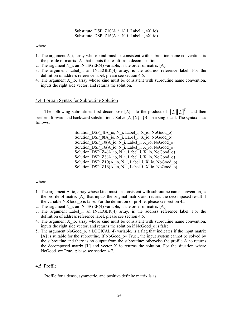Substitute DSP  $Z10(A_i, N_i)$ , Label i, sX io) Substitute DSP  $Z16(A_i, N_i)$ , Label i, sX io)

where

- 1. The argument A\_i, array whose kind must be consistent with subroutine name convention, is the profile of matrix [A] that inputs the result from decomposition.
- 2. The argument N i, an INTEGER(4) variable, is the order of matrix  $[A]$ .
- 3. The argument Label\_i, an INTEGER(4) array, is the address reference label. For the definition of address reference label, please see section 4.6.
- 4. The argument X io, array whose kind must be consistent with subroutine name convention, inputs the right side vector, and returns the solution.

#### 4.4 Fortran Syntax for Subroutine Solution

The following subroutines first decompose [A] into the product of  $[L][L]^T$ , and then perform forward and backward substitutions. Solve  $[A]\{X\}=\{B\}$  in a single call. The syntax is as follows:

> Solution DSP  $4(A \text{ io}, N \text{ i}, Label \text{ i}, X \text{ io}, NoGood \text{ o})$ Solution DSP  $8(A_i, N_i)$ , Label i, X io, NoGood o) Solution DSP  $10(A_i, N_i)$ , Label i, X io, NoGood o) Solution DSP  $16(A_i, N_i)$ , Label i, X io, NoGood o) Solution DSP  $Z4(A_i \text{io}, N_i)$ , Label i, X<sub>io</sub>, NoGood<sub>0</sub>) Solution DSP  $Z8(A_i, N_i)$ , Label i, X io, NoGood o) Solution DSP  $Z10(A_i, N_i)$ , Label i, X io, NoGood o) Solution DSP  $Z16(A_i, N_i)$ , Label i, X io, NoGood o)

where

- 1. The argument A\_io, array whose kind must be consistent with subroutine name convention, is the profile of matrix [A], that inputs the original matrix and returns the decomposed result if the variable NoGood\_o is false. For the definition of profile, please see section 4.5.
- 2. The argument N i, an INTEGER(4) variable, is the order of matrix  $[A]$ .
- 3. The argument Label\_i, an INTEGER(4) array, is the address reference label. For the definition of address reference label, please see section 4.6.
- 4. The argument X\_io, array whose kind must be consistent with subroutine name convention, inputs the right side vector, and returns the solution if NoGood\_o is false.
- 5. The argument NoGood\_o, a LOGICAL(4) variable, is a flag that indicates if the input matrix [A] is suitable for the subroutine. If NoGood  $\sigma$ =.True., the input system cannot be solved by the subroutine and there is no output from the subroutine; otherwise the profile A\_io returns the decomposed matrix  $[L]$  and vector X io returns the solution. For the situation where NoGood o=.True., please see section 4.7.

## 4.5 Profile

Profile for a dense, symmetric, and positive definite matrix is as: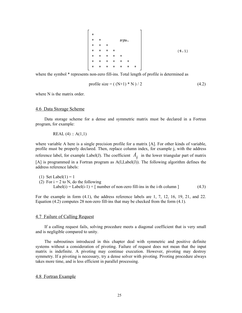where the symbol \* represents non-zero fill-ins. Total length of profile is determined as

profile size = 
$$
((N+1) * N) / 2
$$
 (4.2)

where N is the matrix order.

#### 4.6 Data Storage Scheme

Data storage scheme for a dense and symmetric matrix must be declared in a Fortran program, for example:

REAL  $(4)$  :: A $(1,1)$ 

where variable A here is a single precision profile for a matrix [A]. For other kinds of variable, profile must be properly declared. Then, replace column index, for example j, with the address reference label, for example Label(J). The coefficient  $A_{ij}$  in the lower triangular part of matrix [A] is programmed in a Fortran program as A(I,Label(J)). The following algorithm defines the address reference labels:

(1) Set Label(1) = 1 (2) For  $i = 2$  to N, do the following Label(i) = Label(i-1) +  $\lceil$  number of non-zero fill-ins in the i-th column  $\lceil$  (4.3)

For the example in form  $(4.1)$ , the address reference labels are 1, 7, 12, 16, 19, 21, and 22. Equation (4.2) computes 28 non-zero fill-ins that may be checked from the form (4.1).

#### 4.7 Failure of Calling Request

If a calling request fails, solving procedure meets a diagonal coefficient that is very small and is negligible compared to unity.

The subroutines introduced in this chapter deal with symmetric and positive definite systems without a consideration of pivoting. Failure of request does not mean that the input matrix is indefinite. A pivoting may continue execution. However, pivoting may destroy symmetry. If a pivoting is necessary, try a dense solver with pivoting. Pivoting procedure always takes more time, and is less efficient in parallel processing.

# 4.8 Fortran Example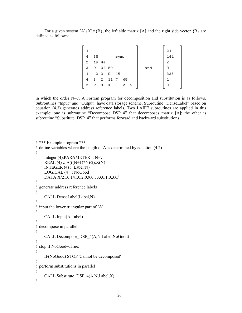For a given system  $[A]\{X\}=\{B\}$ , the left side matrix  $[A]$  and the right side vector  $\{B\}$  are defined as follows:

|    |       |       |      |      |    |   |     | 21  |  |
|----|-------|-------|------|------|----|---|-----|-----|--|
| 4  | 25    |       |      | sym. |    |   |     | 141 |  |
| 2  |       | 19 44 |      |      |    |   |     | 2   |  |
| 3  | -9    | 34 89 |      |      |    |   | and | 9   |  |
| 1. | $-23$ |       | 0    | 45   |    |   |     | 333 |  |
| 4  | -2    | -2    | 11 7 |      | 68 |   |     |     |  |
| 2  |       | -3    | 4    | з    | 2  | 9 |     | з   |  |
|    |       |       |      |      |    |   |     |     |  |

in which the order  $N=7$ . A Fortran program for decomposition and substitution is as follows. Subroutines "Input" and "Output" have data storage scheme. Subroutine "DenseLabel" based on equation (4.3) generates address reference labels. Two LAIPE subroutines are applied in this example: one is subroutine "Decompose DSP 4" that decomposes matrix [A]; the other is subroutine "Substitute DSP 4" that performs forward and backward substitutions.

```
! *** Example program ***
! define variables where the length of A is determined by equation (4.2)
!
    Integer (4), PARAMETER \therefore N=7
    REAL (4) :: A(((N+1)*N)/2), X(N)INTEGER (4) :: Label(N) LOGICAL (4) :: NoGood
     DATA X/21.0,141.0,2.0,9.0,333.0,1.0,3.0/
!
! generate address reference labels
!
     CALL DenseLabel(Label,N)
!
! input the lower triangular part of [A]
!
     CALL Input(A,Label)
!
! decompose in parallel
!
     CALL Decompose_DSP_4(A,N,Label,NoGood)
!
! stop if NoGood=.True.
!
     IF(NoGood) STOP 'Cannot be decomposed'
!
! perform substitutions in parallel
!
     CALL Substitute_DSP_4(A,N,Label,X)
!
```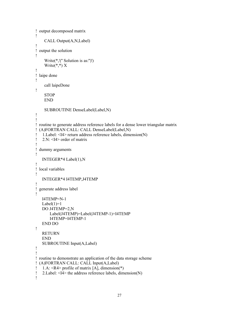```
! output decomposed matrix
!
     CALL Output(A,N,Label)
!
! output the solution
!
     Write(*,'('' Solution is as:'')')
    Write(*,*) X
!
! laipe done
!
     call laipeDone
!
    STOP
     END
     SUBROUTINE DenseLabel(Label,N)
!
!
! routine to generate address reference labels for a dense lower triangular matrix
! (A)FORTRAN CALL: CALL DenseLabel(Label,N)
! 1.Label: <I4> return address reference labels, dimension(N)
! 2 \text{ N}: \leq 14 order of matrix
!
! dummy arguments
!
    INTEGER*4 Label(1),N
!
! local variables
!
    INTEGER*4 I4TEMP,J4TEMP
!
! generate address label
!
    I4TEMP=N-1
   Label(1)=1 DO J4TEMP=2,N
        Label(J4TEMP)=Label(J4TEMP-1)+I4TEMP
        I4TEMP=I4TEMP-1
    END DO
!
    RETURN
    END
    SUBROUTINE Input(A,Label)
!
!
! routine to demonstrate an application of the data storage scheme
! (A)FORTRAN CALL: CALL Input(A,Label)
! 1.A: <R4> profile of matrix [A], dimension(*)
! 2.Label: <I4> the address reference labels, dimension(N)
!
```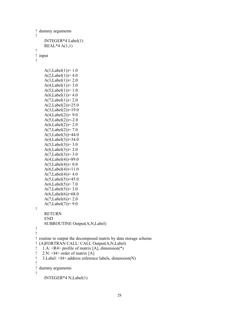```
! dummy arguments
!
     INTEGER*4 Label(1)
    REAL*4 A(1,1)!
! input
!
    A(1,Label(1))=1.0A(2,Label(1))=4.0A(3,Label(1)) = 2.0A(4,Label(1)) = 3.0A(5,Label(1))=1.0A(6,Label(1))=4.0A(7,Label(1)) = 2.0A(2,Label(2))=25.0A(3,Label(2))=19.0A(4,Label(2)) = 9.0A(5,Label(2))=-2.0A(6,Label(2)) = 2.0A(7,Label(2)) = 7.0 A(3,Label(3))=44.0
    A(4,Label(3))=34.0A(5,Label(3)) = 3.0A(6,Label(3))=2.0A(7,Label(3)) = 3.0A(4,Label(4)) = 89.0A(5,Label(4))= 0.0A(6,Label(4))=11.0A(7,Label(4))=4.0A(5,Label(5))=45.0A(6,Label(5)) = 7.0A(7,Label(5)) = 3.0A(6,Label(6))=68.0A(7,Label(6)) = 2.0A(7,Label(7)) = 9.0!
     RETURN
     END
     SUBROUTINE Output(A,N,Label)
!
!
! routine to output the decomposed matrix by data storage scheme
! (A)FORTRAN CALL: CALL Output(A,N,Label)
! 1.A: \langle R4 \rangle profile of matrix [A], dimension(*)
! 2.N: \leq 14 order of matrix [A]
! 3.Label: <I4> address reference labels, dimension(N)
!
! dummy arguments
!
     INTEGER*4 N,Label(1)
```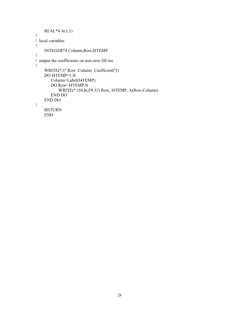```
 REAL*4 A(1,1)
!
! local variables
!
     INTEGER*4 Column,Row,I4TEMP
!
! output the coefficients on non-zero fill-ins
!
 WRITE(*,'('' Row Column Coefficient'')')
 DO I4TEMP=1,N
        Column=Label(I4TEMP)
        DO Row=I4TEMP,N
            WRITE(*,'(I4,I6,F9.3)') Row, I4TEMP, A(Row,Column)
        END DO
     END DO
!
     RETURN
     END
```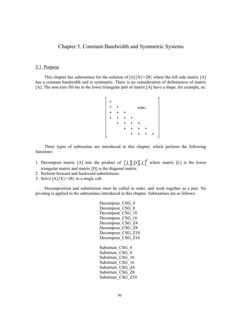# Chapter 5. Constant-Bandwidth and Symmetric Systems

## 5.1 Purpose

This chapter has subroutines for the solution of  $[A]\{X\}=\{B\}$  where the left side matrix [A] has a constant bandwidth and is symmetric. There is no consideration of definiteness of matrix [A]. The non-zero fill-ins in the lower triangular part of matrix [A] have a shape, for example, as:

Three types of subroutine are introduced in this chapter, which perform the following functions:

- 1. Decompose matrix [A] into the product of  $[L][D][L]^T$  where matrix [L] is the lower triangular matrix and matrix [D] is the diagonal matrix.
- 2. Perform forward and backward substitutions.
- 3. Solve  $[A]\{X\}=\{B\}$  in a single call.

Decomposition and substitution must be called in order, and work together as a pair. No pivoting is applied to the subroutines introduced in this chapter. Subroutines are as follows:

> Decompose CSG 4 Decompose CSG 8 Decompose CSG 10 Decompose CSG 16 Decompose CSG<sub>Z4</sub> Decompose CSG Z8 Decompose CSG Z10 Decompose CSG Z16 Substitute CSG 4 Substitute CSG 8 Substitute CSG 10 Substitute CSG 16 Substitute CSG\_Z4 Substitute\_CSG\_Z8 Substitute\_CSG\_Z10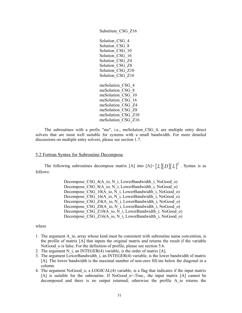Substitute\_CSG\_Z16 Solution CSG 4 Solution CSG 8 Solution CSG 10 Solution CSG 16 Solution CSG Z4 Solution CSG Z8 Solution CSG\_Z10 Solution CSG Z16 meSolution\_CSG\_4 meSolution\_CSG\_8 meSolution\_CSG\_10 meSolution\_CSG\_16 meSolution\_CSG\_Z4 meSolution\_CSG\_Z8 meSolution\_CSG\_Z10 meSolution\_CSG\_Z16

The subroutines with a prefix "me", i.e., meSolution\_CSG\_4, are multiple entry direct solvers that are most well suitable for systems with a small bandwidth. For more detailed discussions on multiple entry solvers, please see section 1.7.

## 5.2 Fortran Syntax for Subroutine Decompose

The following subroutines decompose matrix [A] into  $[A] = [L][D][L]^T$ . Syntax is as follows:

> Decompose CSG 4(A\_io, N\_i, LowerBandwidth\_i, NoGood\_o) Decompose CSG 8(A\_io, N\_i, LowerBandwidth\_i, NoGood\_o) Decompose CSG\_10(A\_io, N\_i, LowerBandwidth\_i, NoGood\_o) Decompose CSG\_16(A\_io, N\_i, LowerBandwidth\_i, NoGood\_o) Decompose CSG Z4(A\_io, N\_i, LowerBandwidth\_i, NoGood\_o) Decompose CSG\_Z8(A\_io, N\_i, LowerBandwidth\_i, NoGood\_o) Decompose CSG Z10(A\_io, N\_i, LowerBandwidth\_i, NoGood\_o) Decompose CSG Z16(A\_io, N\_i, LowerBandwidth\_i, NoGood\_o)

- 1. The argument A io, array whose kind must be consistent with subroutine name convention, is the profile of matrix [A] that inputs the original matrix and returns the result if the variable NoGood o is false. For the definition of profile, please see section 5.6.
- 2. The argument N i, an INTEGER(4) variable, is the order of matrix  $[A]$ .
- 3. The argument LowerBandwidth\_i, an INTEGER(4) variable, is the lower bandwidth of matrix [A]. The lower bandwidth is the maximal number of non-zero fill-ins below the diagonal in a column.
- 4. The argument NoGood\_o, a LOGICAL(4) variable, is a flag that indicates if the input matrix [A] is suitable for the subroutine. If NoGood\_o=.True., the input matrix [A] cannot be decomposed and there is no output returned; otherwise the profile A\_io returns the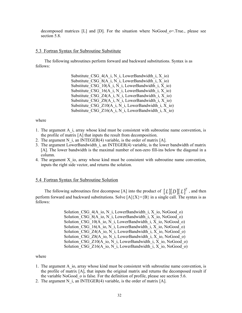decomposed matrices  $[L]$  and  $[D]$ . For the situation where NoGood  $o$ =.True., please see section 5.8.

# 5.3 Fortran Syntax for Subroutine Substitute

The following subroutines perform forward and backward substitutions. Syntax is as follows:

> Substitute CSG  $4(A_i, N_i)$ , LowerBandwidth i, X io) Substitute CSG  $8(A_i, N_i)$ , LowerBandwidth i, X io) Substitute CSG\_10(A\_i, N\_i, LowerBandwidth\_i, X\_io) Substitute CSG  $16(A_i, N_i)$ , LowerBandwidth i, X io) Substitute CSG\_Z4(A\_i, N\_i, LowerBandwidth\_i, X\_io) Substitute CSG  $Z8(A_i, N_i)$ , LowerBandwidth i, X io) Substitute CSG  $Z10(A_i, N_i)$ , LowerBandwidth i, X io) Substitute CSG\_Z16( $\overline{A_i}$ , N\_i, LowerBandwidth\_i, X\_io)

#### where

- 1. The argument A\_i, array whose kind must be consistent with subroutine name convention, is the profile of matrix [A] that inputs the result from decomposition.
- 2. The argument N i, an INTEGER(4) variable, is the order of matrix  $[A]$ .
- 3. The argument LowerBandwidth\_i, an INTEGER(4) variable, is the lower bandwidth of matrix [A]. The lower bandwidth is the maximal number of non-zero fill-ins below the diagonal in a column.
- 4. The argument X\_io, array whose kind must be consistent with subroutine name convention, inputs the right side vector, and returns the solution.

#### 5.4 Fortran Syntax for Subroutine Solution

The following subroutines first decompose [A] into the product of  $[L][D][L]^T$ , and then perform forward and backward substitutions. Solve  $[A]\{X\}=\{B\}$  in a single call. The syntax is as follows:

> Solution CSG  $4(A_i, N_i)$ , LowerBandwidth i, X io, NoGood o) Solution CSG  $8(A_i, N_i)$ , LowerBandwidth i, X io, NoGood o) Solution CSG\_10(A\_io, N\_i, LowerBandwidth\_i, X\_io, NoGood\_o) Solution CSG  $16(A_i, N_i)$ , LowerBandwidth i, X io, NoGood o) Solution CSG  $Z4(A_i, N_i)$ , LowerBandwidth i, X io, NoGood o) Solution CSG  $Z8(A_i, N_i)$ , LowerBandwidth i, X io, NoGood o) Solution CSG  $Z10(A_i, N_i)$ , LowerBandwidth i, X io, NoGood o) Solution CSG  $Z16(A_i, N_i)$ , LowerBandwidth i, X io, NoGood o)

- 1. The argument A\_io, array whose kind must be consistent with subroutine name convention, is the profile of matrix [A], that inputs the original matrix and returns the decomposed result if the variable NoGood o is false. For the definition of profile, please see section 5.6.
- 2. The argument N i, an INTEGER(4) variable, is the order of matrix  $[A]$ .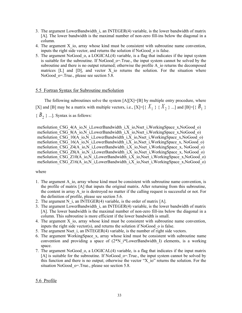- 3. The argument LowerBandwidth\_i, an INTEGER(4) variable, is the lower bandwidth of matrix [A]. The lower bandwidth is the maximal number of non-zero fill-ins below the diagonal in a column.
- 4. The argument X\_io, array whose kind must be consistent with subroutine name convention, inputs the right side vector, and returns the solution if NoGood\_o is false.
- 5. The argument NoGood\_o, a LOGICAL(4) variable, is a flag that indicates if the input system is suitable for the subroutine. If NoGood  $\sigma$ =.True., the input system cannot be solved by the subroutine and there is no output returned; otherwise the profile A\_io returns the decomposed matrices  $[L]$  and  $[D]$ , and vector X io returns the solution. For the situation where NoGood o=.True., please see section 5.8.

# 5.5 Fortran Syntax for Subroutine meSolution

The following subroutines solve the system  $[A][X]=[B]$  by multiple entry procedure, where [X] and [B] may be a matrix with multiple vectors, i.e., [X]=[{ $X_1$ } { $X_2$ } ...] and [B]=[{ $B_1$ }  ${B_2}$  ...]. Syntax is as follows:

meSolution CSG 4(A\_io,N\_i,LowerBandwidth\_i,X\_io,Nset\_i,WorkingSpace\_x,NoGood\_o) meSolution CSG 8(A\_io,N\_i,LowerBandwidth\_i,X\_io,Nset\_i,WorkingSpace\_x,NoGood\_o) meSolution\_CSG\_10(A\_io,N\_i,LowerBandwidth\_i,X\_io,Nset\_i,WorkingSpace\_x,NoGood\_o) meSolution CSG\_16(A\_io,N\_i,LowerBandwidth\_i,X\_io,Nset\_i,WorkingSpace\_x, NoGood\_o) meSolution CSG\_Z4(A\_io,N\_i,LowerBandwidth\_i,X\_io,Nset\_i,WorkingSpace\_x, NoGood\_o) meSolution CSG\_Z8(A\_io,N\_i,LowerBandwidth\_i,X\_io,Nset\_i,WorkingSpace\_x, NoGood\_o) meSolution CSG\_Z10(A\_io,N\_i,LowerBandwidth\_i,X\_io,Nset\_i,WorkingSpace\_x,NoGood\_o) meSolution CSG Z16(A\_io,N\_i,LowerBandwidth\_i,X\_io,Nset\_i,WorkingSpace\_x,NoGood\_o)

## where

- 1. The argument A\_io, array whose kind must be consistent with subroutine name convention, is the profile of matrix [A] that inputs the original matrix. After returning from this subroutine, the content in array A\_io is destroyed no matter if the calling request is successful or not. For the definition of profile, please see section 5.6.
- 2. The argument N i, an INTEGER(4) variable, is the order of matrix  $[A]$ .
- 3. The argument LowerBandwidth\_i, an INTEGER(4) variable, is the lower bandwidth of matrix [A]. The lower bandwidth is the maximal number of non-zero fill-ins below the diagonal in a column. This subroutine is more efficient if the lower bandwidth is small.
- 4. The argument X\_io, array whose kind must be consistent with subroutine name convention, inputs the right side vector(s), and returns the solution if NoGood\_o is false.
- 5. The argument Nset i, an INTEGER(4) variable, is the number of right side vectors.
- 6. The argument WorkingSpace\_x, array whose kind must be consistent with subroutine name convention and providing a space of  $(2^*N_i)^*$ LowerBandwidth I) elements, is a working space.
- 7. The argument NoGood\_o, a LOGICAL(4) variable, is a flag that indicates if the input matrix [A] is suitable for the subroutine. If NoGood  $o=$ .True., the input system cannot be solved by this function and there is no output; otherwise the vector "X\_io" returns the solution. For the situation NoGood $o$ =.True., please see section 5.8.

# 5.6 Profile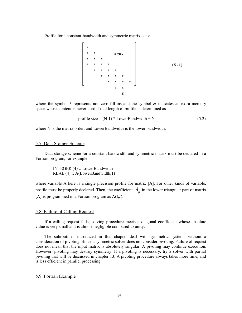Profile for a constant-bandwidth and symmetric matrix is as:

where the symbol  $*$  represents non-zero fill-ins and the symbol  $*$  indicates an extra memory space whose content is never used. Total length of profile is determined as

$$
profile size = (N-1) * LowerBandwidth + N
$$
 (5.2)

where N is the matrix order, and LowerBandwidth is the lower bandwidth.

#### 5.7 Data Storage Scheme

Data storage scheme for a constant-bandwidth and symmetric matrix must be declared in a Fortran program, for example:

 INTEGER (4) :: LowerBandwidth REAL (4) :: A(LowerBandwidth, 1)

where variable A here is a single precision profile for matrix [A]. For other kinds of variable, profile must be properly declared. Then, the coefficient  $A_{ij}$  in the lower triangular part of matrix [A] is programmed in a Fortran program as  $A(I,J)$ .

#### 5.8 Failure of Calling Request

If a calling request fails, solving procedure meets a diagonal coefficient whose absolute value is very small and is almost negligible compared to unity.

The subroutines introduced in this chapter deal with symmetric systems without a consideration of pivoting. Since a symmetric solver does not consider pivoting. Failure of request does not mean that the input matrix is absolutely singular. A pivoting may continue execution. However, pivoting may destroy symmetry. If a pivoting is necessary, try a solver with partial pivoting that will be discussed in chapter 13. A pivoting procedure always takes more time, and is less efficient in parallel processing.

#### 5.9 Fortran Example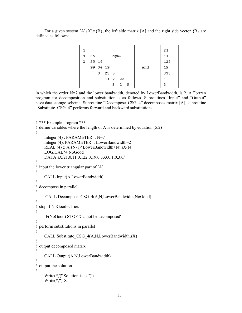For a given system  $[A](X) = {B}$ , the left side matrix  $[A]$  and the right side vector  ${B}$  are defined as follows:

| 1 |       |          |                 |      |     |   |     | 21  |
|---|-------|----------|-----------------|------|-----|---|-----|-----|
| 4 | 25    |          |                 | sym. |     |   |     | 11  |
| 2 | 29 14 |          |                 |      |     |   |     | 122 |
|   |       | 99 34 19 |                 |      |     |   | and | 19  |
|   |       | з        | 23 <sub>5</sub> |      |     |   |     | 333 |
|   |       |          | 11 7            |      | -22 |   |     |     |
|   |       |          |                 | 3.   | 2   | 9 |     | 3   |

in which the order N=7 and the lower bandwidth, denoted by LowerBandwidth, is 2. A Fortran program for decomposition and substitution is as follows. Subroutines "Input" and "Output" have data storage scheme. Subroutine "Decompose CSG 4" decomposes matrix [A], subroutine "Substitute\_CSG\_4" performs forward and backward substitutions.

```
! *** Example program ***
! define variables where the length of A is determined by equation (5.2)
!
    Integer (4), PARAMETER :: N=7
     Integer (4), PARAMETER :: LowerBandwidth=2
    REAL (4) :: A((N-1)*LowerBandwidth+N), sX(N) LOGICAL*4 NoGood
     DATA sX/21.0,11.0,122.0,19.0,333.0,1.0,3.0/
!
! input the lower triangular part of [A]
!
     CALL Input(A,LowerBandwidth)
!
! decompose in parallel
!
      CALL Decompose_CSG_4(A,N,LowerBandwidth,NoGood)
!
! stop if NoGood=.True.
!
     IF(NoGood) STOP 'Cannot be decomposed'
!
! perform substitutions in parallel
!
    CALL Substitute CSG 4(A,N,LowerBandwidth,sX)
!
! output decomposed matrix
!
     CALL Output(A,N,LowerBandwidth)
!
! output the solution
!
     Write(*,'('' Solution is as:'')')
    Write(*,*) X
```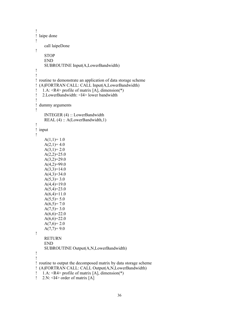```
!
! laipe done
!
     call laipeDone
!
     STOP
     END
     SUBROUTINE Input(A,LowerBandwidth)
!
!
! routine to demonstrate an application of data storage scheme
! (A)FORTRAN CALL: CALL Input(A,LowerBandwidth)
! 1.A: <R4> profile of matrix [A], dimension(*)
! 2.LowerBandwidth: <I4> lower bandwidth
!
! dummy arguments
!
     INTEGER (4) :: LowerBandwidth
     REAL (4) :: A(LowerBandwidth,1)
!
! input
!
    A(1,1)=1.0A(2,1)=4.0A(3,1)=2.0A(2,2)=25.0A(3,2)=29.0A(4,2)=99.0A(3,3)=14.0A(4,3)=34.0A(5,3)=3.0A(4,4)=19.0A(5,4)=23.0A(6,4)=11.0A(5,5)=5.0A(6,5)=7.0A(7,5)=3.0A(6,6)=22.0A(6,6)=22.0A(7,6)=2.0A(7,7)=9.0!
     RETURN
     END
     SUBROUTINE Output(A,N,LowerBandwidth)
!
!
! routine to output the decomposed matrix by data storage scheme
! (A)FORTRAN CALL: CALL Output(A,N,LowerBandwidth)
! 1.A: <R4> profile of matrix [A], dimension(*)
! 2.N: \leqI4> order of matrix [A]
```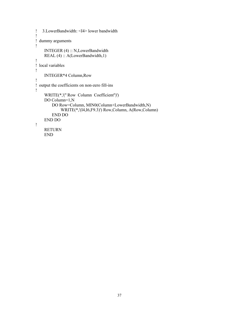```
! 3.LowerBandwidth: <I4> lower bandwidth
!
! dummy arguments
!
     INTEGER (4) :: N,LowerBandwidth
     REAL (4) :: A(LowerBandwidth,1)
!
! local variables
!
     INTEGER*4 Column,Row
!
! output the coefficients on non-zero fill-ins
!
     WRITE(*,'('' Row Column Coefficient'')')
    DO Column=1,N
         DO Row=Column, MIN0(Column+LowerBandwidth,N)
             WRITE(*,'(I4,I6,F9.3)') Row,Column, A(Row,Column)
         END DO
     END DO
!
     RETURN
     END
```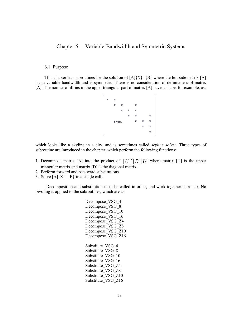# Chapter 6. Variable-Bandwidth and Symmetric Systems

## 6.1 Purpose

This chapter has subroutines for the solution of  $[A]{X}=\{B\}$  where the left side matrix [A] has a variable bandwidth and is symmetric. There is no consideration of definiteness of matrix [A]. The non-zero fill-ins in the upper triangular part of matrix [A] have a shape, for example, as:

$$
\begin{bmatrix}\n \star & \star & & \star & \star & \star \\
 \star & \star & \star & \star & \star \\
 & & \star & \star & \star & \star \\
 & & & \star & \star & \star \\
 & & & & \star & \star & \star \\
 & & & & & \star & \star \\
 & & & & & & \star\n \end{bmatrix}
$$

which looks like a skyline in a city, and is sometimes called *skyline solver*. Three types of subroutine are introduced in the chapter, which perform the following functions:

- 1. Decompose matrix [A] into the product of  $[U]^T[D][U]$  where matrix [U] is the upper triangular matrix and matrix [D] is the diagonal matrix.
- 2. Perform forward and backward substitutions.
- 3. Solve  $[A]\{X\} = \{B\}$  in a single call.

Decomposition and substitution must be called in order, and work together as a pair. No pivoting is applied to the subroutines, which are as:

> Decompose VSG 4 Decompose VSG 8 Decompose VSG 10 Decompose VSG 16 Decompose\_VSG\_Z4 Decompose VSG Z8 Decompose VSG Z10 Decompose VSG Z16 Substitute VSG 4 Substitute VSG 8 Substitute\_VSG\_10 Substitute VSG 16 Substitute VSG Z4 Substitute VSG Z8 Substitute VSG Z10 Substitute VSG Z16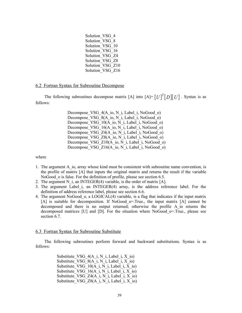| Solution VSG 4   |  |
|------------------|--|
| Solution VSG 8   |  |
| Solution VSG 10  |  |
| Solution VSG 16  |  |
| Solution VSG Z4  |  |
| Solution VSG Z8  |  |
| Solution VSG Z10 |  |
| Solution VSG Z16 |  |

#### 6.2 Fortran Syntax for Subroutine Decompose

The following subroutines decompose matrix [A] into  $[A] = [U]^T [D][U]$ . Syntax is as follows:

> Decompose VSG 4(A io, N i, Label i, NoGood o) Decompose VSG 8(A\_io, N\_i, Label\_i, NoGood\_o) Decompose<sup>VSG\_10(A\_io, N\_i, Label\_i, NoGood\_o)</sup> Decompose VSG 16(A io, N i, Label i, NoGood o) Decompose VSG Z4(A\_io, N\_i, Label\_i, NoGood\_o) Decompose VSG Z8(A\_io, N\_i, Label\_i, NoGood\_o) Decompose VSG Z10(A io, N i, Label i, NoGood o) Decompose VSG Z16(A io, N i, Label i, NoGood o)

#### where

- 1. The argument A io, array whose kind must be consistent with subroutine name convention, is the profile of matrix [A] that inputs the original matrix and returns the result if the variable NoGood o is false. For the definition of profile, please see section 6.5.
- 2. The argument N i, an INTEGER(4) variable, is the order of matrix  $[A]$ .
- 3. The argument Label\_i, an INTEGER(4) array, is the address reference label. For the definition of address reference label, please see section 6.6.
- 4. The argument NoGood\_o, a LOGICAL(4) variable, is a flag that indicates if the input matrix  $[A]$  is suitable for decomposition. If NoGood  $o$ =.True., the input matrix  $[A]$  cannot be decomposed and there is no output returned; otherwise the profile A\_io returns the decomposed matrices  $[U]$  and  $[D]$ . For the situation where NoGood  $o$ =.True., please see section 6.7.

#### 6.3 Fortran Syntax for Subroutine Substitute

The following subroutines perform forward and backward substitutions. Syntax is as follows:

> Substitute VSG  $4(A_i, N_i)$ , Label i, X io) Substitute VSG  $8(A_i, N_i)$ , Label i, X io) Substitute VSG  $10(A_i, N_i)$ , Label i, X io) Substitute VSG  $16(A_i, N_i)$ , Label i, X io) Substitute VSG  $Z4(A_i, N_i)$ , Label i, X io) Substitute VSG  $Z8(A_i, N_i)$ , Label i, X io)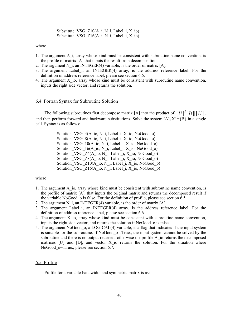Substitute VSG  $Z10(A_i, N_i)$ , Label i, X io) Substitute VSG Z16(A i, N i, Label i, X io)

where

- 1. The argument A i, array whose kind must be consistent with subroutine name convention, is the profile of matrix [A] that inputs the result from decomposition.
- 2. The argument N i, an INTEGER(4) variable, is the order of matrix  $[A]$ .
- 3. The argument Label\_i, an INTEGER(4) array, is the address reference label. For the definition of address reference label, please see section 6.6.
- 4. The argument X io, array whose kind must be consistent with subroutine name convention, inputs the right side vector, and returns the solution.

#### 6.4 Fortran Syntax for Subroutine Solution

The following subroutines first decompose matrix [A] into the product of  $[U]^{T}[D][[U]$ , and then perform forward and backward substitutions. Solve the system  $[A]\{X\}=\{B\}$  in a single call. Syntax is as follows:

> Solution VSG  $4(A \text{io}, N \text{ i}, Label i, X \text{io}, NoGood\ o)$ Solution VSG  $8(A_i, N_i)$ , Label i, X io, NoGood o) Solution VSG  $10(A \text{ io}, N \text{ i, Label } i, X \text{ io, NoGood } o)$ Solution VSG  $16(A_i, N_i)$ , Label i, X io, NoGood o) Solution VSG  $Z4(A \text{io}, N \text{ i}, \text{Label } i, X \text{io}, \text{NoGood } o)$ Solution\_VSG\_Z8(A\_io, N\_i, Label\_i, X\_io, NoGood\_o) Solution VSG  $Z10(A_i, N_i)$ , Label i, X io, NoGood o) Solution VSG  $Z16(A_i, N_i)$ , Label i, X io, NoGood o)

## where

- 1. The argument A\_io, array whose kind must be consistent with subroutine name convention, is the profile of matrix [A], that inputs the original matrix and returns the decomposed result if the variable NoGood\_o is false. For the definition of profile, please see section 6.5.
- 2. The argument N i, an INTEGER(4) variable, is the order of matrix [A].
- 3. The argument Label\_i, an INTEGER(4) array, is the address reference label. For the definition of address reference label, please see section 6.6.
- 4. The argument X\_io, array whose kind must be consistent with subroutine name convention, inputs the right side vector, and returns the solution if NoGood\_o is false.
- 5. The argument NoGood\_o, a LOGICAL(4) variable, is a flag that indicates if the input system is suitable for the subroutine. If NoGood o=.True., the input system cannot be solved by the subroutine and there is no output returned; otherwise the profile A io returns the decomposed matrices  $[U]$  and  $[D]$ , and vector X io returns the solution. For the situation where NoGood o=.True., please see section 6.7.

#### 6.5 Profile

Profile for a variable-bandwidth and symmetric matrix is as: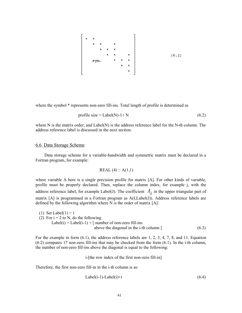

where the symbol  $*$  represents non-zero fill-ins. Total length of profile is determined as

$$
profile size = Label(N)-1+N
$$
\n(6.2)

where N is the matrix order, and Label(N) is the address reference label for the N-th column. The address reference label is discussed in the next section.

### 6.6 Data Storage Scheme

Data storage scheme for a variable-bandwidth and symmetric matrix must be declared in a Fortran program, for example:

$$
REAL(4) :: A(1,1)
$$

where variable A here is a single precision profile for matrix [A]. For other kinds of variable, profile must be properly declared. Then, replace the column index, for example j, with the address reference label, for example Label(J). The coefficient  $A_{ij}$  in the upper triangular part of matrix [A] is programmed in a Fortran program as A(I,Label(J)). Address reference labels are defined by the following algorithm where N is the order of matrix [A]:

(1) Set Label(1) = 1 (2) For  $i = 2$  to N, do the following Label(i) = Label(i-1) + [ number of non-zero fill-ins above the diagonal in the i-th column ] (6.3)

For the example in form  $(6.1)$ , the address reference labels are 1, 2, 3, 4, 7, 8, and 11. Equation (6.2) computes 17 non-zero fill-ins that may be checked from the form (6.1). In the i-th column, the number of non-zero fill-ins above the diagonal is equal to the following:

i-[the row index of the first non-zero fill-in]

Therefore, the first non-zero fill-in in the i-th column is as:

$$
Label(i-1)-Label(i)+i
$$
\n
$$
(6.4)
$$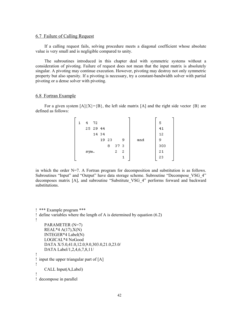#### 6.7 Failure of Calling Request

If a calling request fails, solving procedure meets a diagonal coefficient whose absolute value is very small and is negligible compared to unity.

The subroutines introduced in this chapter deal with symmetric systems without a consideration of pivoting. Failure of request does not mean that the input matrix is absolutely singular. A pivoting may continue execution. However, pivoting may destroy not only symmetric property but also sparsity. If a pivoting is necessary, try a constant-bandwidth solver with partial pivoting or a dense solver with pivoting.

## 6.8 Fortran Example

For a given system  $[A]{X}=\{B\}$ , the left side matrix  $[A]$  and the right side vector  ${B}$  are defined as follows:

| 1 | 4    | 72       |       |   |     |   |     | 5   |
|---|------|----------|-------|---|-----|---|-----|-----|
|   |      | 25 29 44 |       |   |     |   |     | 41  |
|   |      | 14 34    |       |   |     |   |     | 12  |
|   |      |          | 19 23 |   |     | 9 | and | 9   |
|   |      |          |       | 8 | 373 |   |     | 303 |
|   | sym. |          |       |   | 2   | 2 |     | 21  |
|   |      |          |       |   |     |   |     | 23  |

in which the order  $N=7$ . A Fortran program for decomposition and substitution is as follows. Subroutines "Input" and "Output" have data storage scheme. Subroutine "Decompose VSG 4" decomposes matrix [A], and subroutine "Substitute\_VSG\_4" performs forward and backward substitutions.

```
! *** Example program ***
! define variables where the length of A is determined by equation (6.2)
!
     PARAMETER (N=7)
    REAL*4 A(17), X(N) INTEGER*4 Label(N)
     LOGICAL*4 NoGood
     DATA X/5.0,41.0,12.0,9.0,303.0,21.0,23.0/
     DATA Label/1,2,4,6,7,8,11/
!
! input the upper triangular part of [A]
!
     CALL Input(A,Label)
!
! decompose in parallel
```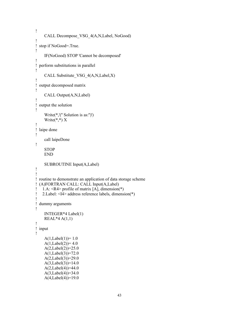```
!
      CALL Decompose_VSG_4(A,N,Label, NoGood)
!
! stop if NoGood=.True.
!
      IF(NoGood) STOP 'Cannot be decomposed'
!
! perform substitutions in parallel
!
      CALL Substitute_VSG_4(A,N,Label,X)
!
! output decomposed matrix
!
      CALL Output(A,N,Label)
!
! output the solution
!
      Write(*,'('' Solution is as:'')')
     Write(*,*) X
!
! laipe done
!
      call laipeDone
!
     STOP
      END
      SUBROUTINE Input(A,Label)
!
!
! routine to demonstrate an application of data storage scheme
! (A)FORTRAN CALL: CALL Input(A,Label)
! 1.A: \langle R4 \rangle profile of matrix [A], dimension(*)
! 2.Label: \langle \vec{14} \rangle address reference labels, dimension(*)
!
! dummy arguments
!
      INTEGER*4 Label(1)
     REAL*4 A(1,1)
!
! input
!
     A(1,Label(1))=1.0A(1,Label(2))=4.0A(2,Label(2)) = 25.0A(1,Label(3)) = 72.0A(2,Label(3))=29.0A(3,Label(3))=14.0A(2,Label(4)) = 44.0A(3,Label(4)) = 34.0 A(4,Label(4))=19.0
```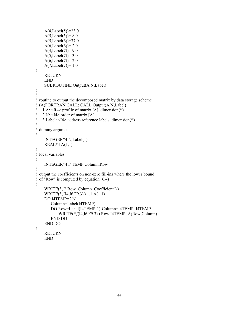```
A(4,Label(5))=23.0A(5,Label(5)) = 8.0A(5,Label(6))=37.0A(6,Label(6))=2.0A(4,Label(7)) = 9.0A(5,Label(7)) = 3.0A(6,Label(7))=2.0A(7,Label(7))=1.0!
     RETURN
     END
     SUBROUTINE Output(A,N,Label)
!
!
! routine to output the decomposed matrix by data storage scheme
! (A)FORTRAN CALL: CALL Output(A,N,Label)
! 1.A: <R4> profile of matrix [A], dimension(*)
! 2.N: \leq 14 order of matrix [A]
! 3.Label: <I4> address reference labels, dimension(*)
!
! dummy arguments
!
     INTEGER*4 N,Label(1)
    REAL*4 A(1,1)!
! local variables
!
     INTEGER*4 I4TEMP,Column,Row
!
! output the coefficients on non-zero fill-ins where the lower bound
! of "Row" is computed by equation (6.4)
!
     WRITE(*,'('' Row Column Coefficient'')')
     WRITE(*,'(I4,I6,F9.3)') 1,1,A(1,1)
     DO I4TEMP=2,N
         Column=Label(I4TEMP)
         DO Row=Label(I4TEMP-1)-Column+I4TEMP, I4TEMP
            WRITE(*,'(I4,I6,F9.3)') Row,I4TEMP, A(Row,Column)
         END DO
     END DO
!
     RETURN
     END
```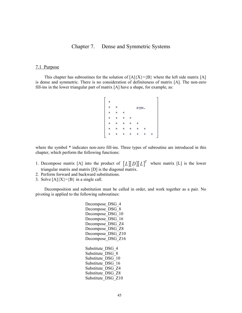Chapter 7. Dense and Symmetric Systems

## 7.1 Purpose

This chapter has subroutines for the solution of  $[A]\{X\}=\{B\}$  where the left side matrix [A] is dense and symmetric. There is no consideration of definiteness of matrix [A]. The non-zero fill-ins in the lower triangular part of matrix [A] have a shape, for example, as:

where the symbol \* indicates non-zero fill-ins. Three types of subroutine are introduced in this chapter, which perform the following functions:

- 1. Decompose matrix [A] into the product of  $[L][D][L]^T$  where matrix [L] is the lower triangular matrix and matrix [D] is the diagonal matrix.
- 2. Perform forward and backward substitutions.
- 3. Solve  $[A]\{X\}=\{B\}$  in a single call.

Decomposition and substitution must be called in order, and work together as a pair. No pivoting is applied to the following subroutines:

> Decompose DSG 4 Decompose DSG 8 Decompose DSG 10 Decompose DSG 16 Decompose\_DSG\_Z4 Decompose DSG\_Z8 Decompose DSG Z10 Decompose DSG Z16 Substitute DSG 4 Substitute DSG 8 Substitute DSG 10 Substitute DSG 16 Substitute\_DSG\_Z4 Substitute\_DSG\_Z8 Substitute DSG Z10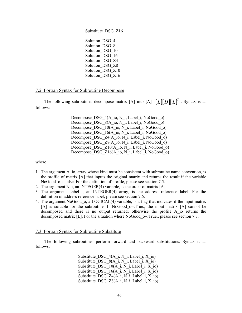Substitute\_DSG\_Z16 Solution DSG 4 Solution\_DSG\_8 Solution\_DSG\_10 Solution DSG 16 Solution DSG Z4 Solution\_DSG\_Z8 Solution DSG\_Z10 Solution\_DSG\_Z16

## 7.2 Fortran Syntax for Subroutine Decompose

The following subroutines decompose matrix [A] into  $[A] = [L][D][L]^T$ . Syntax is as follows:

> Decompose DSG 4(A\_io, N\_i, Label\_i, NoGood\_o) Decompose DSG 8(A\_io, N\_i, Label\_i, NoGood\_o) Decompose DSG 10(A io, N i, Label i, NoGood o) Decompose DSG\_16(A\_io, N\_i, Label\_i, NoGood\_o) Decompose DSG Z4(A\_io, N\_i, Label\_i, NoGood\_o) Decompose DSG Z8(A\_io, N\_i, Label\_i, NoGood\_o) Decompose DSG Z10(A io, N i, Label i, NoGood o) Decompose\_DSG\_Z16(A\_io, N\_i, Label\_i, NoGood\_o)

where

- 1. The argument A\_io, array whose kind must be consistent with subroutine name convention, is the profile of matrix [A] that inputs the original matrix and returns the result if the variable NoGood o is false. For the definition of profile, please see section 7.5.
- 2. The argument N i, an INTEGER(4) variable, is the order of matrix  $[A]$ .
- 3. The argument Label\_i, an INTEGER(4) array, is the address reference label. For the definition of address reference label, please see section 7.6.
- 4. The argument NoGood\_o, a LOGICAL(4) variable, is a flag that indicates if the input matrix [A] is suitable for the subroutine. If NoGood o=.True., the input matrix [A] cannot be decomposed and there is no output returned; otherwise the profile A\_io returns the decomposed matrix [L]. For the situation where NoGood  $\sigma$ =.True., please see section 7.7.

#### 7.3 Fortran Syntax for Subroutine Substitute

The following subroutines perform forward and backward substitutions. Syntax is as follows:

> Substitute DSG  $4(A_i, N_i)$ , Label i, X io) Substitute DSG  $8(A_i, N_i)$ , Label i, X io) Substitute DSG  $10(A_i, N_i)$ , Label i, X io) Substitute DSG  $16(A_i, N_i)$ , Label i, X io) Substitute DSG  $Z4(A_i, N_i)$ , Label i, X io) Substitute DSG  $Z8(A_i, N_i)$ , Label i, X io)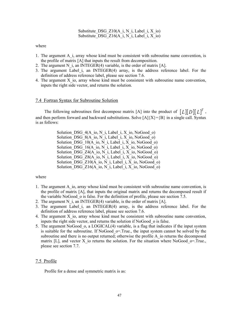Substitute DSG  $Z10(A_i, N_i)$ , Label i, X io) Substitute DSG Z16(A i, N i, Label i, X io)

where

- 1. The argument A\_i, array whose kind must be consistent with subroutine name convention, is the profile of matrix [A] that inputs the result from decomposition.
- 2. The argument N i, an INTEGER(4) variable, is the order of matrix  $[A]$ .
- 3. The argument Label\_i, an INTEGER(4) array, is the address reference label. For the definition of address reference label, please see section 7.6.
- 4. The argument X io, array whose kind must be consistent with subroutine name convention, inputs the right side vector, and returns the solution.

#### 7.4 Fortran Syntax for Subroutine Solution

The following subroutines first decompose matrix [A] into the product of  $[L][D][L]^T$ , and then perform forward and backward substitutions. Solve  $[A]\{X\}=\{B\}$  in a single call. Syntax is as follows:

> Solution DSG  $4(A \text{ io}, N \text{ i}, Label i, X \text{ io}, NoGood\ o)$ Solution DSG  $8(A_i, N_i)$ , Label i, X io, NoGood o) Solution DSG  $10(A_i, N_i)$ , Label i, X io, NoGood o) Solution DSG  $16(A_i, N_i)$ , Label i, X io, NoGood o) Solution\_DSG\_Z4(A\_io, N\_i, Label\_i, X\_io, NoGood\_o) Solution DSG  $Z8(A_i, N_i)$ , Label i, X io, NoGood o) Solution DSG  $Z10(A_i, N_i)$ , Label i, X io, NoGood o) Solution\_DSG\_Z16(A\_io, N\_i, Label\_i, X\_io, NoGood\_o)

#### where

- 1. The argument A io, array whose kind must be consistent with subroutine name convention, is the profile of matrix [A], that inputs the original matrix and returns the decomposed result if the variable NoGood\_o is false. For the definition of profile, please see section 7.5.
- 2. The argument N i, an INTEGER(4) variable, is the order of matrix  $[A]$ .
- 3. The argument Label i, an INTEGER(4) array, is the address reference label. For the definition of address reference label, please see section 7.6.
- 4. The argument X\_io, array whose kind must be consistent with subroutine name convention, inputs the right side vector, and returns the solution if NoGood\_o is false.
- 5. The argument NoGood\_o, a LOGICAL(4) variable, is a flag that indicates if the input system is suitable for the subroutine. If NoGood  $\sigma$ =.True., the input system cannot be solved by the subroutine and there is no output returned; otherwise the profile A io returns the decomposed matrix [L], and vector X io returns the solution. For the situation where NoGood  $\sigma$ =.True., please see section 7.7.

#### 7.5 Profile

Profile for a dense and symmetric matrix is as: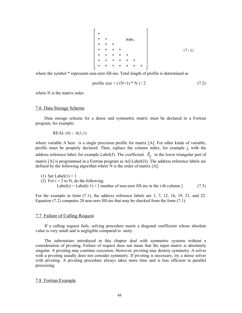$\begin{array}{|cccccccccccc|}\hline\hline\texttt{t} & \texttt{t} & \texttt{t} & \texttt{t} & \texttt{t} & \texttt{t} & \texttt{t} & \texttt{t} & \texttt{t} & \texttt{t} & \texttt{t} & \texttt{t} & \texttt{t} & \texttt{t} & \texttt{t} & \texttt{t} & \texttt{t} & \texttt{t} & \texttt{t} & \texttt{t} & \texttt{t} & \texttt{t} & \texttt{t} & \texttt{t} & \texttt{t} & \texttt{t} & \texttt{t} & \texttt{t} & \texttt{t} & \$  $(7.1)$ 

where the symbol  $*$  represents non-zero fill-ins. Total length of profile is determined as

$$
profile size = ( (N+1)*N ) / 2 \t\t(7.2)
$$

where N is the matrix order.

## 7.6 Data Storage Scheme

Data storage scheme for a dense and symmetric matrix must be declared in a Fortran program, for example:

REAL  $(4)$  :: A $(1,1)$ 

where variable A here is a single precision profile for matrix [A]. For other kinds of variable, profile must be properly declared. Then, replace the column index, for example j, with the address reference label, for example Label(J). The coefficient  $A_{ii}$  in the lower triangular part of matrix  $[A]$  is programmed in a Fortran program as  $A(I, Label(J))$ . The address reference labels are defined by the following algorithm where N is the order of matrix [A]:

(1) Set Label(1) = 1 (2) For  $i = 2$  to N, do the following: Label(i) = Label(i-1) + [ number of non-zero fill-ins in the i-th column ] (7.3)

For the example in form  $(7.1)$ , the address reference labels are 1, 7, 12, 16, 19, 21, and 22. Equation (7.2) computes 28 non-zero fill-ins that may be checked from the form (7.1).

#### 7.7 Failure of Calling Request

If a calling request fails, solving procedure meets a diagonal coefficient whose absolute value is very small and is negligible compared to unity.

The subroutines introduced in this chapter deal with symmetric systems without a consideration of pivoting. Failure of request does not mean that the input matrix is absolutely singular. A pivoting may continue execution. However, pivoting may destroy symmetry. A solver with a pivoting usually does not consider symmetry. If pivoting is necessary, try a dense solver with pivoting. A pivoting procedure always takes more time and is less efficient in parallel processing.

#### 7.8 Fortran Example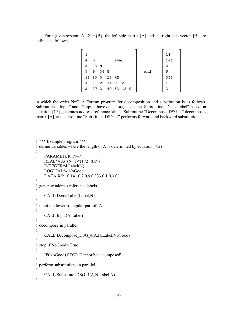For a given system  $[A]\{X\}=\{B\}$ , the left side matrix  $[A]$  and the right side vector  $\{B\}$  are defined as follows:

|   |               |      |             |  |     | 21  |
|---|---------------|------|-------------|--|-----|-----|
| 4 | -5            |      | sym.        |  |     | 141 |
| 2 | 29 4          |      |             |  |     | 2   |
| з | 9             | 34 8 |             |  | and | 9   |
|   | 12 23 3 23 45 |      |             |  |     | 333 |
| 4 | 2.            |      | $22$ 11 7 2 |  |     |     |
| 2 | 273           |      | 49 33 12 9  |  |     | з   |
|   |               |      |             |  |     |     |

in which the order  $N=7$ . A Fortran program for decomposition and substitution is as follows. Subroutines "Input" and "Output" have data storage scheme. Subroutine "DenseLabel" based on equation (7.3) generates address reference labels. Subroutine "Decompose\_DSG\_4" decomposes matrix [A], and subroutine "Substitute DSG 4" performs forward and backward substitutions.

```
! *** Example program ***
! define variables where the length of A is determined by equation (7.2)
!
     PARAMETER (N=7)
    REAL*4 A(((N+1)*N)/2), X(N) INTEGER*4 Label(N)
     LOGICAL*4 NoGood
     DATA X/21.0,141.0,2.0,9.0,333.0,1.0,3.0/
!
! generate address reference labels
!
     CALL DenseLabel(Label,N)
!
! input the lower triangular part of [A]
!
     CALL Input(A,Label)
!
! decompose in parallel
!
     CALL Decompose_DSG_4(A,N,Label,NoGood)
!
! stop if NoGood=.True.
!
     IF(NoGood) STOP 'Cannot be decomposed'
!
! perform substitutions in parallel
!
     CALL Substitute_DSG_4(A,N,Label,X)
!
```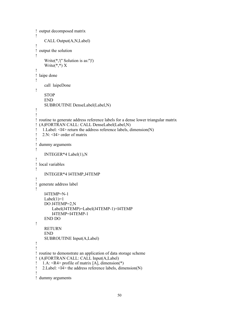```
! output decomposed matrix
!
     CALL Output(A,N,Label)
!
! output the solution
!
     Write(*,'('' Solution is as:'')')
    Write(*,*) X
!
! laipe done
!
     call laipeDone
!
     STOP
     END
     SUBROUTINE DenseLabel(Label,N)
!
!
! routine to generate address reference labels for a dense lower triangular matrix
! (A)FORTRAN CALL: CALL DenseLabel(Label,N)
! 1.Label: <I4> return the address reference labels, dimension(N)
! 2.N: <I4> order of matrix
!
! dummy arguments
!
     INTEGER*4 Label(1),N
!
! local variables
!
     INTEGER*4 I4TEMP,J4TEMP
!
! generate address label
!
     I4TEMP=N-1
    Label(1)=1 DO J4TEMP=2,N
         Label(J4TEMP)=Label(J4TEMP-1)+I4TEMP
         I4TEMP=I4TEMP-1
     END DO
!
     RETURN
     END
     SUBROUTINE Input(A,Label)
!
!
! routine to demonstrate an application of data storage scheme
! (A)FORTRAN CALL: CALL Input(A,Label)
! 1.A: <R4> profile of matrix [A], dimension(*)
! 2. Label: \langle \vec{14} \rangle the address reference labels, dimension(N)
!
! dummy arguments
```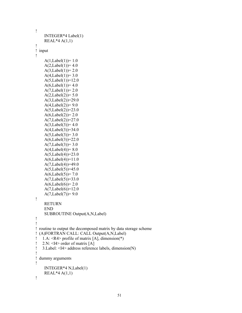```
!
     INTEGER*4 Label(1)
    REAL*4 A(1,1)!
! input
!
    A(1,Label(1))=1.0A(2,Label(1))=4.0A(3,Label(1)) = 2.0A(4,Label(1)) = 3.0A(5,Label(1))=12.0A(6,Label(1))=4.0A(7,Label(1)) = 2.0A(2,Label(2)) = 5.0A(3,Label(2)) = 29.0A(4,Label(2)) = 9.0A(5,Label(2))=23.0A(6,Label(2))=2.0A(7,Label(2))=27.0A(3,Label(3))=4.0A(4,Label(3))=34.0A(5,Label(3))=3.0A(6,Label(3))=22.0A(7,Label(3)) = 3.0A(4,Label(4)) = 8.0A(5,Label(4))=23.0A(6,Label(4))=11.0A(7,Label(4))=49.0A(5,Label(5))=45.0A(6,Label(5)) = 7.0A(7,Label(5))=33.0A(6,Label(6))=2.0A(7,Label(6))=12.0A(7,Label(7)) = 9.0!
     RETURN
     END
     SUBROUTINE Output(A,N,Label)
!
!
! routine to output the decomposed matrix by data storage scheme
! (A)FORTRAN CALL: CALL Output(A,N,Label)
! 1.A: <R4> profile of matrix [A], dimension(*)
! 2.N: \leq 14 order of matrix [A]
! 3.Label: <I4> address reference labels, dimension(N)
!
! dummy arguments
!
     INTEGER*4 N,Label(1)
    REAL*4 A(1,1)!
```

```
51
```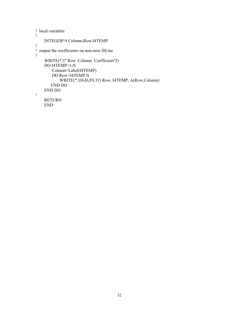```
! local variables
!
     INTEGER*4 Column,Row,I4TEMP
!
! output the coefficients on non-zero fill-ins
!
     WRITE(*,'('' Row Column Coefficient'')')
     DO I4TEMP=1,N
         Column=Label(I4TEMP)
         DO Row=I4TEMP,N
             WRITE(*,'(I4,I6,F9.3)') Row, I4TEMP, A(Row,Column)
        END DO
     END DO
!
     RETURN
     END
```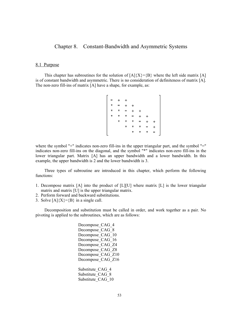# Chapter 8. Constant-Bandwidth and Asymmetric Systems

## 8.1 Purpose

This chapter has subroutines for the solution of  $[A]\{X\}=\{B\}$  where the left side matrix [A] is of constant bandwidth and asymmetric. There is no consideration of definiteness of matrix [A]. The non-zero fill-ins of matrix [A] have a shape, for example, as:

where the symbol "+" indicates non-zero fill-ins in the upper triangular part, and the symbol "=" indicates non-zero fill-ins on the diagonal, and the symbol "\*" indicates non-zero fill-ins in the lower triangular part. Matrix [A] has an upper bandwidth and a lower bandwidth. In this example, the upper bandwidth is 2 and the lower bandwidth is 3.

Three types of subroutine are introduced in this chapter, which perform the following functions:

- 1. Decompose matrix [A] into the product of [L][U] where matrix [L] is the lower triangular matrix and matrix [U] is the upper triangular matrix.
- 2. Perform forward and backward substitutions.
- 3. Solve  $[A]\{X\} = \{B\}$  in a single call.

Decomposition and substitution must be called in order, and work together as a pair. No pivoting is applied to the subroutines, which are as follows:

> Decompose CAG 4 Decompose CAG 8 Decompose CAG 10 Decompose CAG 16 Decompose\_CAG\_Z4 Decompose CAG Z8 Decompose CAG Z10 Decompose CAG Z16 Substitute CAG 4 Substitute CAG 8 Substitute CAG 10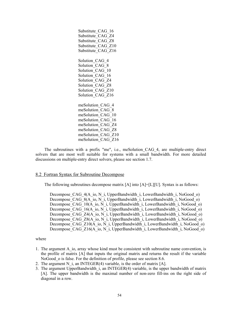Substitute CAG 16 Substitute\_CAG\_Z4 Substitute CAG Z8 Substitute CAG Z10 Substitute CAG Z16 Solution CAG 4 Solution CAG 8 Solution CAG 10 Solution CAG 16 Solution CAG Z4 Solution\_CAG\_Z8 Solution CAG Z10 Solution CAG Z16 meSolution\_CAG\_4 meSolution\_CAG\_8 meSolution\_CAG\_10 meSolution\_CAG\_16 meSolution\_CAG\_Z4 meSolution\_CAG\_Z8 meSolution\_CAG\_Z10 meSolution\_CAG\_Z16

The subroutines with a prefix "me", i.e., meSolution\_CAG\_4, are multiple-entry direct solvers that are most well suitable for systems with a small bandwidth. For more detailed discussions on multiple-entry direct solvers, please see section 1.7.

### 8.2 Fortran Syntax for Subroutine Decompose

The following subroutines decompose matrix  $[A]$  into  $[A]=[L][U]$ . Syntax is as follows:

Decompose CAG 4(A\_io, N\_i, UpperBandwidth\_i, LowerBandwidth\_i, NoGood\_o) Decompose CAG  $8(A_i, N_i)$  i, UpperBandwidth i, LowerBandwidth i, NoGood o) Decompose CAG\_10(A\_io, N\_i, UpperBandwidth\_i, LowerBandwidth\_i, NoGood\_o) Decompose CAG\_16(A\_io, N\_i, UpperBandwidth\_i, LowerBandwidth\_i, NoGood\_o) Decompose CAG Z4(A\_io, N\_i, UpperBandwidth\_i, LowerBandwidth\_i, NoGood\_o) Decompose\_CAG\_Z8(A\_io, N\_i, UpperBandwidth\_i, LowerBandwidth\_i, NoGood\_o) Decompose CAG\_Z10(A\_io, N\_i, UpperBandwidth\_i, LowerBandwidth\_i, NoGood\_o) Decompose  $CAG$   $Z16(A_io, N_1i, UpperBandwidth_i, LowerBandwidth_i, NoGood_o)$ 

- 1. The argument A\_io, array whose kind must be consistent with subroutine name convention, is the profile of matrix [A] that inputs the original matrix and returns the result if the variable NoGood o is false. For the definition of profile, please see section 8.6.
- 2. The argument N i, an INTEGER(4) variable, is the order of matrix  $[A]$ .
- 3. The argument UpperBandwidth\_i, an INTEGER(4) variable, is the upper bandwidth of matrix [A]. The upper bandwidth is the maximal number of non-zero fill-ins on the right side of diagonal in a row.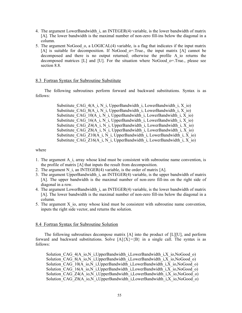- 4. The argument LowerBandwidth\_i, an INTEGER(4) variable, is the lower bandwidth of matrix [A]. The lower bandwidth is the maximal number of non-zero fill-ins below the diagonal in a column.
- 5. The argument NoGood\_o, a LOGICAL(4) variable, is a flag that indicates if the input matrix [A] is suitable for decomposition. If NoGood o=.True., the input matrix [A] cannot be decomposed and there is no output returned; otherwise the profile A\_io returns the decomposed matrices [L] and [U]. For the situation where NoGood\_o=.True., please see section 8.8.

## 8.3 Fortran Syntax for Subroutine Substitute

The following subroutines perform forward and backward substitutions. Syntax is as follows:

> Substitute CAG  $4(A_i, N_i)$  i, UpperBandwidth i, LowerBandwidth i, X io) Substitute CAG  $8(A_i, N_i, UpperBandwidth_i, LowerBandwidth_i, Xio)$ Substitute CAG\_10(A\_i, N\_i, UpperBandwidth\_i, LowerBandwidth\_i, X\_io) Substitute CAG\_16(A\_i, N\_i, UpperBandwidth\_i, LowerBandwidth\_i, X\_io) Substitute CAG  $Z4(A_i, N_i)$ , UpperBandwidth i, LowerBandwidth i, X io) Substitute CAG  $Z8(A_i, N_i)$ , UpperBandwidth i, LowerBandwidth i, X io) Substitute CAG Z10(A i, N i, UpperBandwidth i, LowerBandwidth i, X io) Substitute CAG  $Z16(A_i, N_i)$ , UpperBandwidth i, LowerBandwidth i, X io)

## where

- 1. The argument A\_i, array whose kind must be consistent with subroutine name convention, is the profile of matrix [A] that inputs the result from decomposition.
- 2. The argument N i, an INTEGER(4) variable, is the order of matrix  $[A]$ .
- 3. The argument UpperBandwidth\_i, an INTEGER(4) variable, is the upper bandwidth of matrix [A]. The upper bandwidth is the maximal number of non-zero fill-ins on the right side of diagonal in a row.
- 4. The argument LowerBandwidth i, an INTEGER(4) variable, is the lower bandwidth of matrix [A]. The lower bandwidth is the maximal number of non-zero fill-ins below the diagonal in a column.
- 5. The argument X\_io, array whose kind must be consistent with subroutine name convention, inputs the right side vector, and returns the solution.

## 8.4 Fortran Syntax for Subroutine Solution

The following subroutines decompose matrix [A] into the product of [L][U], and perform forward and backward substitutions. Solve  $[A]{X}=\{B\}$  in a single call. The syntax is as follows:

Solution CAG\_4(A\_io,N\_i,UpperBandwidth\_i,LowerBandwidth\_i,X\_io,NoGood\_o) Solution CAG 8(A\_io,N\_i,UpperBandwidth\_i,LowerBandwidth\_i,X\_io,NoGood\_o) Solution CAG\_10(A\_io,N\_i,UpperBandwidth\_i,LowerBandwidth\_i,X\_io,NoGood\_o) Solution\_CAG\_16(A\_io,N\_i,UpperBandwidth\_i,LowerBandwidth\_i,X\_io,NoGood\_o) Solution CAG Z4(A\_io,N\_i,UpperBandwidth\_i,LowerBandwidth\_i,X\_io,NoGood\_o) Solution CAG Z8(A\_io,N\_i,UpperBandwidth\_i,LowerBandwidth\_i,X\_io,NoGood\_o)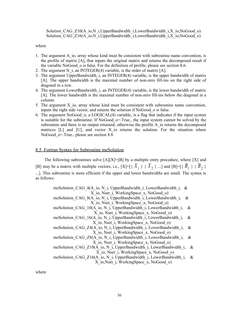Solution CAG Z10(A\_io,N\_i,UpperBandwidth\_i,LowerBandwidth\_i,X\_io,NoGood\_o) Solution CAG Z16(A\_io,N\_i,UpperBandwidth\_i,LowerBandwidth\_i,X\_io,NoGood\_o)

#### where

- 1. The argument A io, array whose kind must be consistent with subroutine name convention, is the profile of matrix [A], that inputs the original matrix and returns the decomposed result if the variable NoGood\_o is false. For the definition of profile, please see section 8.6.
- 2. The argument N i, an INTEGER(4) variable, is the order of matrix [A].
- 3. The argument UpperBandwidth\_i, an INTEGER(4) variable, is the upper bandwidth of matrix [A]. The upper bandwidth is the maximal number of non-zero fill-ins on the right side of diagonal in a row.
- 4. The argument LowerBandwidth\_i, an INTEGER(4) variable, is the lower bandwidth of matrix [A]. The lower bandwidth is the maximal number of non-zero fill-ins below the diagonal in a column.
- 5. The argument X\_io, array whose kind must be consistent with subroutine name convention, inputs the right side vector, and returns the solution if NoGood\_o is false.
- 6. The argument NoGood\_o, a LOGICAL(4) variable, is a flag that indicates if the input system is suitable for the subroutine. If NoGood o=.True., the input system cannot be solved by the subroutine and there is no output returned; otherwise the profile A io returns the decomposed matrices  $[L]$  and  $[U]$ , and vector X io returns the solution. For the situation where NoGood o=.True., please see section 8.8.

## 8.5 Fortran Syntax for Subroutine meSolution

The following subroutines solve  $[A][X]=[B]$  by a multiple entry procedure, where  $[X]$  and [B] may be a matrix with multiple vectors, i.e.,  $[X] = [{X_1} \{X_1\} \{X_2\} \dots]$  and  $[B] = [{B_1} \{B_2\} \{B_3\}$ ...]. This subroutine is more efficient if the upper and lower bandwidths are small. The syntax is as follows:

| meSolution CAG $4(A \text{ io}, N \text{ i}, UpperBandwidth \text{ i}, LowerBandwidth \text{ i}, \&$ |   |
|------------------------------------------------------------------------------------------------------|---|
| X io, Nset i, WorkingSpace x, NoGood o)                                                              |   |
| meSolution CAG 8(A io, N i, UpperBandwidth i, LowerBandwidth i,                                      | & |
| X io, Nset i, WorkingSpace x, NoGood o)                                                              |   |
| meSolution CAG 10(A io, N i, UpperBandwidth i, LowerBandwidth i,                                     | & |
| X io, Nset i, WorkingSpace x, NoGood o)                                                              |   |
| meSolution CAG 16(A io, N i, UpperBandwidth i, LowerBandwidth i,                                     | & |
| X io, Nset i, WorkingSpace x, NoGood o)                                                              |   |
| meSolution CAG Z4(A io, N i, UpperBandwidth i, LowerBandwidth i,                                     | & |
| X io, Nset i, WorkingSpace x, NoGood o)                                                              |   |
| meSolution CAG Z8(A io, N i, UpperBandwidth i, LowerBandwidth i,                                     | & |
| X io, Nset i, WorkingSpace x, NoGood o)                                                              |   |
| meSolution CAG Z10(A io, N i, UpperBandwidth i, LowerBandwidth i,                                    | & |
| X io, Nset i, WorkingSpace x, NoGood o)                                                              |   |
| meSolution CAG Z16(A io, N i, UpperBandwidth i, LowerBandwidth i,                                    | & |
| X io, Nset i, Working Space x, NoGood o)                                                             |   |
|                                                                                                      |   |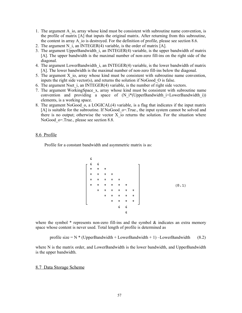- 1. The argument A\_io, array whose kind must be consistent with subroutine name convention, is the profile of matrix [A] that inputs the original matrix. After returning from this subroutine, the content in array A io is destroyed. For the definition of profile, please see section 8.6.
- 2. The argument N i, an INTEGER(4) variable, is the order of matrix  $[A]$ .
- 3. The argument UpperBandwidth\_i, an INTEGER(4) variable, is the upper bandwidth of matrix [A]. The upper bandwidth is the maximal number of non-zero fill-ins on the right side of the diagonal.
- 4. The argument LowerBandwidth\_i, an INTEGER(4) variable, is the lower bandwidth of matrix [A]. The lower bandwidth is the maximal number of non-zero fill-ins below the diagonal.
- 5. The argument X\_io, array whose kind must be consistent with subroutine name convention, inputs the right side vector(s), and returns the solution if NoGood\_O is false.
- 6. The argument Nset  $\tilde{i}$ , an INTEGER(4) variable, is the number of right side vectors.
- 7. The argument WorkingSpace\_x, array whose kind must be consistent with subroutine name convention and providing a space of  $(N_i^*(UpperBandwidth_i+LowerBandwidth_i))$ elements, is a working space.
- 8. The argument NoGood  $\sigma$ , a LOGICAL(4) variable, is a flag that indicates if the input matrix [A] is suitable for the subroutine. If NoGood  $o=$ . True., the input system cannot be solved and there is no output; otherwise the vector  $X$  io returns the solution. For the situation where NoGood o=.True., please see section 8.8.

# 8.6 Profile

Profile for a constant bandwidth and asymmetric matrix is as:

where the symbol  $*$  represents non-zero fill-ins and the symbol  $\&$  indicates an extra memory space whose content is never used. Total length of profile is determined as

profile size =  $N$  \* (UpperBandwidth + LowerBandwidth + 1) –LowerBandwidth (8.2)

where N is the matrix order, and LowerBandwidth is the lower bandwidth, and UpperBandwidth is the upper bandwidth.

#### 8.7 Data Storage Scheme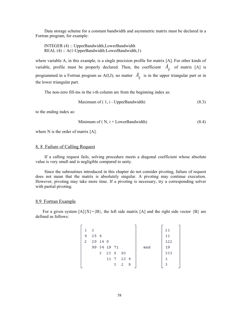Data storage scheme for a constant bandwidth and asymmetric matrix must be declared in a Fortran program, for example:

 INTEGER (4) :: UpperBandwidth,LowerBandwidth REAL (4) :: A(1-UpperBandwidth:LowerBandwidth,1)

where variable A, in this example, is a single precision profile for matrix [A]. For other kinds of variable, profile must be properly declared. Then, the coefficient  $A_{ij}$  of matrix [A] is programmed in a Fortran program as A(I,J), no matter  $A_{ij}$  is in the upper triangular part or in the lower triangular part.

The non-zero fill-ins in the i-th column are from the beginning index as:

Maximum of 
$$
(1, i - UpperBandwidth)
$$
 (8.3)

to the ending index as:

Minimum of ( N, 
$$
i + LowerBandwidth
$$
) (8.4)

where N is the order of matrix [A].

## 8. 8 Failure of Calling Request

If a calling request fails, solving procedure meets a diagonal coefficient whose absolute value is very small and is negligible compared to unity.

Since the subroutines introduced in this chapter do not consider pivoting, failure of request does not mean that the matrix is absolutely singular. A pivoting may continue execution. However, pivoting may take more time. If a pivoting is necessary, try a corresponding solver with partial pivoting.

## 8.9 Fortran Example

For a given system  $[A]{X}=\{B\}$ , the left side matrix  $[A]$  and the right side vector  $\{B\}$  are defined as follows:

|   | $\mathbf{1}$ | - 2 |         |             |           |             |  |     | 21  |  |
|---|--------------|-----|---------|-------------|-----------|-------------|--|-----|-----|--|
|   | 4            | 254 |         |             |           |             |  |     | 11  |  |
|   | 2            |     | 29 14 9 |             |           |             |  |     | 122 |  |
|   |              |     |         | 99 34 19 71 |           |             |  | and | 19  |  |
|   |              |     | 3.      |             | 23 5 93   |             |  |     | 333 |  |
|   |              |     |         |             | 11 7 22 4 |             |  |     |     |  |
|   |              |     |         |             | з.        | $2 \quad 9$ |  |     | 3   |  |
| - |              |     |         |             |           |             |  |     |     |  |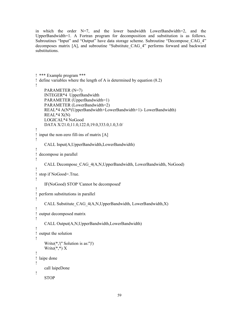```
in which the order N=7, and the lower bandwidth LowerBandwidth=2, and the
UpperBandwidth=1. A Fortran program for decomposition and substitution is as follows.
Subroutines "Input" and "Output" have data storage scheme. Subroutine "Decompose_CAG_4"
decomposes matrix [A], and subroutine "Substitute_CAG_4" performs forward and backward
substitutions.
```

```
! *** Example program ***
! define variables where the length of A is determined by equation (8.2)
!
     PARAMETER (N=7)
     INTEGER*4 UpperBandwidth
     PARAMETER (UpperBandwidth=1)
     PARAMETER (LowerBandwidth=2)
     REAL*4 A(N*(UpperBandwidth+LowerBandwidth+1)- LowerBandwidth)
    REAL*4 X(N) LOGICAL*4 NoGood
     DATA X/21.0,11.0,122.0,19.0,333.0,1.0,3.0/
!
! input the non-zero fill-ins of matrix [A]
!
     CALL Input(A,UpperBandwidth,LowerBandwidth)
!
! decompose in parallel
!
     CALL Decompose_CAG_4(A,N,UpperBandwidth, LowerBandwidth, NoGood)
!
! stop if NoGood=.True.
!
     IF(NoGood) STOP 'Cannot be decomposed'
!
! perform substitutions in parallel
!
     CALL Substitute_CAG_4(A,N,UpperBandwidth, LowerBandwidth,X)
!
! output decomposed matrix
!
     CALL Output(A,N,UpperBandwidth,LowerBandwidth)
!
! output the solution
!
     Write(*,'('' Solution is as:'')')
    Write(*,*) X
!
! laipe done
!
     call laipeDone
!
     STOP
```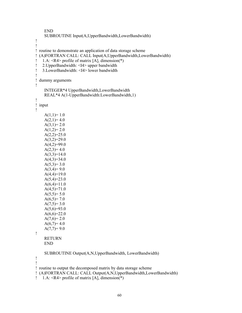```
 END
     SUBROUTINE Input(A,UpperBandwidth,LowerBandwidth)
!
!
! routine to demonstrate an application of data storage scheme
! (A)FORTRAN CALL: CALL Input(A,UpperBandwidth,LowerBandwidth)
! 1.A: \langle R4 \rangle profile of matrix [A], dimension(*)
! 2.UpperBandwidth: <I4> upper bandwidth
! 3.LowerBandwidth: <I4> lower bandwidth
!
! dummy arguments
!
     INTEGER*4 UpperBandwidth,LowerBandwidth
     REAL*4 A(1-UpperBandwidth:LowerBandwidth,1)
!
! input
!
    A(1,1)=1.0A(2,1)=4.0A(3,1)=2.0A(1,2)=2.0A(2,2)=25.0A(3,2)=29.0A(4,2)=99.0A(2,3)=4.0A(3,3)=14.0A(4,3)=34.0A(5,3)=3.0A(3,4)=9.0A(4,4)=19.0A(5,4)=23.0A(6,4)=11.0A(4,5)=71.0A(5,5)=5.0A(6,5)=7.0A(7,5)=3.0A(5,6)=93.0A(6,6)=22.0A(7,6)=2.0A(6,7)=4.0A(7,7)=9.0!
     RETURN
     END
     SUBROUTINE Output(A,N,UpperBandwidth, LowerBandwidth)
!
!
! routine to output the decomposed matrix by data storage scheme
! (A)FORTRAN CALL: CALL Output(A,N,UpperBandwidth,LowerBandwidth)
```

```
! 1.A: <R4> profile of matrix [A], dimension(*)
```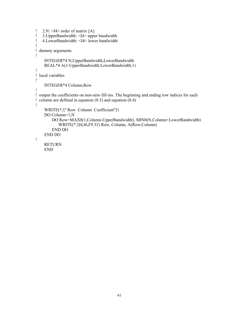```
! 2.N: \leq I4 order of matrix [A]
! 3.UpperBandwidth: <I4> upper bandwidth
! 4.LowerBandwidth: <I4> lower bandwidth
!
! dummy arguments
!
     INTEGER*4 N,UpperBandwidth,LowerBandwidth
     REAL*4 A(1-UpperBandwidth:LowerBandwidth,1)
!
! local variables
!
     INTEGER*4 Column,Row
!
! output the coefficients on non-zero fill-ins. The beginning and ending row indices for each
! column are defined in equation (8.3) and equation (8.4)
!
     WRITE(*,'('' Row Column Coefficient'')')
     DO Column=1,N
         DO Row=MAX0(1,Column-UpperBandwidth), MIN0(N,Column+LowerBandwidth)
            WRITE(*,'(I4,I6,F9.3)') Row, Column, A(Row,Column)
         END DO
     END DO
!
     RETURN
```

```
 END
```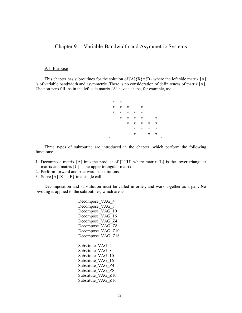# Chapter 9. Variable-Bandwidth and Asymmetric Systems

## 9.1 Purpose

This chapter has subroutines for the solution of  $[A]{X}=\{B\}$  where the left side matrix [A] is of variable bandwidth and asymmetric. There is no consideration of definiteness of matrix [A]. The non-zero fill-ins in the left side matrix [A] have a shape, for example, as:

|  | $^\mathrm{+}$ | $\pmb{\pi}$   |             | *           |   |         |  |
|--|---------------|---------------|-------------|-------------|---|---------|--|
|  | $\star$       | $\star$       | *           | *           |   |         |  |
|  | $\star$       | $\pmb{\pi}$ . | $\pmb{\pi}$ | $\pmb{\pi}$ |   | $\star$ |  |
|  |               | $\star$       | $\star$     | $\pmb{\pi}$ | * | *       |  |
|  |               |               | *           | *           | * | *       |  |
|  |               |               | *           |             | * | $\star$ |  |
|  |               |               |             |             |   |         |  |

Three types of subroutine are introduced in the chapter, which perform the following functions:

- 1. Decompose matrix [A] into the product of [L][U] where matrix [L] is the lower triangular matrix and matrix [U] is the upper triangular matrix.
- 2. Perform forward and backward substitutions.
- 3. Solve  $[A]\{X\} = \{B\}$  in a single call.

Decomposition and substitution must be called in order, and work together as a pair. No pivoting is applied to the subroutines, which are as:

> Decompose VAG 4 Decompose VAG 8 Decompose VAG 10 Decompose VAG 16 Decompose\_VAG\_Z4 Decompose\_VAG\_Z8 Decompose VAG Z10 Decompose VAG Z16 Substitute VAG 4 Substitute VAG 8 Substitute VAG 10 Substitute VAG 16 Substitute\_VAG\_Z4 Substitute\_VAG\_Z8 Substitute\_VAG\_Z10 Substitute VAG Z16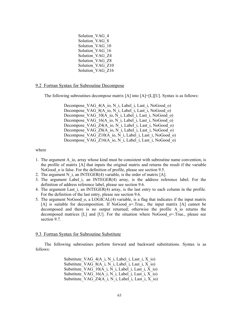Solution VAG 4 Solution VAG 8 Solution\_VAG\_10 Solution VAG 16 Solution\_VAG\_Z4 Solution\_VAG\_Z8 Solution VAG Z10 Solution VAG Z16

## 9.2 Fortran Syntax for Subroutine Decompose

The following subroutines decompose matrix [A] into [A]=[L][U]. Syntax is as follows:

Decompose VAG 4(A\_io, N\_i, Label\_i, Last\_i, NoGood\_o) Decompose VAG 8(A\_io, N\_i, Label\_i, Last\_i, NoGood\_o) Decompose VAG 10(A io, N i, Label i, Last i, NoGood o) Decompose VAG 16(A io, N i, Label i, Last i, NoGood o) Decompose VAG  $Z4(A_i \text{io}, N_i)$ , Label i, Last i, NoGood o) Decompose VAG Z8(A\_io, N\_i, Label\_i, Last\_i, NoGood\_o) Decompose VAG  $Z10(A \text{io}, N \text{ i}, Label \text{ i}, Last \text{ i}, NoGood \text{ o})$ Decompose VAG  $Z16(A_0, N_1, \text{Label}_1, \text{Last}_1, \text{NoGood}_0)$ 

where

- 1. The argument A\_io, array whose kind must be consistent with subroutine name convention, is the profile of matrix [A] that inputs the original matrix and returns the result if the variable NoGood o is false. For the definition of profile, please see section 9.5.
- 2. The argument N i, an INTEGER(4) variable, is the order of matrix  $[A]$ .
- 3. The argument Label\_i, an INTEGER(4) array, is the address reference label. For the definition of address reference label, please see section 9.6.
- 4. The argument Last  $i$ , an INTEGER(4) array, is the last entry to each column in the profile. For the definition of the last entry, please see section 9.6.
- 5. The argument NoGood\_o, a LOGICAL(4) variable, is a flag that indicates if the input matrix [A] is suitable for decomposition. If NoGood o=.True., the input matrix [A] cannot be decomposed and there is no output returned; otherwise the profile A\_io returns the decomposed matrices [L] and [U]. For the situation where NoGood\_o=.True., please see section 9.7.

#### 9.3 Fortran Syntax for Subroutine Substitute

The following subroutines perform forward and backward substitutions. Syntax is as follows:

> Substitute VAG  $4(A_i, N_i)$ , Label i, Last i, X io) Substitute VAG  $8(A_i, N_i)$ , Label i, Last i, X io) Substitute VAG  $10(A_i, N_i)$ , Label i, Last i, X io) Substitute VAG  $16(A_i, N_i)$ , Label i, Last i, X io) Substitute VAG  $Z4(A_i, N_i)$ , Label i, Last i, X io)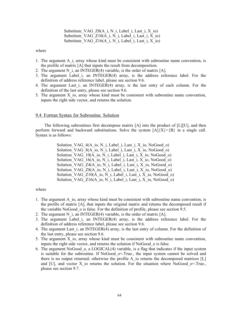Substitute VAG  $Z8(A_i, N_i)$ , Label i, Last i, X io) Substitute VAG Z10(A i, N i, Label\_i, Last\_i, X\_io) Substitute VAG Z16(A i, N i, Label i, Last i, X io)

where

- 1. The argument A\_i, array whose kind must be consistent with subroutine name convention, is the profile of matrix [A] that inputs the result from decomposition.
- 2. The argument N i, an INTEGER(4) variable, is the order of matrix  $[A]$ .
- 3. The argument Label\_i, an INTEGER(4) array, is the address reference label. For the definition of address reference label, please see section 9.6.
- 4. The argument Last i, an INTEGER(4) array, is the last entry of each column. For the definition of the last entry, please see section 9.6.
- 5. The argument X\_io, array whose kind must be consistent with subroutine name convention, inputs the right side vector, and returns the solution.

#### 9.4 Fortran Syntax for Subroutine Solution

The following subroutines first decompose matrix [A] into the product of [L][U], and then perform forward and backward substitutions. Solve the system  $[A]\{X\}=\{B\}$  in a single call. Syntax is as follows:

> Solution VAG  $4(A \text{ io}, N \text{ i}, Label i, Last i, X \text{ io}, NoGood\ o)$ Solution VAG  $8(A_i, N_i)$ , Label i, Last i, X io, NoGood o) Solution VAG  $10(A_i, \overline{N})$  i, Label i, Last i, X io, NoGood o) Solution VAG  $16(A_i, N_i)$ , Label i, Last i, X io, NoGood o) Solution VAG  $Z4(A_i, N_i)$ , Label i, Last i, X io, NoGood o) Solution VAG  $Z8(A_i, N_i)$ , Label i, Last i, X io, NoGood o) Solution VAG Z10(A\_io, N\_i, Label\_i, Last\_i, X\_io, NoGood\_o) Solution\_VAG\_Z16(A\_io, N\_i, Label\_i, Last\_i, X\_io, NoGood\_o)

- 1. The argument A\_io, array whose kind must be consistent with subroutine name convention, is the profile of matrix [A], that inputs the original matrix and returns the decomposed result if the variable NoGood\_o is false. For the definition of profile, please see section 9.5.
- 2. The argument N i, an INTEGER(4) variable, is the order of matrix  $[A]$ .
- 3. The argument Label\_i, an INTEGER(4) array, is the address reference label. For the definition of address reference label, please see section 9.6.
- 4. The argument Last  $\tilde{i}$ , an INTEGER $(4)$  array, is the last entry of column. For the definition of the last entry, please see section 9.6.
- 5. The argument X\_io, array whose kind must be consistent with subroutine name convention, inputs the right side vector, and returns the solution if NoGood\_o is false.
- 6. The argument NoGood  $\alpha$ , a LOGICAL(4) variable, is a flag that indicates if the input system is suitable for the subroutine. If NoGood  $o$ =.True., the input system cannot be solved and there is no output returned; otherwise the profile A io returns the decomposed matrices [L] and [U], and vector X io returns the solution. For the situation where NoGood  $\sigma$ =.True., please see section 9.7.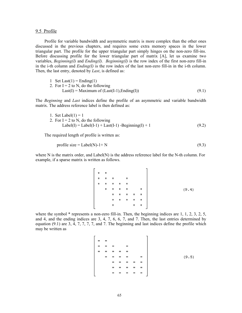#### 9.5 Profile

Profile for variable bandwidth and asymmetric matrix is more complex than the other ones discussed in the previous chapters, and requires some extra memory spaces in the lower triangular part. The profile for the upper triangular part simply hinges on the non-zero fill-ins. Before discussing profile for the lower triangular part of matrix [A], let us examine two variables, *Beginning(I)* and *Ending(I). Beginning(I)* is the row index of the first non-zero fill-in in the i-th column and *Ending(I)* is the row index of the last non-zero fill-in in the i-th column. Then, the last entry, denoted by *Last*, is defined as:

1 Set Last(1) = Ending(1) 2. For I = 2 to N, do the following Last(I) = Maximum of (Last(I-1),Ending(I)) (9.1)

The *Beginning* and *Last* indices define the profile of an asymmetric and variable bandwidth matrix. The address reference label is then defined as:

1. Set Label(1) = 1 2. For I = 2 to N, do the following Label(I) = Label(I-1) + Last(I-1) -Beginning(I) + 1 (9.2)

The required length of profile is written as:

$$
profile size = Label(N) - 1 + N \tag{9.3}
$$

where N is the matrix order, and Label(N) is the address reference label for the N-th column. For example, if a sparse matrix is written as follows.

where the symbol \* represents a non-zero fill-in. Then, the beginning indices are 1, 1, 2, 3, 2, 5, and 4, and the ending indices are 3, 4, 7, 6, 6, 7, and 7. Then, the last entries determined by equation (9.1) are 3, 4, 7, 7, 7, 7, and 7. The beginning and last indices define the profile which may be written as

$$
\begin{bmatrix}\n= & = & \cdots \\
= & = & = & \cdots \\
= & = & = & = & \cdots \\
= & = & = & = & = & \cdots \\
= & = & = & = & = & = & \cdots \\
= & = & = & = & = & = & \cdots\n\end{bmatrix}
$$
\n(9.5)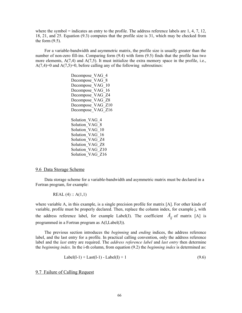where the symbol = indicates an entry to the profile. The address reference labels are  $1, 4, 7, 12$ , 18, 21, and 25. Equation (9.3) computes that the profile size is 31, which may be checked from the form  $(9.5)$ .

For a variable-bandwidth and asymmetric matrix, the profile size is usually greater than the number of non-zero fill-ins. Comparing form (9.4) with form (9.5) finds that the profile has two more elements,  $A(7,4)$  and  $A(7,5)$ . It must initialize the extra memory space in the profile, i.e.,  $A(7,4)=0$  and  $A(7,5)=0$ , before calling any of the following subroutines:

> Decompose VAG 4 Decompose VAG 8 Decompose\_VAG\_10 Decompose VAG 16 Decompose\_VAG\_Z4 Decompose VAG Z8 Decompose VAG Z10 Decompose VAG Z16 Solution VAG 4 Solution VAG 8 Solution VAG 10 Solution\_VAG\_16 Solution VAG Z4 Solution VAG Z8 Solution VAG Z10 Solution VAG Z16

## 9.6 Data Storage Scheme

Data storage scheme for a variable-bandwidth and asymmetric matrix must be declared in a Fortran program, for example:

REAL  $(4)$  :: A $(1,1)$ 

where variable A, in this example, is a single precision profile for matrix [A]. For other kinds of variable, profile must be properly declared. Then, replace the column index, for example j, with the address reference label, for example Label(J). The coefficient  $A_{ii}$  of matrix [A] is programmed in a Fortran program as A(I,Label(J)).

The previous section introduces the *beginning* and *ending* indices, the address reference label, and the last entry for a profile. In practical calling convention, only the address reference label and the *last* entry are required. The *address reference label* and *last entry* then determine the *beginning index*. In the i-th column, from equation (9.2) the *beginning index* is determined as:

$$
Label(I-1) + Last(I-1) - Label(I) + 1 \tag{9.6}
$$

# 9.7 Failure of Calling Request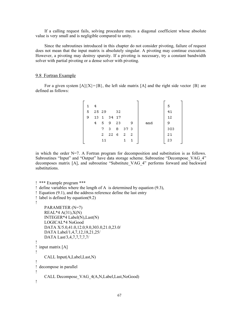If a calling request fails, solving procedure meets a diagonal coefficient whose absolute value is very small and is negligible compared to unity.

Since the subroutines introduced in this chapter do not consider pivoting, failure of request does not mean that the input matrix is absolutely singular. A pivoting may continue execution. However, a pivoting may destroy sparsity. If a pivoting is necessary, try a constant bandwidth solver with partial pivoting or a dense solver with pivoting.

#### 9.8 Fortran Example

For a given system  $[A]\{X\}=\{B\}$ , the left side matrix  $[A]$  and the right side vector  $\{B\}$  are defined as follows:

| 1. | 4     |                |         |        |     |   |     | 5   |
|----|-------|----------------|---------|--------|-----|---|-----|-----|
| 5  | 25 29 |                |         | 32     |     |   |     | 41  |
| 9  | 13.   |                | 1 34 17 |        |     |   |     | 12  |
|    | 4     | 5 <sup>9</sup> |         | -23    |     | 9 | and | 9   |
|    |       | 7.             | 38      |        | 373 |   |     | 303 |
|    |       | $2 -$          |         | 22 6 2 |     | 2 |     | 21  |
|    |       | 11             |         |        |     |   |     | 23  |
|    |       |                |         |        |     |   |     |     |

in which the order  $N=7$ . A Fortran program for decomposition and substitution is as follows. Subroutines "Input" and "Output" have data storage scheme. Subroutine "Decompose VAG 4" decomposes matrix [A], and subroutine "Substitute VAG 4" performs forward and backward substitutions.

```
! *** Example program ***
! define variables where the length of A is determined by equation (9.3),
! Equation (9.1), and the address reference define the last entry
! label is defined by equation(9.2)
!
     PARAMETER (N=7)
     REAL*4 A(31),X(N)
     INTEGER*4 Label(N),Last(N)
     LOGICAL*4 NoGood
     DATA X/5.0,41.0,12.0,9.0,303.0,21.0,23.0/
     DATA Label/1,4,7,12,18,21,25/
     DATA Last/3,4,7,7,7,7,7/
!
! input matrix [A]
!
     CALL Input(A,Label,Last,N)
!
! decompose in parallel
!
     CALL Decompose_VAG_4(A,N,Label,Last,NoGood)
!
```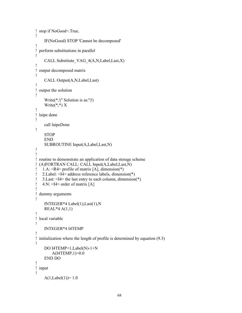```
! stop if NoGood=.True.
!
     IF(NoGood) STOP 'Cannot be decomposed'
!
! perform substitutions in parallel
!
     CALL Substitute_VAG_4(A,N,Label,Last,X)
!
! output decomposed matrix
!
     CALL Output(A,N,Label,Last)
!
! output the solution
!
     Write(*,'('' Solution is as:'')')
    Write(*,*) X
!
! laipe done
!
     call laipeDone
!
    STOP
     END
     SUBROUTINE Input(A,Label,Last,N)
!
!
! routine to demonstrate an application of data storage scheme
! (A)FORTRAN CALL: CALL Input(A,Label,Last,N)
! 1.A: <R4> profile of matrix [A], dimension(*)
! 2.Label: <I4> address reference labels, dimension(*)
! 3.Last: <I4> the last entry to each column, dimension(*)
! 4.N: \leq 14 order of matrix [A]
!
! dummy arguments
!
     INTEGER*4 Label(1),Last(1),N
     REAL*4 A(1,1)
!
! local variable
!
     INTEGER*4 I4TEMP
!
! initialization where the length of profile is determined by equation (9.3)
!
     DO I4TEMP=1,Label(N)-1+N
         A(I4TEMP,1)=0.0
     END DO
!
! input
!
    A(1,Label(1))=1.0
```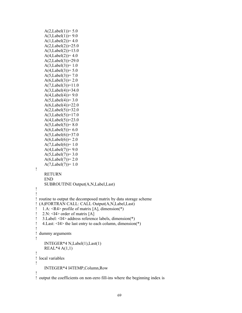```
A(2,Label(1)) = 5.0A(3,Label(1)) = 9.0A(1,Label(2))=4.0A(2,Label(2)) = 25.0A(3,Label(2))=13.0A(4,Label(2))=4.0A(2,Label(3))=29.0A(3,Label(3))=1.0A(4,Label(3)) = 5.0A(5,Label(3)) = 7.0A(6,Label(3))=2.0A(7,Label(3))=11.0A(3,Label(4)) = 34.0A(4,Label(4)) = 9.0A(5,Label(4)) = 3.0A(6,Label(4)) = 22.0A(2,Label(5))=32.0A(3,Label(5))=17.0A(4,Label(5))=23.0A(5,Label(5)) = 8.0A(6,Label(5))= 6.0A(5,Label(6))=37.0A(6,Label(6)) = 2.0A(7,Label(6)) = 1.0A(4,Label(7)) = 9.0A(5,Label(7)) = 3.0A(6,Label(7)) = 2.0A(7,Label(7))=1.0!
     RETURN
     END
     SUBROUTINE Output(A,N,Label,Last)
!
!
! routine to output the decomposed matrix by data storage scheme
! (A)FORTRAN CALL: CALL Output(A,N,Label,Last)
! 1.A: <R4> profile of matrix [A], dimension(*)
! 2.N: \leq 14 order of matrix [A]
! 3.Label: <I4> address reference labels, dimension(*)
! 4.Last: <I4> the last entry to each column, dimension(*)
!
! dummy arguments
!
     INTEGER*4 N,Label(1),Last(1)
    REAL*4 A(1,1)!
! local variables
!
     INTEGER*4 I4TEMP,Column,Row
!
! output the coefficients on non-zero fill-ins where the beginning index is
```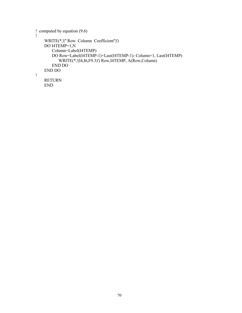```
! computed by equation (9.6)
!
 WRITE(*,'('' Row Column Coefficient'')')
 DO I4TEMP=1,N
        Column=Label(I4TEMP)
        DO Row=Label(I4TEMP-1)+Last(I4TEMP-1)- Column+1, Last(I4TEMP)
            WRITE(*,'(I4,I6,F9.3)') Row,I4TEMP, A(Row,Column)
        END DO
     END DO
!
     RETURN
     END
```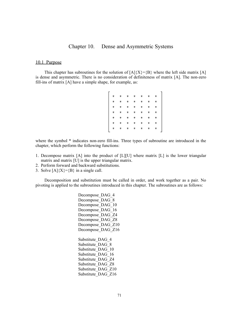# Chapter 10. Dense and Asymmetric Systems

# 10.1 Purpose

This chapter has subroutines for the solution of  $[A]{X}=\{B\}$  where the left side matrix [A] is dense and asymmetric. There is no consideration of definiteness of matrix [A]. The non-zero fill-ins of matrix [A] have a simple shape, for example, as:

|                                                                                                           | $^\star$ | $\star$     | $\pmb{\pi}$ | $\star$       | $\star$ |   |  |
|-----------------------------------------------------------------------------------------------------------|----------|-------------|-------------|---------------|---------|---|--|
|                                                                                                           |          | $\star$     | *           | $\star$       | $\star$ |   |  |
|                                                                                                           |          | $\star$     | *           | *             | $\star$ | * |  |
|                                                                                                           |          | $\pmb{\pi}$ | *           | *             | *       | * |  |
| <br> <br> <br> <br> <br> <br> <br> <br> <br> <br><br><br><br><br><br><br><br><br><br><br><br><br><br><br> |          | $\star$     | *           | *             | *       | * |  |
|                                                                                                           |          | $\star$     | *           | $\star$       | $\star$ | * |  |
|                                                                                                           |          | $\star$     | *           | $\pmb{\star}$ | $\star$ | * |  |
|                                                                                                           |          |             |             |               |         |   |  |

where the symbol  $*$  indicates non-zero fill-ins. Three types of subroutine are introduced in the chapter, which perform the following functions:

- 1. Decompose matrix [A] into the product of [L][U] where matrix [L] is the lower triangular matrix and matrix [U] is the upper triangular matrix.
- 2. Perform forward and backward substitutions.
- 3. Solve  $[A]\{X\}=\{B\}$  in a single call.

Decomposition and substitution must be called in order, and work together as a pair. No pivoting is applied to the subroutines introduced in this chapter. The subroutines are as follows:

> Decompose DAG 4 Decompose\_DAG\_8 Decompose DAG 10 Decompose DAG 16 Decompose\_DAG\_Z4 Decompose\_DAG\_Z8 Decompose\_DAG\_Z10 Decompose\_DAG\_Z16 Substitute DAG 4 Substitute DAG 8 Substitute\_DAG\_10 Substitute\_DAG\_16

Substitute\_DAG\_Z4 Substitute\_DAG\_Z8 Substitute DAG Z10 Substitute\_DAG\_Z16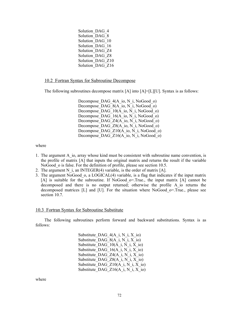Solution DAG 4 Solution\_DAG\_8 Solution DAG 10 Solution DAG 16 Solution\_DAG\_Z4 Solution\_DAG\_Z8 Solution DAG Z10 Solution\_DAG\_Z16

# 10.2 Fortran Syntax for Subroutine Decompose

The following subroutines decompose matrix [A] into [A]=[L][U]. Syntax is as follows:

Decompose DAG  $4(A \text{ io}, N \text{ i}, \text{NoGood} \text{ o})$ Decompose DAG 8(A io, N i, NoGood o) Decompose DAG\_10(A\_io, N\_i, NoGood\_o) Decompose DAG  $16(A \text{ io}, N \text{ i}, \text{NoGood} \text{ o})$ Decompose DAG Z4(A\_io, N\_i, NoGood\_o) Decompose DAG Z8(A io, N i, NoGood o) Decompose DAG  $Z10(A \text{io}, N \text{i}, \text{NoGood} \text{o})$ Decompose DAG  $Z16(A \text{ io}, N \text{ i}, N_0Good\text{ o})$ 

where

- 1. The argument A\_io, array whose kind must be consistent with subroutine name convention, is the profile of matrix [A] that inputs the original matrix and returns the result if the variable NoGood o is false. For the definition of profile, please see section 10.5.
- 2. The argument N i, an INTEGER(4) variable, is the order of matrix  $[A]$ .
- 3. The argument NoGood\_o, a LOGICAL(4) variable, is a flag that indicates if the input matrix [A] is suitable for the subroutine. If NoGood o=.True., the input matrix [A] cannot be decomposed and there is no output returned; otherwise the profile A\_io returns the decomposed matrices [L] and [U]. For the situation where NoGood\_o=.True., please see section 10.7.

## 10.3 Fortran Syntax for Subroutine Substitute

The following subroutines perform forward and backward substitutions. Syntax is as follows:

> Substitute DAG  $4(A_i, N_i, X_i)$ Substitute DAG  $8(A_i, N_i, X_i)$ Substitute DAG  $10(A_i, N_i, X_i)$ Substitute DAG  $16(A_i, N_i, X_i)$ Substitute DAG Z4(A i, N i, X io) Substitute DAG  $Z8(A_i, N_i, X_i)$ Substitute DAG Z $10(A_i, N_i, X_i)$ Substitute DAG Z16(A i, N i, X io)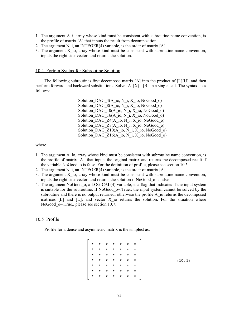- 1. The argument A\_i, array whose kind must be consistent with subroutine name convention, is the profile of matrix [A] that inputs the result from decomposition.
- 2. The argument N i, an INTEGER $(4)$  variable, is the order of matrix [A].
- 3. The argument X\_io, array whose kind must be consistent with subroutine name convention, inputs the right side vector, and returns the solution.

### 10.4 Fortran Syntax for Subroutine Solution

The following subroutines first decompose matrix [A] into the product of [L][U], and then perform forward and backward substitutions. Solve  $[A]{X}={B}$  in a single call. The syntax is as follows:

> Solution DAG  $4(A \text{ io}, N \text{ i}, X \text{ io}, \text{NoGood} \text{ o})$ Solution DAG  $8(A$  io, N i, X<sub>io</sub>, NoGood<sub>o</sub>) Solution DAG  $10(A_i, \overline{N}, \overline{X})$  io, NoGood o) Solution DAG  $16(A \text{io}, N \text{i}, X \text{io}, \text{NoGood} \text{o})$ Solution DAG  $Z4(A \text{ io}, N \text{ i}, X \text{ io}, \text{NoGood}\text{ o})$ Solution DAG  $Z8(A_0, N_1, X_0, N_0, N_0)$ Solution DAG  $Z10(A$  io, N i, X io, NoGood o) Solution DAG  $Z16(A \text{io}, N \text{ i}, X \text{io}, \text{NoGood} \text{o})$

where

- 1. The argument A\_io, array whose kind must be consistent with subroutine name convention, is the profile of matrix [A], that inputs the original matrix and returns the decomposed result if the variable NoGood\_o is false. For the definition of profile, please see section 10.5.
- 2. The argument N i, an INTEGER(4) variable, is the order of matrix  $[A]$ .
- 3. The argument X\_io, array whose kind must be consistent with subroutine name convention, inputs the right side vector, and returns the solution if NoGood\_o is false.
- 4. The argument NoGood\_o, a LOGICAL(4) variable, is a flag that indicates if the input system is suitable for the subroutine. If NoGood  $\sigma$ =.True., the input system cannot be solved by the subroutine and there is no output returned; otherwise the profile A\_io returns the decomposed matrices  $[L]$  and  $[U]$ , and vector X io returns the solution. For the situation where NoGood o=.True., please see section 10.7.

### 10.5 Profile

Profile for a dense and asymmetric matrix is the simplest as:

| * | *           | *  | * | *  | $\boldsymbol{\pi}$ | * |
|---|-------------|----|---|----|--------------------|---|
| * | *           | *. | * | *. | $\star$            | * |
| * | $\pmb{\pi}$ | *. | * | *  | $\star$            | * |
| * | *           | *. | * | *  | $\star$            | * |
| * | *           | *. | * | *  | $\pmb{\pi}$        | * |
| * | *           | *  | * | *  | *                  | * |
| * | *           | *  | * | *  | *                  | * |
|   |             |    |   |    |                    |   |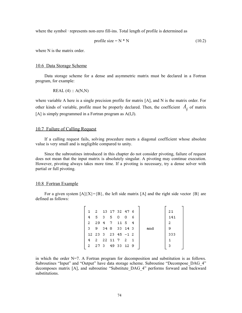where the symbol · represents non-zero fill-ins. Total length of profile is determined as

$$
profile size = N * N \tag{10.2}
$$

where N is the matrix order.

#### 10.6 Data Storage Scheme

Data storage scheme for a dense and asymmetric matrix must be declared in a Fortran program, for example:

$$
REAL(4) :: A(N,N)
$$

where variable A here is a single precision profile for matrix [A], and N is the matrix order. For other kinds of variable, profile must be properly declared. Then, the coefficient  $A_{ii}$  of matrix [A] is simply programmed in a Fortran program as A(I,J).

# 10.7 Failure of Calling Request

If a calling request fails, solving procedure meets a diagonal coefficient whose absolute value is very small and is negligible compared to unity.

Since the subroutines introduced in this chapter do not consider pivoting, failure of request does not mean that the input matrix is absolutely singular. A pivoting may continue execution. However, pivoting always takes more time. If a pivoting is necessary, try a dense solver with partial or full pivoting.

#### 10.8 Fortran Example

For a given system  $[A]{X}=\{B\}$ , the left side matrix  $[A]$  and the right side vector  ${B}$  are defined as follows:

|    |  |  |         |    |                                                                                                                    | 21  |
|----|--|--|---------|----|--------------------------------------------------------------------------------------------------------------------|-----|
| 4  |  |  | 0       | -6 |                                                                                                                    | 141 |
| 2. |  |  |         |    |                                                                                                                    | 2   |
| з. |  |  |         |    | and                                                                                                                | -9  |
|    |  |  |         |    |                                                                                                                    | 333 |
| 4  |  |  |         |    |                                                                                                                    |     |
|    |  |  |         |    |                                                                                                                    |     |
|    |  |  | 5 3 5 0 |    | 1 2 13 17 32 47 6<br>29 4 7 11 5 4<br>9 34 8 33 14 3<br>$12$ 23 3 23 45 -1 2<br>2 22 11 7 2 1<br>2 27 3 49 33 12 9 |     |

in which the order  $N=7$ . A Fortran program for decomposition and substitution is as follows. Subroutines "Input" and "Output" have data storage scheme. Subroutine "Decompose DAG 4" decomposes matrix [A], and subroutine "Substitute\_DAG\_4" performs forward and backward substitutions.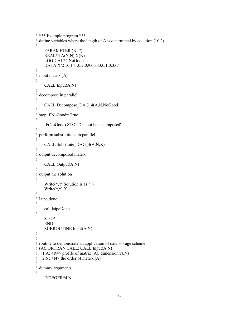```
! *** Example program ***
! define variables where the length of A is determined by equation (10.2)
!
     PARAMETER (N=7)
    REAL*4 A(N,N),X(N) LOGICAL*4 NoGood
     DATA X/21.0,141.0,2.0,9.0,333.0,1.0,3.0/
!
! input matrix [A]
!
     CALL Input(A,N)
!
! decompose in parallel
!
     CALL Decompose_DAG_4(A,N,NoGood)
!
! stop if NoGood=.True.
!
     IF(NoGood) STOP 'Cannot be decomposed'
!
! perform substitutions in parallel
!
     CALL Substitute_DAG_4(A,N,X)
!
! output decomposed matrix
!
     CALL Output(A,N)
!
! output the solution
!
     Write(*,'('' Solution is as:'')')
    Write(*,*) X
!
! laipe done
!
     call laipeDone
!
     STOP
     END
     SUBROUTINE Input(A,N)
!
!
! routine to demonstrate an application of data storage scheme
! (A)FORTRAN CALL: CALL Input(A,N)
! 1.A: <R4> profile of matrix [A], dimension(N,N)
! 2.N: \leq I4 the order of matrix [A]
!
! dummy arguments
!
     INTEGER*4 N
```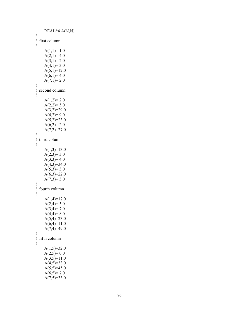```
R
E
A
L*4 A
(
N,N
)
!<br>!   first column
!
     A(1,1)=1.0A(2,1)=4.0A(3,1)=2.0A(4,1)=3.0A(5,1)=12.0A(6,1)=4.0A(7,1)=2.0!<br>! second column
!
     A(1,2)=2.0A(2,2)=5.0A(3,2)=29.0A(4,2)=9.0A(5,2)=23.0A(6,2)=2.0A(7,2)=27.0!<br>! third column
!
     A(1,3)=13.0A(2,3)=3.0A(3,3)=4.0A(4,3)=34.0A(5,3)=3.0A(6,3)=22.0A(7,3)=3.0!<br>! fourth column
!
     A(1,4)=17.0A(2,4)=5.0A(3,4)=7.0A(4,4)=8.0A(5,4)=23.0A(6,4)=11.0A(7,4)=49.0!<br>!   fifth column
!
     A(1,5)=32.0A(2,5)=0.0A(3,5)=11.0A(4,5)=33.0A(5,5)=45.0A(6,5)=7.0A(7,5)=33.0
```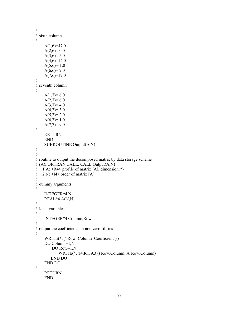```
!
! sixth column
!
    A(1,6)=47.0A(2,6)=0.0A(3,6)=5.0A(4,6)=14.0A(5,6)=1.0A(6,6)=2.0A(7,6)=12.0!
! seventh column
!
    A(1,7)=6.0A(2,7)=6.0A(3,7)=4.0A(4,7)=3.0A(5,7)=2.0A(6,7)=1.0A(7,7)=9.0!
     RETURN
     END
     SUBROUTINE Output(A,N)
!
!
! routine to output the decomposed matrix by data storage scheme
! (A)FORTRAN CALL: CALL Output(A,N)
! 1.A: <R4> profile of matrix [A], dimension(*)
! 2.N: \leq 14 order of matrix [A]
!
! dummy arguments
!
     INTEGER*4 N
     REAL*4 A(N,N)
!
! local variables
!
     INTEGER*4 Column,Row
!
! output the coefficients on non-zero fill-ins
!
     WRITE(*,'('' Row Column Coefficient'')')
     DO Column=1,N
         DO Row=1,N
            WRITE(*,'(I4,I6,F9.3)') Row,Column, A(Row,Column)
        END DO
     END DO
!
     RETURN
     END
```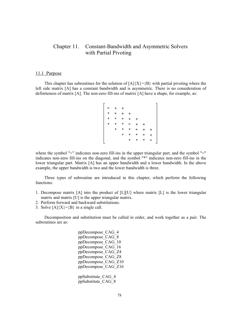# Chapter 11. Constant-Bandwidth and Asymmetric Solvers with Partial Pivoting

#### 11.1 Purpose

This chapter has subroutines for the solution of  $[A]\{X\}=\{B\}$  with partial pivoting where the left side matrix [A] has a constant bandwidth and is asymmetric. There is no consideration of definiteness of matrix [A]. The non-zero fill-ins of matrix [A] have a shape, for example, as:

where the symbol "+" indicates non-zero fill-ins in the upper triangular part, and the symbol "=" indicates non-zero fill-ins on the diagonal, and the symbol "\*" indicates non-zero fill-ins in the lower triangular part. Matrix [A] has an upper bandwidth and a lower bandwidth. In the above example, the upper bandwidth is two and the lower bandwidth is three.

Three types of subroutine are introduced in this chapter, which perform the following functions:

- 1. Decompose matrix  $[A]$  into the product of  $[L][U]$  where matrix  $[L]$  is the lower triangular matrix and matrix [U] is the upper triangular matrix.
- 2. Perform forward and backward substitutions.
- 3. Solve  $[A]\{X\}=\{B\}$  in a single call.

Decomposition and substitution must be called in order, and work together as a pair. The subroutines are as:

> ppDecompose\_CAG\_4 ppDecompose\_CAG\_8 ppDecompose\_CAG\_10 ppDecompose\_CAG\_16 ppDecompose\_CAG\_Z4 ppDecompose\_CAG\_Z8 ppDecompose\_CAG\_Z10 ppDecompose\_CAG\_Z16 ppSubstitute\_CAG\_4 ppSubstitute\_CAG\_8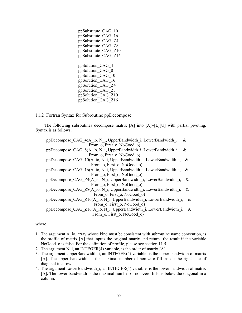ppSubstitute\_CAG\_10 ppSubstitute\_CAG\_16 ppSubstitute\_CAG\_Z4 ppSubstitute\_CAG\_Z8 ppSubstitute\_CAG\_Z10 ppSubstitute\_CAG\_Z16 ppSolution\_CAG\_4 ppSolution\_CAG\_8 ppSolution\_CAG\_10 ppSolution\_CAG\_16 ppSolution\_CAG\_Z4 ppSolution\_CAG\_Z8 ppSolution\_CAG\_Z10 ppSolution\_CAG\_Z16

# 11.2 Fortran Syntax for Subroutine ppDecompose

The following subroutines decompose matrix [A] into [A]=[L][U] with partial pivoting. Syntax is as follows:

ppDecompose CAG\_4(A\_io, N\_i, UpperBandwidth\_i, LowerBandwidth\_i, & From  $o$ , First  $o$ , NoGood  $o$ ) ppDecompose CAG\_8(A\_io, N\_i, UpperBandwidth\_i, LowerBandwidth\_i, & From  $\overline{o}$ , First  $\overline{o}$ , NoGood  $\overline{o}$ ) ppDecompose CAG\_10(A\_io, N\_i, UpperBandwidth\_i, LowerBandwidth\_i, & From  $o$ , First  $o$ , NoGood  $o$ ) ppDecompose CAG\_16(A\_io, N\_i, UpperBandwidth\_i, LowerBandwidth\_i, & From  $o$ , First  $o$ , NoGood  $o$ ) ppDecompose CAG Z4(A\_io, N\_i, UpperBandwidth\_i, LowerBandwidth\_i, & From  $o$ , First  $o$ , NoGood  $o$ ) ppDecompose CAG\_Z8(A\_io, N\_i, UpperBandwidth\_i, LowerBandwidth\_i, & From  $o$ , First  $o$ , NoGood  $o$ ) ppDecompose CAG Z10(A\_io, N\_i, UpperBandwidth\_i, LowerBandwidth\_i, & From  $o$ , First  $o$ , NoGood  $o$ ) ppDecompose CAG Z16(A\_io, N\_i, UpperBandwidth\_i, LowerBandwidth\_i, & From  $o$ , First  $o$ , NoGood  $o$ )

- 1. The argument A io, array whose kind must be consistent with subroutine name convention, is the profile of matrix [A] that inputs the original matrix and returns the result if the variable NoGood o is false. For the definition of profile, please see section 11.5.
- 2. The argument N i, an INTEGER(4) variable, is the order of matrix  $[A]$ .
- 3. The argument UpperBandwidth\_i, an INTEGER(4) variable, is the upper bandwidth of matrix [A]. The upper bandwidth is the maximal number of non-zero fill-ins on the right side of diagonal in a row.
- 4. The argument LowerBandwidth i, an INTEGER(4) variable, is the lower bandwidth of matrix [A]. The lower bandwidth is the maximal number of non-zero fill-ins below the diagonal in a column.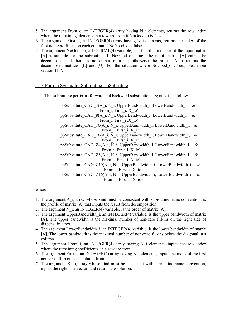- 5. The argument From  $\sigma$ , an INTEGER(4) array having N i elements, returns the row index where the remaining elements in a row are from if NoGood o is false.
- 6. The argument First  $o$ , an INTEGER(4) array having N i elements, returns the index of the first non-zero fill-in on each column if NoGood\_o is false.
- 7. The argument NoGood\_o, a LOGICAL(4) variable, is a flag that indicates if the input matrix [A] is suitable for the subroutine. If NoGood\_o=.True., the input matrix [A] cannot be decomposed and there is no output returned; otherwise the profile A\_io returns the decomposed matrices [L] and [U]. For the situation where NoGood\_o=.True., please see section 11.7.

# 11.3 Fortran Syntax for Subroutine ppSubstitute

This subroutine performs forward and backward substitutions. Syntax is as follows:

ppSubstitute CAG 4(A i, N i, UpperBandwidth i, LowerBandwidth i, & From  $i$ , First  $i$ , X $io$ )

ppSubstitute CAG 8(A i,  $\overline{N}$  i, UpperBandwidth i, LowerBandwidth i, & From  $i$ , First  $i$ , X $io$ )

ppSubstitute CAG\_10(A\_i, N\_i, UpperBandwidth\_i, LowerBandwidth\_i, & From  $i$ , First  $i$ , X  $io$ )

ppSubstitute CAG\_16(A\_i, N\_i, UpperBandwidth\_i, LowerBandwidth\_i, & From  $i$ , First  $i$ , X  $io$ )

ppSubstitute CAG Z4(A i, N i, UpperBandwidth i, LowerBandwidth i, & From  $i$ , First  $i$ , X  $io$ )

ppSubstitute CAG Z8(A i, N i, UpperBandwidth i, LowerBandwidth i, & From  $i$ , First  $i$ , X  $io$ )

ppSubstitute CAG Z10(A i, N i, UpperBandwidth i, LowerBandwidth i, & From  $\overline{i}$ , First  $\overline{i}$ , X io)

ppSubstitute\_CAG\_Z16(A\_i, N\_i, UpperBandwidth\_i, LowerBandwidth\_i, & From  $i$ , First  $i$ , X  $io$ )

- 1. The argument A\_i, array whose kind must be consistent with subroutine name convention, is the profile of matrix [A] that inputs the result from decomposition.
- 2. The argument N i, an INTEGER(4) variable, is the order of matrix  $[A]$ .
- 3. The argument UpperBandwidth\_i, an INTEGER(4) variable, is the upper bandwidth of matrix [A]. The upper bandwidth is the maximal number of non-zero fill-ins on the right side of diagonal in a row.
- 4. The argument LowerBandwidth i, an INTEGER(4) variable, is the lower bandwidth of matrix [A]. The lower bandwidth is the maximal number of non-zero fill-ins below the diagonal in a column.
- 5. The argument From i, an INTEGER(4) array having N i elements, inputs the row index where the remaining coefficients on a row are from.
- 6. The argument First  $\bar{i}$ , an INTEGER(4) array having N $\bar{i}$  elements, inputs the index of the first nonzero fill-in on each column from.
- 7. The argument X\_io, array whose kind must be consistent with subroutine name convention, inputs the right side vector, and returns the solution.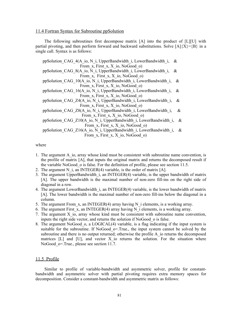# 11.4 Fortran Syntax for Subroutine ppSolution

The following subroutines first decompose matrix [A] into the product of [L][U] with partial pivoting, and then perform forward and backward substitutions. Solve  $[A]\{X\}=\{B\}$  in a single call. Syntax is as follows:

ppSolution CAG 4(A\_io, N\_i, UpperBandwidth\_i, LowerBandwidth\_i, & From x, First x, X io, NoGood  $o$ ) ppSolution\_CAG\_8(A\_io, N\_i, UpperBandwidth\_i, LowerBandwidth\_i, & From x, First x, X io, NoGood  $o$ ) ppSolution CAG\_10(A\_io, N\_i, UpperBandwidth\_i, LowerBandwidth\_i, & From  $x$ , First  $x$ ,  $X$  io, NoGood o) ppSolution CAG\_16(A\_io, N\_i, UpperBandwidth\_i, LowerBandwidth\_i, & From  $x$ , First  $x$ ,  $X$  io, NoGood o) ppSolution CAG Z4(A io, N i, UpperBandwidth i, LowerBandwidth i, & From x, First x, X io, NoGood  $\alpha$ ) ppSolution CAG Z8(A io, N i, UpperBandwidth i, LowerBandwidth i, & From x, First x, X io, NoGood o) ppSolution CAG Z10(A io, N i, UpperBandwidth i, LowerBandwidth i, & From  $x$ , First  $x$ ,  $X$  io, NoGood o) ppSolution CAG Z16(A io, N i, UpperBandwidth i, LowerBandwidth i, & From  $x$ , First  $x$ ,  $X$  io, NoGood o)

## where

- 1. The argument A\_io, array whose kind must be consistent with subroutine name convention, is the profile of matrix [A], that inputs the original matrix and returns the decomposed result if the variable NoGood\_o is false. For the definition of profile, please see section 11.5.
- 2. The argument N i, an INTEGER(4) variable, is the order of matrix  $[A]$ .
- 3. The argument UpperBandwidth\_i, an INTEGER(4) variable, is the upper bandwidth of matrix [A]. The upper bandwidth is the maximal number of non-zero fill-ins on the right side of diagonal in a row.
- 4. The argument LowerBandwidth i, an INTEGER(4) variable, is the lower bandwidth of matrix [A]. The lower bandwidth is the maximal number of non-zero fill-ins below the diagonal in a column.
- 5. The argument From  $x$ , an INTEGER(4) array having N i elements, is a working array.
- 6. The argument First x, an INTEGER(4) array having N i elements, is a working array.
- 7. The argument X\_io, array whose kind must be consistent with subroutine name convention, inputs the right side vector, and returns the solution if NoGood\_o is false.
- 8. The argument NoGood\_o, a LOGICAL(4) variable, is a flag indicating if the input system is suitable for the subroutine. If NoGood  $\sigma$ =.True., the input system cannot be solved by the subroutine and there is no output returned; otherwise the profile A io returns the decomposed matrices  $[L]$  and  $[U]$ , and vector X io returns the solution. For the situation where NoGood o=.True., please see section 11.7.

## 11.5 Profile

Similar to profile of variable-bandwidth and asymmetric solver, profile for constantbandwidth and asymmetric solver with partial pivoting requires extra memory spaces for decomposition. Consider a constant-bandwidth and asymmetric matrix as follows: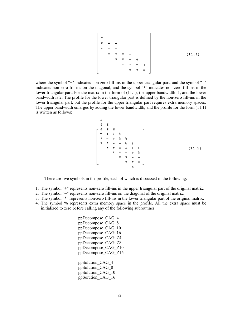where the symbol "+" indicates non-zero fill-ins in the upper triangular part, and the symbol "=" indicates non-zero fill-ins on the diagonal, and the symbol "\*" indicates non-zero fill-ins in the lower triangular part. For the matrix in the form of  $(11.1)$ , the upper bandwidth=1, and the lower bandwidth is 2. The profile for the lower triangular part is defined by the non-zero fill-ins in the lower triangular part, but the profile for the upper triangular part requires extra memory spaces. The upper bandwidth enlarges by adding the lower bandwidth, and the profile for the form (11.1) is written as follows:

$$
\begin{bmatrix}\n\text{c} & \text{c} & \text{c} & \text{c} & \text{c} & \text{c} & \text{c} & \text{c} & \text{c} & \text{c} & \text{c} & \text{c} & \text{c} & \text{c} & \text{c} & \text{c} & \text{c} & \text{c} & \text{c} & \text{c} & \text{c} & \text{c} & \text{c} & \text{c} & \text{c} & \text{c} & \text{c} & \text{c} & \text{c} & \text{c} & \text{c} & \text{c} & \text{c} & \text{c} & \text{c} & \text{c} & \text{c} & \text{c} & \text{c} & \text{c} & \text{c} & \text{c} & \text{c} & \text{c} & \text{c} & \text{c} & \text{c} & \text{c} & \text{c} & \text{c} & \text{c} & \text{c} & \text{c} & \text{c} & \text{c} & \text{c} & \text{c} & \text{c} & \text{c} & \text{c} & \text{c} & \text{c} & \text{c} & \text{c} & \text{c} & \text{c} & \text{c} & \text{c} & \text{c} & \text{c} & \text{c} & \text{c} & \text{c} & \text{c} & \text{c} & \text{c} & \text{c} & \text{c} & \text{c} & \text{c} & \text{c} & \text{c} & \text{c} & \text{c} & \text{c} & \text{c} & \text{c} & \text{c} & \text{c} & \text{c} & \text{c} & \text{c} & \text{c} & \text{c} & \text{c} & \text{c} & \text{c} & \text{c} & \text{c} & \text{c} & \text{c} & \text{c} & \text{c} & \text{c} & \text{c} & \text{c} & \text{c} & \text{c} & \text{c} & \text{c} & \text{c} & \text{c} & \text{c} & \text{c} & \text{c} & \text{c} & \text{c} & \text{c} & \text{c} & \text{c} & \text{c} & \text{c} & \text{c} & \text{c} & \text{c} & \text{
$$

There are five symbols in the profile, each of which is discussed in the following:

- 1. The symbol "+" represents non-zero fill-ins in the upper triangular part of the original matrix.
- 2. The symbol "=" represents non-zero fill-ins on the diagonal of the original matrix.
- 3. The symbol "\*" represents non-zero fill-ins in the lower triangular part of the original matrix.
- 4. The symbol % represents extra memory space in the profile. All the extra space must be initialized to zero before calling any of the following subroutines

ppDecompose\_CAG\_4 ppDecompose\_CAG\_8 ppDecompose\_CAG\_10 ppDecompose\_CAG\_16 ppDecompose\_CAG\_Z4 ppDecompose\_CAG\_Z8 ppDecompose\_CAG\_Z10 ppDecompose\_CAG\_Z16 ppSolution\_CAG\_4 ppSolution\_CAG\_8 ppSolution\_CAG\_10 ppSolution\_CAG\_16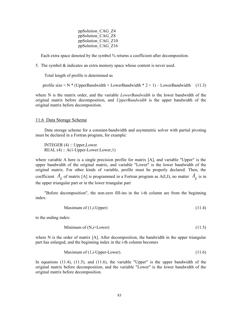ppSolution\_CAG\_Z4 ppSolution\_CAG\_Z8 ppSolution\_CAG\_Z10 ppSolution\_CAG\_Z16

Each extra space denoted by the symbol % returns a coefficient after decomposition.

5. The symbol & indicates an extra memory space whose content is never used.

Total length of profile is determined as

profile size =  $N$  \* (UpperBandwidth + LowerBandwidth \* 2 + 1) – LowerBandwidth (11.3)

where N is the matrix order, and the variable *LowerBandwidth* is the lower bandwidth of the original matrix before decomposition, and *UpperBandwidth* is the upper bandwidth of the original matrix before decomposition.

#### 11.6 Data Storage Scheme

Data storage scheme for a constant-bandwidth and asymmetric solver with partial pivoting must be declared in a Fortran program, for example:

 INTEGER (4) :: Upper,Lower REAL (4) :: A(1-Upper-Lower:Lower,1)

where variable A here is a single precision profile for matrix [A], and variable "Upper" is the upper bandwidth of the original matrix, and variable "Lower" is the lower bandwidth of the original matrix. For other kinds of variable, profile must be properly declared. Then, the coefficient  $A_{ii}$  of matrix [A] is programmed in a Fortran program as A(I,J), no matter  $A_{ii}$  is in the upper triangular part or in the lower triangular part

"Before decomposition", the non-zero fill-ins in the i-th column are from the beginning index:

$$
Maximum of (1, i-Upper) \tag{11.4}
$$

to the ending index:

$$
Minimum of (N, i+Lower) \tag{11.5}
$$

where N is the order of matrix [A]. After decomposition, the bandwidth in the upper triangular part has enlarged, and the beginning index in the i-th column becomes

Maximum of 
$$
(1,i-Upper-Lower)
$$
.  $(11.6)$ 

In equations (11.4), (11.5), and (11.6), the variable "Upper" is the upper bandwidth of the original matrix before decomposition, and the variable "Lower" is the lower bandwidth of the original matrix before decomposition.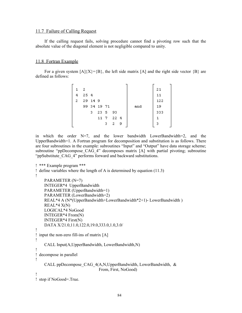# 11.7 Failure of Calling Request

If the calling request fails, solving procedure cannot find a pivoting row such that the absolute value of the diagonal element is not negligible compared to unity.

# 11.8 Fortran Example

For a given system  $[A]\{X\}=\{B\}$ , the left side matrix  $[A]$  and the right side vector  $\{B\}$  are defined as follows:

| 1. | - 2 |         |             |           |    |    |     | 21  |
|----|-----|---------|-------------|-----------|----|----|-----|-----|
| 4  | 254 |         |             |           |    |    |     | 11  |
| 2  |     | 29 14 9 |             |           |    |    |     | 122 |
|    |     |         | 99 34 19 71 |           |    |    | and | 19  |
|    |     | 3       |             | 23 5 93   |    |    |     | 333 |
|    |     |         |             | 11 7 22 4 |    |    |     |     |
|    |     |         |             | з         | 2. | -9 |     | з   |
|    |     |         |             |           |    |    |     |     |

in which the order  $N=7$ , and the lower bandwidth LowerBandwidth=2, and the UpperBandwidth=1. A Fortran program for decomposition and substitution is as follows. There are four subroutines in the example: subroutines "Input" and "Output" have data storage scheme; subroutine "ppDecompose CAG 4" decomposes matrix [A] with partial pivoting; subroutine "ppSubstitute\_CAG\_4" performs forward and backward substitutions.

```
! *** Example program ***
! define variables where the length of A is determined by equation (11.3)
!
     PARAMETER (N=7)
     INTEGER*4 UpperBandwidth
     PARAMETER (UpperBandwidth=1)
     PARAMETER (LowerBandwidth=2)
     REAL*4 A (N*(UpperBandwidth+LowerBandwidth*2+1)- LowerBandwidth )
    REAL*4 X(N) LOGICAL*4 NoGood
     INTEGER*4 From(N)
     INTEGER*4 First(N)
     DATA X/21.0,11.0,122.0,19.0,333.0,1.0,3.0/
!
! input the non-zero fill-ins of matrix [A]
!
     CALL Input(A,UpperBandwidth, LowerBandwidth,N)
!
! decompose in parallel
!
    CALL ppDecompose CAG 4(A,N,UpperBandwidth, LowerBandwidth, &
                                From, First, NoGood)
!
! stop if NoGood=.True.
```
84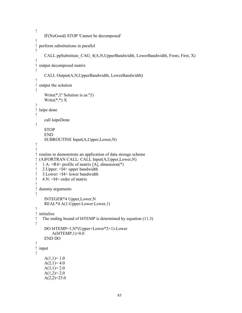```
!
     IF(NoGood) STOP 'Cannot be decomposed'
!
! perform substitutions in parallel
!
    CALL ppSubstitute_CAG_4(A,N,UpperBandwidth, LowerBandwidth, From, First, X)
!
! output decomposed matrix
!
     CALL Output(A,N,UpperBandwidth, LowerBandwidth)
!
! output the solution
!
     Write(*,'('' Solution is as:'')')
    Write(*,*) X
!
! laipe done
!
     call laipeDone
!
     STOP
     END
     SUBROUTINE Input(A,Upper,Lower,N)
!
!
! routine to demonstrate an application of data storage scheme
! (A)FORTRAN CALL: CALL Input(A,Upper,Lower,N)
! 1.A: <R4> profile of matrix [A], dimension(*)
! 2.Upper: <I4> upper bandwidth
! 3.Lower: <I4> lower bandwidth
! 4 \text{ N}: \leq 14 order of matrix
!
! dummy arguments
!
     INTEGER*4 Upper,Lower,N
     REAL*4 A(1-Upper-Lower:Lower,1)
!
! initialize
! The ending bound of I4TEMP is determined by equation (11.3)
!
     DO I4TEMP=1,N*(Upper+Lower*2+1)-Lower
         A(I4TEMP,1)=0.0
     END DO
!
! input
!
    A(1,1)=1.0A(2,1)=4.0A(3,1)=2.0A(1,2)=2.0A(2,2)=25.0
```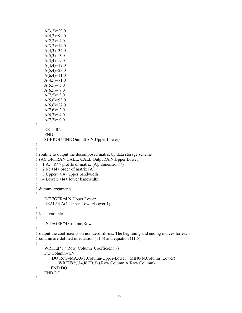```
A(3,2)=29.0A(4,2)=99.0A(2,3)=4.0A(3,3)=14.0A(4,3)=34.0A(5,3)=3.0A(3,4)=9.0A(4,4)=19.0A(5,4)=23.0A(6,4)=11.0A(4,5)=71.0A(5,5)=5.0A(6,5)=7.0A(7,5)=3.0A(5,6)=93.0A(6,6)=22.0A(7,6)=2.0A(6,7)=4.0A(7,7)=9.0!
     RETURN
     END
     SUBROUTINE Output(A,N,Upper,Lower)
!
!
! routine to output the decomposed matrix by data storage scheme
! (A)FORTRAN CALL: CALL Output(A,N,Upper,Lower)
! 1.A: <R4> profile of matrix [A], dimension(*)
! 2.N: \leq 14 order of matrix [A]
! 3.Upper: <I4> upper bandwidth
! 4.Lower: <I4> lower bandwidth
!
! dummy arguments
!
     INTEGER*4 N,Upper,Lower
     REAL*4 A(1-Upper-Lower:Lower,1)
!
! local variables
!
     INTEGER*4 Column,Row
!
! output the coefficients on non-zero fill-ins. The beginning and ending indices for each
! column are defined in equation (11.6) and equation (11.5)
!
     WRITE(*,'('' Row Column Coefficient'')')
     DO Column=1,N
         DO Row=MAX0(1,Column-Upper-Lower), MIN0(N,Column+Lower)
            WRITE(*,'(I4,I6,F9.3)') Row,Column,A(Row,Column)
        END DO
     END DO
!
```

```
86
```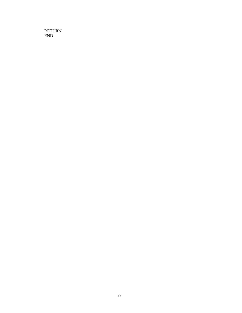RETURN END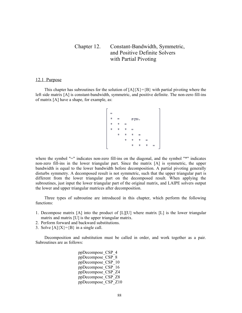# Chapter 12. Constant-Bandwidth, Symmetric, and Positive Definite Solvers with Partial Pivoting

#### 12.1 Purpose

This chapter has subroutines for the solution of  $[A]\{X\}=\{B\}$  with partial pivoting where the left side matrix [A] is constant-bandwidth, symmetric, and positive definite. The non-zero fill-ins of matrix [A] have a shape, for example, as:

where the symbol "=" indicates non-zero fill-ins on the diagonal, and the symbol "\*" indicates non-zero fill-ins in the lower triangular part. Since the matrix [A] is symmetric, the upper bandwidth is equal to the lower bandwidth before decomposition. A partial pivoting generally disturbs symmetry. A decomposed result is not symmetric, such that the upper triangular part is different from the lower triangular part on the decomposed result. When applying the subroutines, just input the lower triangular part of the original matrix, and LAIPE solvers output the lower and upper triangular matrices after decomposition.

Three types of subroutine are introduced in this chapter, which perform the following functions:

- 1. Decompose matrix [A] into the product of [L][U] where matrix [L] is the lower triangular matrix and matrix [U] is the upper triangular matrix.
- 2. Perform forward and backward substitutions.
- 3. Solve  $[A]\{X\}=\{B\}$  in a single call.

Decomposition and substitution must be called in order, and work together as a pair. Subroutines are as follows:

> ppDecompose\_CSP\_4 ppDecompose\_CSP\_8 ppDecompose\_CSP\_10 ppDecompose\_CSP\_16 ppDecompose\_CSP\_Z4 ppDecompose\_CSP\_Z8 ppDecompose\_CSP\_Z10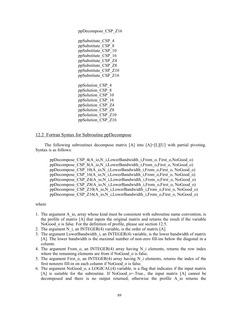ppSubstitute\_CSP\_4 ppSubstitute\_CSP\_8 ppSubstitute\_CSP\_10 ppSubstitute\_CSP\_16 ppSubstitute\_CSP\_Z4 ppSubstitute\_CSP\_Z8 ppSubstitute\_CSP\_Z10 ppSubstitute\_CSP\_Z16 ppSolution\_CSP\_4 ppSolution\_CSP\_8 ppSolution\_CSP\_10 ppSolution\_CSP\_16 ppSolution\_CSP\_Z4 ppSolution\_CSP\_Z8 ppSolution\_CSP\_Z10 ppSolution\_CSP\_Z16

ppDecompose\_CSP\_Z16

## 12.2 Fortran Syntax for Subroutine ppDecompose

The following subroutines decompose matrix [A] into [A]=[L][U] with partial pivoting. Syntax is as follows:

ppDecompose\_CSP\_4(A\_io,N\_i,LowerBandwidth\_i,From\_o, First\_o,NoGood\_o) ppDecompose CSP\_8(A\_io,N\_i,LowerBandwidth\_i,From\_o,First\_o, NoGood\_o) ppDecompose  $CSP^-10(\overline{A}$  io, $\overline{N}$  i,LowerBandwidth i,From o,First o, NoGood o) ppDecompose CSP\_16(A\_io,N\_i,LowerBandwidth\_i,From\_o,First\_o, NoGood\_o) ppDecompose CSP Z4(A\_io,N\_i,LowerBandwidth\_i,From\_o,First\_o, NoGood\_o) ppDecompose\_CSP\_Z8(A\_io,N\_i,LowerBandwidth\_i,From\_o,First\_o, NoGood\_o) ppDecompose\_CSP\_Z10(A\_io,N\_i,LowerBandwidth\_i,From\_o,First\_o, NoGood\_o) ppDecompose\_CSP\_Z16(A\_io,N\_i,LowerBandwidth\_i,From\_o,First\_o, NoGood\_o)

- 1. The argument A\_io, array whose kind must be consistent with subroutine name convention, is the profile of matrix [A] that inputs the original matrix and returns the result if the variable NoGood o is false. For the definition of profile, please see section 12.5.
- 2. The argument N i, an INTEGER(4) variable, is the order of matrix  $[A]$ .
- 3. The argument LowerBandwidth\_i, an INTEGER(4) variable, is the lower bandwidth of matrix [A]. The lower bandwidth is the maximal number of non-zero fill-ins below the diagonal in a column.
- 4. The argument From  $\sigma$ , an INTEGER(4) array having N i elements, returns the row index where the remaining elements are from if NoGood o is false.
- 5. The argument First  $o$ , an INTEGER(4) array having N i elements, returns the index of the first nonzero fill-in on each column if NoGood\_o is false.
- 6. The argument NoGood\_o, a LOGICAL(4) variable, is a flag that indicates if the input matrix [A] is suitable for the subroutine. If NoGood\_o=.True., the input matrix [A] cannot be decomposed and there is no output returned; otherwise the profile A\_io returns the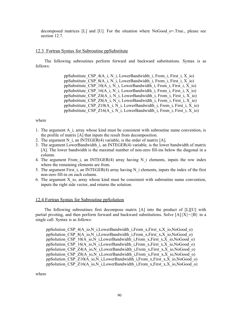decomposed matrices [L] and [U]. For the situation where NoGood\_o=.True., please see section 12.7.

# 12.3 Fortran Syntax for Subroutine ppSubstitute

The following subroutines perform forward and backward substitutions. Syntax is as follows:

> ppSubstitute CSP  $4(A_i, N_i)$ , LowerBandwidth i, From i, First i, X io) ppSubstitute  $CSP_8(A_i, N_i)$  LowerBandwidth i, From i, First i, X io) ppSubstitute CSP  $10(A_i, N_i)$ , LowerBandwidth i, From i, First i, X io) ppSubstitute CSP  $16(A_i, N_i)$ , LowerBandwidth i, From i, First i, X io) ppSubstitute CSP  $Z4(A_i, N_i)$  i, LowerBandwidth i, From i, First i, X io) ppSubstitute CSP Z8(A i, N i, LowerBandwidth i, From i, First i, X io) ppSubstitute CSP Z10(A i, N i, LowerBandwidth i, From i, First i, X io) ppSubstitute CSP\_Z16(A\_i, N\_i, LowerBandwidth\_i, From\_i, First\_i, X\_io)

#### where

- 1. The argument A\_i, array whose kind must be consistent with subroutine name convention, is the profile of matrix [A] that inputs the result from decomposition.
- 2. The argument N i, an INTEGER(4) variable, is the order of matrix  $[A]$ .
- 3. The argument LowerBandwidth\_i, an INTEGER(4) variable, is the lower bandwidth of matrix [A]. The lower bandwidth is the maximal number of non-zero fill-ins below the diagonal in a column.
- 4. The argument From i, an INTEGER(4) array having N i elements, inputs the row index where the remaining elements are from.
- 5. The argument First  $i$ , an INTEGER(4) array having N  $i$  elements, inputs the index of the first non-zero fill-in on each column.
- 6. The argument X\_io, array whose kind must be consistent with subroutine name convention, inputs the right side vector, and returns the solution.

### 12.4 Fortran Syntax for Subroutine ppSolution

The following subroutines first decompose matrix [A] into the product of [L][U] with partial pivoting, and then perform forward and backward substitutions. Solve  $[A]\{X\}=\{B\}$  in a single call. Syntax is as follows:

ppSolution\_CSP\_4(A\_io,N\_i,LowerBandwidth\_i,From\_x,First\_x,X\_io,NoGood\_o) ppSolution\_CSP\_8(A\_io,N\_i,LowerBandwidth\_i,From\_x,First\_x,X\_io,NoGood\_o) ppSolution\_CSP\_10(A\_io,N\_i,LowerBandwidth\_i,From\_x,First\_x,X\_io,NoGood\_o) ppSolution\_CSP\_16(A\_io,N\_i,LowerBandwidth\_i,From\_x,First\_x,X\_io,NoGood\_o) ppSolution\_CSP\_Z4(A\_io,N\_i,LowerBandwidth\_i,From\_x,First\_x,X\_io,NoGood\_o) ppSolution\_CSP\_Z8(A\_io,N\_i,LowerBandwidth\_i,From\_x,First\_x,X\_io,NoGood\_o) ppSolution\_CSP\_Z10(A\_io,N\_i,LowerBandwidth\_i,From\_x,First\_x,X\_io,NoGood\_o) ppSolution\_CSP\_Z16(A\_io,N\_i,LowerBandwidth\_i,From\_x,First\_x,X\_io,NoGood\_o)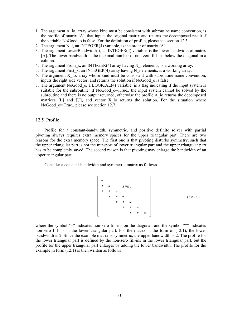- 1. The argument A\_io, array whose kind must be consistent with subroutine name convention, is the profile of matrix [A], that inputs the original matrix and returns the decomposed result if the variable NoGood o is false. For the definition of profile, please see section 12.5.
- 2. The argument N i, an INTEGER(4) variable, is the order of matrix  $[A]$ .
- 3. The argument LowerBandwidth\_i, an INTEGER(4) variable, is the lower bandwidth of matrix [A]. The lower bandwidth is the maximal number of non-zero fill-ins below the diagonal in a column.
- 4. The argument From  $x$ , an INTEGER(4) array having N i elements, is a working array.
- 5. The argument First  $\overline{x}$ , an INTEGER(4) array having N $\overline{i}$  elements, is a working array.
- 6. The argument  $X$  io, array whose kind must be consistent with subroutine name convention, inputs the right side vector, and returns the solution if NoGood\_o is false.
- 7. The argument NoGood\_o, a LOGICAL(4) variable, is a flag indicating if the input system is suitable for the subroutine. If NoGood  $o$ =.True., the input system cannot be solved by the subroutine and there is no output returned; otherwise the profile A io returns the decomposed matrices  $[L]$  and  $[U]$ , and vector X io returns the solution. For the situation where NoGood o=.True., please see section 12.7.

# 12.5 Profile

Profile for a constant-bandwidth, symmetric, and positive definite solver with partial pivoting always requires extra memory spaces for the upper triangular part. There are two reasons for the extra memory space. The first one is that pivoting disturbs symmetry, such that the upper triangular part is not the transport of lower triangular part and the upper triangular part has to be completely saved. The second reason is that pivoting may enlarge the bandwidth of an upper triangular part.

Consider a constant-bandwidth and symmetric matrix as follows.

$$
\begin{bmatrix}\n= \\
* & = & \text{sym.} \\
* & * & = \\
* & * & = \\
* & * & * \\
* & * & = \\
* & * & * \\
* & * & * \\
* & * & * \\
* & * & * \\
* & * & * \\
* & * & * \\
* & * & * \\
* & * & * \\
* & * & * \\
*\end{bmatrix}
$$
\n(12.1)

where the symbol "=" indicates non-zero fill-ins on the diagonal, and the symbol "\*" indicates non-zero fill-ins in the lower triangular part. For the matrix in the form of (12.1), the lower bandwidth is 2. Since the example matrix is symmetric, the upper bandwidth is 2. The profile for the lower triangular part is defined by the non-zero fill-ins in the lower triangular part, but the profile for the upper triangular part enlarges by adding the lower bandwidth. The profile for the example in form  $(12.1)$  is then written as follows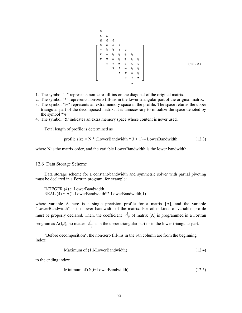- 1. The symbol "=" represents non-zero fill-ins on the diagonal of the original matrix.
- 2. The symbol "\*" represents non-zero fill-ins in the lower triangular part of the original matrix.
- 3. The symbol "%" represents an extra memory space in the profile. The space returns the upper triangular part of the decomposed matrix. It is unnecessary to initialize the space denoted by the symbol "%".
- 4. The symbol "&"indicates an extra memory space whose content is never used.

Total length of profile is determined as

profile size = 
$$
N * (LowerBandwidth * 3 + 1) - LowerBandwidth
$$
 (12.3)

where N is the matrix order, and the variable LowerBandwidth is the lower bandwidth.

# 12.6 Data Storage Scheme

Data storage scheme for a constant-bandwidth and symmetric solver with partial pivoting must be declared in a Fortran program, for example:

 INTEGER (4) :: LowerBandwidth REAL (4) :: A(1-LowerBandwidth\*2:LowerBandwidth,1)

where variable A here is a single precision profile for a matrix [A], and the variable "LowerBandwidth" is the lower bandwidth of the matrix. For other kinds of variable, profile must be properly declared. Then, the coefficient  $A_{ij}$  of matrix [A] is programmed in a Fortran program as  $A(I,J)$ , no matter  $A_{ij}$  is in the upper triangular part or in the lower triangular part.

"Before decomposition", the non-zero fill-ins in the i-th column are from the beginning index:

Maximum of 
$$
(1, \text{i-LowerBandwidth})
$$
 (12.4)

to the ending index:

$$
Minimum of (N, i+LowerBandwidth)
$$
\n(12.5)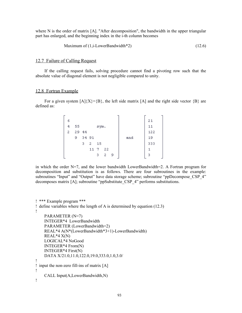where N is the order of matrix [A]. "After decomposition", the bandwidth in the upper triangular part has enlarged, and the beginning index in the i-th column becomes

Maximum of 
$$
(1, i
$$
-LowerBandwidth<sup>\*</sup>2)  $(12.6)$ 

# 12.7 Failure of Calling Request

If the calling request fails, solving procedure cannot find a pivoting row such that the absolute value of diagonal element is not negligible compared to unity.

## 12.8 Fortran Example

For a given system  $[A](X) = \{B\}$ , the left side matrix  $[A]$  and the right side vector  $\{B\}$  are defined as:

|   |       |       |    |      |    |    |     |     | - |
|---|-------|-------|----|------|----|----|-----|-----|---|
| 6 |       |       |    |      |    |    |     | 21  |   |
| 4 | 55    |       |    | sym. |    |    |     | 11  |   |
| 2 | 29 44 |       |    |      |    |    |     | 122 |   |
|   | 9     | 34 91 |    |      |    |    | and | 19  |   |
|   |       | 3.    | 2  | 15   |    |    |     | 333 |   |
|   |       |       | 11 | 7    | 22 |    |     |     |   |
|   |       |       |    | з    | 2. | -9 |     | 3   |   |
|   |       |       |    |      |    |    |     |     | - |

in which the order  $N=7$ , and the lower bandwidth LowerBandwidth=2. A Fortran program for decomposition and substitution is as follows. There are four subroutines in the example: subroutines "Input" and "Output" have data storage scheme; subroutine "ppDecompose\_CSP\_4" decomposes matrix [A]; subroutine "ppSubstitute\_CSP\_4" performs substitutions.

```
! *** Example program ***
! define variables where the length of A is determined by equation (12.3)
!
     PARAMETER (N=7)
     INTEGER*4 LowerBandwidth
     PARAMETER (LowerBandwidth=2)
     REAL*4 A(N*(LowerBandwidth*3+1)-LowerBandwidth)
    REAL*4 X(N) LOGICAL*4 NoGood
     INTEGER*4 From(N)
     INTEGER*4 First(N)
     DATA X/21.0,11.0,122.0,19.0,333.0,1.0,3.0/
!
! input the non-zero fill-ins of matrix [A]
!
     CALL Input(A,LowerBandwidth,N)
!
```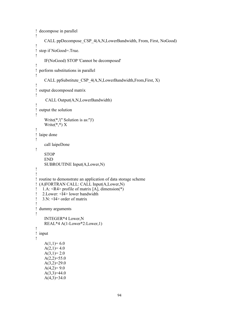```
! decompose in parallel
!
     CALL ppDecompose_CSP_4(A,N,LowerBandwidth, From, First, NoGood)
!
! stop if NoGood=.True.
!
     IF(NoGood) STOP 'Cannot be decomposed'
!
! perform substitutions in parallel
!
     CALL ppSubstitute_CSP_4(A,N,LowerBandwidth,From,First, X)
!
! output decomposed matrix
!
      CALL Output(A,N,LowerBandwidth)
!
! output the solution
!
     Write(*,'('' Solution is as:'')')
    Write(*,*) X
!
! laipe done
!
     call laipeDone
!
    STOP
     END
     SUBROUTINE Input(A,Lower,N)
!
!
! routine to demonstrate an application of data storage scheme
! (A)FORTRAN CALL: CALL Input(A,Lower,N)
! 1.A: <R4> profile of matrix [A], dimension(*)
! 2. Lower: \overline{14} lower bandwidth
! 3 \text{ N}: <I4> order of matrix
!
! dummy arguments
!
     INTEGER*4 Lower,N
     REAL*4 A(1-Lower*2:Lower,1)
!
! input
!
    A(1,1)= 6.0A(2,1)=4.0A(3,1)=2.0A(2,2)=55.0A(3,2)=29.0A(4,2)=9.0A(3,3)=44.0A(4,3)=34.0
```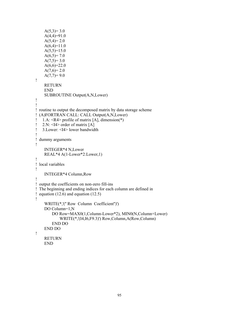```
A(5,3)=3.0A(4,4)=91.0A(5,4)=2.0A(6,4)=11.0A(5,5)=15.0A(6,5)= 7.0A(7,5)=3.0A(6,6)=22.0A(7,6)=2.0A(7,7)=9.0!
     RETURN
     END
     SUBROUTINE Output(A,N,Lower)
!
!
! routine to output the decomposed matrix by data storage scheme
! (A)FORTRAN CALL: CALL Output(A,N,Lower)
! 1.A: \langle R4 \rangle profile of matrix [A], dimension(*)
! 2.N: \leq 14 order of matrix [A]
! 3.Lower: <I4> lower bandwidth
!
! dummy arguments
!
     INTEGER*4 N,Lower
     REAL*4 A(1-Lower*2:Lower,1)
!
! local variables
!
     INTEGER*4 Column,Row
!
! output the coefficients on non-zero fill-ins
! The beginning and ending indices for each column are defined in
! equation (12.6) and equation (12.5)!
     WRITE(*,'('' Row Column Coefficient'')')
     DO Column=1,N
         DO Row=MAX0(1,Column-Lower*2), MIN0(N,Column+Lower)
             WRITE(*,'(I4,I6,F9.3)') Row,Column,A(Row,Column)
         END DO
     END DO
!
     RETURN
     END
```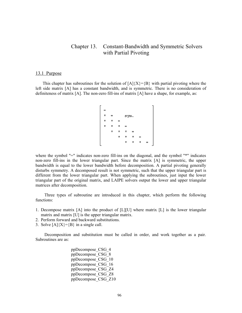# Chapter 13. Constant-Bandwidth and Symmetric Solvers with Partial Pivoting

#### 13.1 Purpose

This chapter has subroutines for the solution of  $[A]\{X\}=\{B\}$  with partial pivoting where the left side matrix [A] has a constant bandwidth, and is symmetric. There is no consideration of definiteness of matrix [A]. The non-zero fill-ins of matrix [A] have a shape, for example, as:

$$
\begin{bmatrix}\n= \\
\star & = & \text{sym.} \\
\star & \star & = \\
\star & \star & \star & = \\
& \star & \star & \star & = \\
& & \star & \star & \star & = \\
& & & \star & \star & \star & = \\
& & & & \star & \star & \star & =\n\end{bmatrix}
$$

where the symbol "=" indicates non-zero fill-ins on the diagonal, and the symbol "\*" indicates non-zero fill-ins in the lower triangular part. Since the matrix [A] is symmetric, the upper bandwidth is equal to the lower bandwidth before decomposition. A partial pivoting generally disturbs symmetry. A decomposed result is not symmetric, such that the upper triangular part is different from the lower triangular part. When applying the subroutines, just input the lower triangular part of the original matrix, and LAIPE solvers output the lower and upper triangular matrices after decomposition.

Three types of subroutine are introduced in this chapter, which perform the following functions:

- 1. Decompose matrix [A] into the product of [L][U] where matrix [L] is the lower triangular matrix and matrix [U] is the upper triangular matrix.
- 2. Perform forward and backward substitutions.
- 3. Solve  $[A]\{X\}=\{B\}$  in a single call.

Decomposition and substitution must be called in order, and work together as a pair. Subroutines are as:

> ppDecompose\_CSG\_4 ppDecompose\_CSG\_8 ppDecompose\_CSG\_10 ppDecompose\_CSG\_16 ppDecompose\_CSG\_Z4 ppDecompose\_CSG\_Z8 ppDecompose\_CSG\_Z10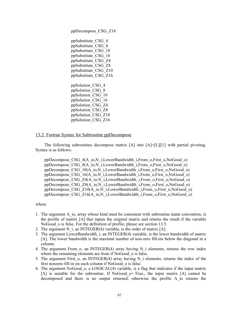ppDecompose\_CSG\_Z16

ppSubstitute\_CSG\_4 ppSubstitute\_CSG\_8 ppSubstitute\_CSG\_10 ppSubstitute\_CSG\_16 ppSubstitute\_CSG\_Z4 ppSubstitute\_CSG\_Z8 ppSubstitute\_CSG\_Z10 ppSubstitute\_CSG\_Z16 ppSolution\_CSG\_4 ppSolution\_CSG\_8 ppSolution\_CSG\_10

ppSolution\_CSG\_16 ppSolution\_CSG\_Z4 ppSolution\_CSG\_Z8 ppSolution\_CSG\_Z10 ppSolution\_CSG\_Z16

# 13.2 Fortran Syntax for Subroutine ppDecompose

The following subroutines decompose matrix [A] into [A]=[L][U] with partial pivoting. Syntax is as follows:

ppDecompose\_CSG\_4(A\_io,N\_i,LowerBandwidth\_i,From\_o,First\_o,NoGood\_o) ppDecompose\_CSG\_8(A\_io,N\_i,LowerBandwidth\_i,From\_o,First\_o,NoGood\_o) ppDecompose\_CSG\_10(A\_io,N\_i,LowerBandwidth\_i,From\_o,First\_o,NoGood\_o) ppDecompose\_CSG\_16(A\_io,N\_i,LowerBandwidth\_i,From\_o,First\_o,NoGood\_o) ppDecompose\_CSG\_Z4(A\_io,N\_i,LowerBandwidth\_i,From\_o,First\_o,NoGood\_o) ppDecompose\_CSG\_Z8(A\_io,N\_i,LowerBandwidth\_i,From\_o,First\_o,NoGood\_o) ppDecompose\_CSG\_Z10(A\_io,N\_i,LowerBandwidth\_i,From\_o,First\_o,NoGood\_o) ppDecompose\_CSG\_Z16(A\_io,N\_i,LowerBandwidth\_i,From\_o,First\_o,NoGood\_o)

- 1. The argument A\_io, array whose kind must be consistent with subroutine name convention, is the profile of matrix [A] that inputs the original matrix and returns the result if the variable NoGood o is false. For the definition of profile, please see section 13.5.
- 2. The argument N i, an INTEGER(4) variable, is the order of matrix  $[A]$ .
- 3. The argument LowerBandwidth\_i, an INTEGER(4) variable, is the lower bandwidth of matrix [A]. The lower bandwidth is the maximal number of non-zero fill-ins below the diagonal in a column.
- 4. The argument From  $\sigma$ , an INTEGER(4) array having N i elements, returns the row index where the remaining elements are from if NoGood o is false.
- 5. The argument First  $o$ , an INTEGER(4) array having N i elements, returns the index of the first nonzero fill-in on each column if NoGood\_o is false.
- 6. The argument NoGood\_o, a LOGICAL(4) variable, is a flag that indicates if the input matrix [A] is suitable for the subroutine. If NoGood\_o=.True., the input matrix [A] cannot be decomposed and there is no output returned; otherwise the profile A\_io returns the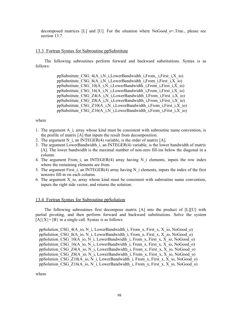decomposed matrices [L] and [U]. For the situation where NoGood\_o=.True., please see section 13.7.

# 13.3 Fortran Syntax for Subroutine ppSubstitute

The following subroutines perform forward and backward substitutions. Syntax is as follows:

> ppSubstitute CSG\_4(A\_i,N\_i,LowerBandwidth\_i,From,\_i,First\_i,X\_io) ppSubstitute CSG  $8(A_i, N_i, LowerBandwidth_i, From i, First, i, X, io)$ ppSubstitute CSG\_10(A\_i,N\_i,LowerBandwidth\_i,From\_i,First\_i,X\_io) ppSubstitute CSG\_16(A\_i,N\_i,LowerBandwidth\_i,From\_i,First\_i,X\_io) ppSubstitute CSG\_Z4(A\_i,N\_i,LowerBandwidth\_I,From\_i,First\_i,X\_io) ppSubstitute CSG Z8(A\_i,N\_i,LowerBandwidth\_i,From\_i,First\_i,X\_io) ppSubstitute CSG\_Z10(A\_i,N\_i,LowerBandwidth\_i,From\_i,First\_i,X\_io) ppSubstitute CSG\_Z16(A\_i,N\_i,LowerBandwidth\_i,From\_i,First\_i,X\_io)

#### where

- 1. The argument A\_i, array whose kind must be consistent with subroutine name convention, is the profile of matrix [A] that inputs the result from decomposition.
- 2. The argument N i, an INTEGER(4) variable, is the order of matrix  $[A]$ .
- 3. The argument LowerBandwidth\_i, an INTEGER(4) variable, is the lower bandwidth of matrix [A]. The lower bandwidth is the maximal number of non-zero fill-ins below the diagonal in a column.
- 4. The argument From i, an INTEGER(4) array having N i elements, inputs the row index where the remaining elements are from.
- 5. The argument First  $i$ , an INTEGER(4) array having N  $i$  elements, inputs the index of the first nonzero fill-in on each column.
- 6. The argument X\_io, array whose kind must be consistent with subroutine name convention, inputs the right side vector, and returns the solution.

# 13.4 Fortran Syntax for Subroutine ppSolution

The following subroutines first decompose matrix [A] into the product of [L][U] with partial pivoting, and then perform forward and backward substitutions. Solve the system  $[A]\{X\}=\{B\}$  in a single call. Syntax is as follows:

ppSolution CSG  $4(A_i, N_i)$ , LowerBandwidth i, From x, First x, X io, NoGood o) ppSolution CSG  $8(A_i, N_i)$ , LowerBandwidth i, From x, First x, X io, NoGood o) ppSolution CSG\_10(A\_io, N\_i, LowerBandwidth\_i, From\_x, First\_x, X\_io, NoGood\_o) ppSolution CSG\_16(A\_io, N\_i, LowerBandwidth\_i, From\_x, First\_x, X\_io, NoGood\_o) ppSolution CSG  $Z4(A_0, N_1)$ , LowerBandwidth i, From x, First x, X io, NoGood o) ppSolution CSG\_Z8(A\_io, N\_i, LowerBandwidth\_i, From\_x, First\_x, X\_io, NoGood\_o) ppSolution CSG\_Z10(A\_io, N\_i, LowerBandwidth\_i, From\_x, First\_x, X\_io, NoGood\_o) ppSolution CSG  $Z16(A_0, N_1)$ , LowerBandwidth i, From x, First x, X io, NoGood o)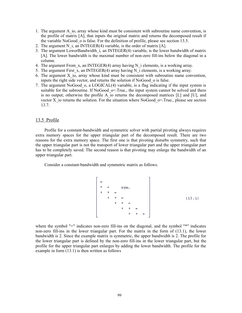- 1. The argument A\_io, array whose kind must be consistent with subroutine name convention, is the profile of matrix [A], that inputs the original matrix and returns the decomposed result if the variable NoGood\_o is false. For the definition of profile, please see section 13.5.
- 2. The argument N i, an INTEGER(4) variable, is the order of matrix  $[A]$ .
- 3. The argument LowerBandwidth\_i, an INTEGER(4) variable, is the lower bandwidth of matrix [A]. The lower bandwidth is the maximal number of non-zero fill-ins below the diagonal in a column.
- 4. The argument From  $x$ , an INTEGER(4) array having N i elements, is a working array.
- 5. The argument First  $\overline{x}$ , an INTEGER(4) array having N $\overline{i}$  elements, is a working array.
- 6. The argument  $X$  io, array whose kind must be consistent with subroutine name convention, inputs the right side vector, and returns the solution if NoGood\_o is false.
- 7. The argument NoGood o, a LOGICAL(4) variable, is a flag indicating if the input system is suitable for the subroutine. If NoGood  $o$ =. True., the input system cannot be solved and there is no output; otherwise the profile A io returns the decomposed matrices  $[L]$  and  $[U]$ , and vector X io returns the solution. For the situation where NoGood  $\sigma$ =. True., please see section 13.7.

# 13.5 Profile

Profile for a constant-bandwidth and symmetric solver with partial pivoting always requires extra memory spaces for the upper triangular part of the decomposed result. There are two reasons for the extra memory space. The first one is that pivoting disturbs symmetry, such that the upper triangular part is not the transport of lower triangular part and the upper triangular part has to be completely saved. The second reason is that pivoting may enlarge the bandwidth of an upper triangular part.

Consider a constant-bandwidth and symmetric matrix as follows.

$$
\begin{bmatrix}\n= \\
* & = & \text{sym.} \\
* & * & = \\
* & * & = \\
* & * & * \\
* & * & = \\
* & * & * \\
* & * & * \\
* & * & * \\
* & * & * \\
* & * & * \\
* & * & * \\
* & * & * \\
* & * & * \\
* & * & * \\
* & * & * \\
* & * & * \\
* & * & * \\
* & * & * \\
*\end{bmatrix}
$$
\n(13.1)

where the symbol "=" indicates non-zero fill-ins on the diagonal, and the symbol "\*" indicates non-zero fill-ins in the lower triangular part. For the matrix in the form of (13.1), the lower bandwidth is 2. Since the example matrix is symmetric, the upper bandwidth is 2. The profile for the lower triangular part is defined by the non-zero fill-ins in the lower triangular part, but the profile for the upper triangular part enlarges by adding the lower bandwidth. The profile for the example in form (13.1) is then written as follows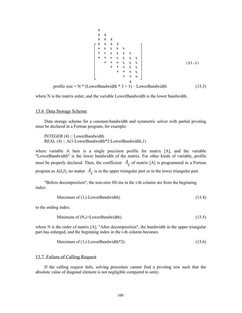$$
\begin{array}{c}\n\text{c} \\
\text{c} \\
\text{d} \\
\text{e} \\
\text{f} \\
\text{f} \\
\text{g} \\
\text{g} \\
\text{h} \\
\text{h} \\
\text{h} \\
\text{h} \\
\text{h} \\
\text{h} \\
\text{h} \\
\text{h} \\
\text{h} \\
\text{h} \\
\text{h} \\
\text{h} \\
\text{h} \\
\text{h} \\
\text{h} \\
\text{h} \\
\text{h} \\
\text{h} \\
\text{h} \\
\text{h} \\
\text{h} \\
\text{h} \\
\text{h} \\
\text{h} \\
\text{h} \\
\text{h} \\
\text{h} \\
\text{h} \\
\text{h} \\
\text{h} \\
\text{h} \\
\text{h} \\
\text{h} \\
\text{h} \\
\text{h} \\
\text{h} \\
\text{h} \\
\text{h} \\
\text{h} \\
\text{h} \\
\text{h} \\
\text{h} \\
\text{h} \\
\text{h} \\
\text{h} \\
\text{h} \\
\text{h} \\
\text{h} \\
\text{h} \\
\text{h} \\
\text{h} \\
\text{h} \\
\text{h} \\
\text{h} \\
\text{h} \\
\text{h} \\
\text{h} \\
\text{h} \\
\text{h} \\
\text{h} \\
\text{h} \\
\text{h} \\
\text{h} \\
\text{h} \\
\text{h} \\
\text{h} \\
\text{h} \\
\text{h} \\
\text{h} \\
\text{h} \\
\text{h} \\
\text{h} \\
\text{h} \\
\text{h} \\
\text{h} \\
\text{h} \\
\text{h} \\
\text{h} \\
\text{h} \\
\text{h} \\
\text{h} \\
\text{h} \\
\text{h} \\
\text{h} \\
\text{h} \\
\text{h} \\
\text{h} \\
\text{h} \\
\text{h} \\
\text{h} \\
\text{h} \\
\text{h} \\
\text{h} \\
\text{h} \\
\text{h} \\
\text{h} \\
\text{h} \\
\text{h} \\
\text{h} \\
\text{h} \\
\text{h} \\
\text{h} \\
\text{h} \\
\text{h} \\
\text{h} \\
\text{h} \\
\text{h} \\
\text{h} \\
\text{h} \\
\text{h} \\
\text{h} \\
\text{h} \\
\text{h} \\
\text{h} \\
\text{h} \\
\text{h} \\
\text{h} \\
\text
$$

where N is the matrix order, and the variable LowerBandwidth is the lower bandwidth.

#### 13.6 Data Storage Scheme

Data storage scheme for a constant-bandwidth and symmetric solver with partial pivoting must be declared in a Fortran program, for example:

 INTEGER (4) :: LowerBandwidth REAL (4) :: A(1-LowerBandwidth\*2:LowerBandwidth,1)

where variable A here is a single precision profile for matrix [A], and the variable "LowerBandwidth" is the lower bandwidth of the matrix. For other kinds of variable, profile must be properly declared. Then, the coefficient  $A_{ij}$  of matrix [A] is programmed in a Fortran program as  $A(I,J)$ , no matter  $A_{ij}$  is in the upper triangular part or in the lower triangular part.

"Before decomposition", the non-zero fill-ins in the i-th column are from the beginning index:

Maximum of 
$$
(1, i\text{-LowerBandwidth})
$$
 (13.4)

to the ending index:

$$
Minimum of (N,i+LowerBandwidth)
$$
\n(13.5)

where N is the order of matrix [A]. "After decomposition", the bandwidth in the upper triangular part has enlarged, and the beginning index in the i-th column becomes

Maximum of 
$$
(1,i
$$
-LowerBandwidth\*2).  $(13.6)$ 

### 13.7 Failure of Calling Request

If the calling request fails, solving procedure cannot find a pivoting row such that the absolute value of diagonal element is not negligible compared to unity.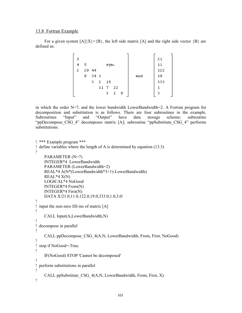# 13.8 Fortran Example

For a given system  $[A]\{X\}=\{B\}$ , the left side matrix  $[A]$  and the right side vector  $\{B\}$  are defined as:

| 6 |   |       |      |      |    |    |     | 21  |
|---|---|-------|------|------|----|----|-----|-----|
| 4 | 5 |       |      | sym. |    |    |     | 11  |
| 2 |   | 29 44 |      |      |    |    |     | 122 |
|   | 9 | 34 1  |      |      |    |    | and | 19  |
|   |   | з.    | 2    | 15   |    |    |     | 333 |
|   |   |       | 11 7 |      | 22 |    |     |     |
|   |   |       |      | з    | 2. | -9 |     | з   |
|   |   |       |      |      |    |    |     |     |

in which the order  $N=7$ , and the lower bandwidth LowerBandwidth=2. A Fortran program for decomposition and substitution is as follows. There are four subroutines in the example. Subroutines "Input" and "Output" have data storage scheme; subroutine "ppDecompose\_CSG\_4" decomposes matrix [A]; subroutine "ppSubstitute\_CSG\_4" performs substitutions.

```
! *** Example program ***
! define variables where the length of A is determined by equation (13.3)
!
     PARAMETER (N=7)
     INTEGER*4 LowerBandwidth
     PARAMETER (LowerBandwidth=2)
     REAL*4 A(N*(LowerBandwidth*3+1)-LowerBandwidth)
    REAL*4 X(N) LOGICAL*4 NoGood
     INTEGER*4 From(N)
     INTEGER*4 First(N)
     DATA X/21.0,11.0,122.0,19.0,333.0,1.0,3.0/
!
! input the non-zero fill-ins of matrix [A]
!
     CALL Input(A,LowerBandwidth,N)
!
! decompose in parallel
!
     CALL ppDecompose_CSG_4(A,N, LowerBandwidth, From, First, NoGood)
!
! stop if NoGood=.True.
!
     IF(NoGood) STOP 'Cannot be decomposed'
!
! perform substitutions in parallel
!
     CALL ppSubstitute_CSG_4(A,N, LowerBandwidth, From, First, X)
!
```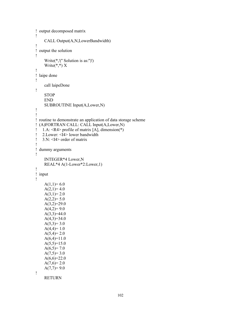```
! output decomposed matrix
!
     CALL Output(A,N,LowerBandwidth)
!
! output the solution
!
     Write(*,'('' Solution is as:'')')
    Write(*,*) X
!
! laipe done
!
     call laipeDone
!
     STOP
     END
     SUBROUTINE Input(A,Lower,N)
!
!
! routine to demonstrate an application of data storage scheme
! (A)FORTRAN CALL: CALL Input(A,Lower,N)
! 1.A: <R4> profile of matrix [A], dimension(*)
! 2. Lower: \leqI4> lower bandwidth<br>! 3. N: \leqI4> order of matrix
   3 \text{ N}: \leq 14 order of matrix
!
! dummy arguments
!
     INTEGER*4 Lower,N
     REAL*4 A(1-Lower*2:Lower,1)
!
! input
!
    A(1,1)= 6.0A(2,1)=4.0A(3,1)=2.0A(2,2)=5.0A(3,2)=29.0A(4,2)=9.0A(3,3)=44.0A(4,3)=34.0A(5,3)=3.0A(4,4)=1.0A(5,4)=2.0A(6,4)=11.0A(5,5)=15.0A(6,5)= 7.0A(7,5)=3.0A(6,6)=22.0A(7,6)=2.0A(7,7)=9.0!
     RETURN
```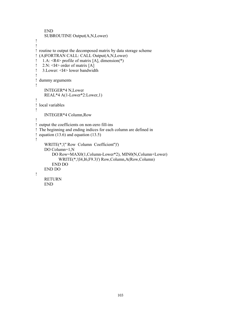```
 END
     SUBROUTINE Output(A,N,Lower)
!
!
! routine to output the decomposed matrix by data storage scheme
! (A)FORTRAN CALL: CALL Output(A,N,Lower)
! 1.A: <R4> profile of matrix [A], dimension(*)
! 2.N: \leq I4 order of matrix [A]
! 3.Lower: <I4> lower bandwidth
!
! dummy arguments
!
     INTEGER*4 N,Lower
     REAL*4 A(1-Lower*2:Lower,1)
!
! local variables
!
     INTEGER*4 Column,Row
!
! output the coefficients on non-zero fill-ins
! The beginning and ending indices for each column are defined in
! equation (13.6) and equation (13.5)!
     WRITE(*,'('' Row Column Coefficient'')')
     DO Column=1,N
         DO Row=MAX0(1,Column-Lower*2), MIN0(N,Column+Lower)
            WRITE(*,'(I4,I6,F9.3)') Row,Column,A(Row,Column)
         END DO
     END DO
!
     RETURN
     END
```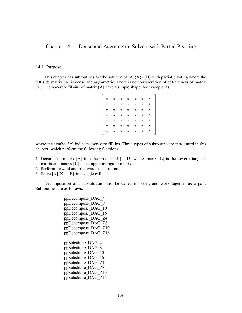Chapter 14. Dense and Asymmetric Solvers with Partial Pivoting

# 14.1 Purpose

This chapter has subroutines for the solution of  $[A]\{X\}=\{B\}$  with partial pivoting where the left side matrix [A] is dense and asymmetric. There is no consideration of definiteness of matrix [A]. The non-zero fill-ins of matrix [A] have a simple shape, for example, as:

| $\dot{t}$   | $\pmb{\pi}$ | $\pi$       | 一方          | 大           | $\pmb{\pi}$ | *       |  |
|-------------|-------------|-------------|-------------|-------------|-------------|---------|--|
| $\star$     | $\star$     | $\pmb{\pi}$ | $\pmb{\pi}$ | $\pmb{\pi}$ | $\star$     | $\star$ |  |
| $\star$     | $\pmb{\pi}$ | $\pmb{\pi}$ | 一方。         | 大。          | $\star$     | $\star$ |  |
| $\star$     | *           | $\pmb{\pi}$ | 大口          | *           | $\star$     | *       |  |
| $\star$     | *           | $\pmb{\pi}$ | $\pi$       | *           | *           | *       |  |
| $\pmb{\pi}$ | *           | $\pmb{\pi}$ | 大           | * .         | *           | *       |  |
| $\pmb{\pi}$ | $\pmb{\pi}$ | 古.          | *.          | *           | *           | *       |  |
|             |             |             |             |             |             |         |  |

where the symbol "\*" indicates non-zero fill-ins. Three types of subroutine are introduced in this chapter, which perform the following functions:

- 1. Decompose matrix [A] into the product of [L][U] where matrix [L] is the lower triangular matrix and matrix [U] is the upper triangular matrix.
- 2. Perform forward and backward substitutions.
- 3. Solve  $[A]\{X\}=\{B\}$  in a single call.

Decomposition and substitution must be called in order, and work together as a pair. Subroutines are as follows:

> ppDecompose\_DAG\_4 ppDecompose\_DAG\_8 ppDecompose\_DAG\_10 ppDecompose\_DAG\_16 ppDecompose\_DAG\_Z4 ppDecompose\_DAG\_Z8 ppDecompose\_DAG\_Z10 ppDecompose\_DAG\_Z16 ppSubstitute\_DAG\_4 ppSubstitute\_DAG\_8 ppSubstitute\_DAG\_10 ppSubstitute\_DAG\_16 ppSubstitute\_DAG\_Z4 ppSubstitute\_DAG\_Z8 ppSubstitute\_DAG\_Z10 ppSubstitute\_DAG\_Z16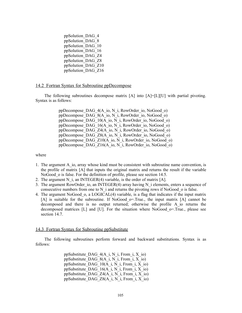ppSolution\_DAG\_4 ppSolution\_DAG\_8 ppSolution\_DAG\_10 ppSolution\_DAG\_16 ppSolution\_DAG\_Z4 ppSolution\_DAG\_Z8 ppSolution\_DAG\_Z10 ppSolution\_DAG\_Z16

## 14.2 Fortran Syntax for Subroutine ppDecompose

The following subroutines decompose matrix [A] into [A]=[L][U] with partial pivoting. Syntax is as follows:

> ppDecompose\_DAG\_4(A\_io, N\_i, RowOrder\_io, NoGood\_o) ppDecompose\_DAG\_8(A\_io, N\_i, RowOrder\_io, NoGood\_o) ppDecompose\_DAG\_10(A\_io, N\_i, RowOrder\_io, NoGood\_o) ppDecompose\_DAG\_16(A\_io, N\_i, RowOrder\_io, NoGood\_o) ppDecompose\_DAG\_Z4(A\_io, N\_i, RowOrder\_io, NoGood\_o) ppDecompose\_DAG\_Z8(A\_io, N\_i, RowOrder\_io, NoGood\_o) ppDecompose\_DAG\_Z10( $\overline{A}$  io,  $\overline{N}$  i, RowOrder io, NoGood o) ppDecompose\_DAG\_Z16(A\_io, N\_i, RowOrder\_io, NoGood\_o)

### where

- 1. The argument A\_io, array whose kind must be consistent with subroutine name convention, is the profile of matrix [A] that inputs the original matrix and returns the result if the variable NoGood o is false. For the definition of profile, please see section 14.5.
- 2. The argument N i, an INTEGER(4) variable, is the order of matrix  $[A]$ .
- 3. The argument RowOrder io, an INTEGER(4) array having N i elements, enters a sequence of consecutive numbers from one to  $N$  i and returns the pivoting rows if NoGood  $\alpha$  is false.
- 4. The argument NoGood\_o, a LOGICAL(4) variable, is a flag that indicates if the input matrix [A] is suitable for the subroutine. If NoGood\_o=.True., the input matrix [A] cannot be decomposed and there is no output returned; otherwise the profile A\_io returns the decomposed matrices [L] and [U]. For the situation where NoGood\_o=.True., please see section 14.7.

### 14.3 Fortran Syntax for Subroutine ppSubstitute

The following subroutines perform forward and backward substitutions. Syntax is as follows:

> ppSubstitute DAG  $4(A_i, N_i, From_i, X_i)$ ppSubstitute DAG  $8(A_i, N_i, From_i, X_i)$ ppSubstitute DAG  $10(A_i, N_i, From_i, X_i)$ ppSubstitute DAG\_16(A\_i, N\_i, From\_i, X\_io) ppSubstitute DAG  $Z4(A_i, N_i, From_i, X_i)$ ppSubstitute DAG Z8(A i, N i, From i, X io)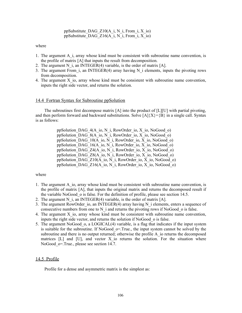ppSubstitute DAG Z10(A i, N i, From i, X io) ppSubstitute\_DAG\_Z16(A\_i, N\_i, From\_i, X\_io)

where

- 1. The argument A\_i, array whose kind must be consistent with subroutine name convention, is the profile of matrix [A] that inputs the result from decomposition.
- 2. The argument N i, an INTEGER(4) variable, is the order of matrix  $[A]$ .
- 3. The argument From i, an INTEGER(4) array having N i elements, inputs the pivoting rows from decomposition.
- 4. The argument  $X$  io, array whose kind must be consistent with subroutine name convention, inputs the right side vector, and returns the solution.

## 14.4 Fortran Syntax for Subroutine ppSolution

The subroutines first decompose matrix [A] into the product of [L][U] with partial pivoting, and then perform forward and backward substitutions. Solve  $[A]\{X\}=\{B\}$  in a single call. Syntax is as follows:

> ppSolution\_DAG\_4(A\_io, N\_i, RowOrder\_io, X\_io, NoGood\_o) ppSolution DAG  $8(A_i, N_i)$ , RowOrder io, X io, NoGood o) ppSolution\_DAG\_10(A\_io, N\_i, RowOrder\_io, X\_io, NoGood\_o) ppSolution DAG\_16(A\_io, N\_i, RowOrder\_io, X\_io, NoGood\_o) ppSolution\_DAG\_Z4(A\_io, N\_i, RowOrder\_io, X\_io, NoGood\_o) ppSolution\_DAG\_Z8(A\_io, N\_i, RowOrder\_io, X\_io, NoGood\_o) ppSolution DAG  $Z10(A_i, N_i)$ , RowOrder io, X io, NoGood o) ppSolution\_DAG\_Z16(A\_io, N\_i, RowOrder\_io, X\_io, NoGood\_o)

#### where

- 1. The argument A\_io, array whose kind must be consistent with subroutine name convention, is the profile of matrix [A], that inputs the original matrix and returns the decomposed result if the variable NoGood\_o is false. For the definition of profile, please see section 14.5.
- 2. The argument N i, an INTEGER(4) variable, is the order of matrix  $[A]$ .
- 3. The argument RowOrder io, an INTEGER(4) array having N i elements, enters a sequence of consecutive numbers from one to  $N$  i and returns the pivoting rows if NoGood  $\alpha$  is false.
- 4. The argument X\_io, array whose kind must be consistent with subroutine name convention, inputs the right side vector, and returns the solution if NoGood\_o is false.
- 5. The argument NoGood\_o, a LOGICAL(4) variable, is a flag that indicates if the input system is suitable for the subroutine. If NoGood  $\sigma$ =.True., the input system cannot be solved by the subroutine and there is no output returned; otherwise the profile A io returns the decomposed matrices  $[L]$  and  $[U]$ , and vector X io returns the solution. For the situation where NoGood o=.True., please see section 14.7.

## 14.5 Profile

Profile for a dense and asymmetric matrix is the simplest as: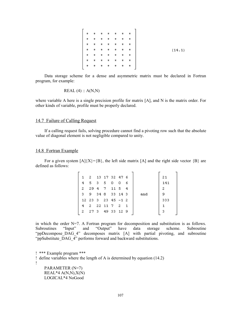| $\begin{array}{ ccccccccccccccccccc }\hline \texttt{t} & \texttt{t} & \texttt{t} & \texttt{t} & \texttt{t} & \texttt{t} & \texttt{t} & \texttt{t}\hline \end{array}$ |  |                                                                                                 |                                                                                           |
|----------------------------------------------------------------------------------------------------------------------------------------------------------------------|--|-------------------------------------------------------------------------------------------------|-------------------------------------------------------------------------------------------|
| $\rightarrow$                                                                                                                                                        |  |                                                                                                 | $\begin{array}{cccccccccccccc} \pi & \pi & \pi & \pi & \pi & \pi & \pi & \pi \end{array}$ |
| $\pm$                                                                                                                                                                |  | $\begin{array}{cccccccccccccc} \pi & \pi & \pi & \pi & \pi & \pi & \pi & \pi \end{array}$       |                                                                                           |
|                                                                                                                                                                      |  | $\begin{array}{cccccccccccccc} \pi & \pi & \pi & \pi & \pi & \pi & \pi & \pi & \pi \end{array}$ |                                                                                           |
|                                                                                                                                                                      |  | $\begin{array}{cccccccccccccc} \pi & \pi & \pi & \pi & \pi & \pi & \pi & \pi & \pi \end{array}$ |                                                                                           |
|                                                                                                                                                                      |  |                                                                                                 |                                                                                           |
| $\pmb{\pi}$                                                                                                                                                          |  |                                                                                                 |                                                                                           |
|                                                                                                                                                                      |  |                                                                                                 |                                                                                           |

Data storage scheme for a dense and asymmetric matrix must be declared in Fortran program, for example:

$$
REAL(4) :: A(N,N)
$$

where variable A here is a single precision profile for matrix [A], and N is the matrix order. For other kinds of variable, profile must be properly declared.

# 14.7 Failure of Calling Request

If a calling request fails, solving procedure cannot find a pivoting row such that the absolute value of diagonal element is not negligible compared to unity.

## 14.8 Fortran Example

For a given system  $[A]\{X\}=\{B\}$ , the left side matrix  $[A]$  and the right side vector  $\{B\}$  are defined as follows:

|    | 1 2 13 17 32 47 6      |  |     |     |     | 21  |  |
|----|------------------------|--|-----|-----|-----|-----|--|
| 4  | 5 3 5 0                |  | - 0 | - 6 |     | 141 |  |
| 2. | 29471154               |  |     |     |     | 2   |  |
|    | 3 9 34 8 33 14 3       |  |     |     | and | 9   |  |
|    | $12$ 23 3 23 45 $-1$ 2 |  |     |     |     | 333 |  |
| 4  |                        |  |     |     |     |     |  |
| 2. | 273 4933 129           |  |     |     |     |     |  |
|    |                        |  |     |     |     |     |  |

in which the order  $N=7$ . A Fortran program for decomposition and substitution is as follows. Subroutines "Input" and "Output" have data storage scheme. Subroutine "ppDecompose DAG 4" decomposes matrix [A] with partial pivoting, and subroutine "ppSubstitute\_DAG\_4" performs forward and backward substitutions.

! \*\*\* Example program \*\*\* ! define variables where the length of A is determined by equation (14.2) !

 PARAMETER (N=7)  $REAL*4 A(N,N), X(N)$ LOGICAL\*4 NoGood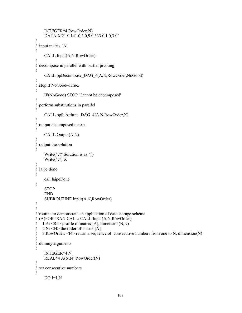```
 INTEGER*4 RowOrder(N)
     DATA X/21.0,141.0,2.0,9.0,333.0,1.0,3.0/
!
! input matrix [A]
!
     CALL Input(A,N,RowOrder)
!
! decompose in parallel with partial pivoting
!
     CALL ppDecompose_DAG_4(A,N,RowOrder,NoGood)
!
! stop if NoGood=.True.
!
     IF(NoGood) STOP 'Cannot be decomposed'
!
! perform substitutions in parallel
!
     CALL ppSubstitute_DAG_4(A,N,RowOrder,X)
!
! output decomposed matrix
!
     CALL Output(A,N)
!
! output the solution
!
     Write(*,'('' Solution is as:'')')
    Write(*,*) X
!
! laipe done
!
     call laipeDone
!
    STOP
     END
     SUBROUTINE Input(A,N,RowOrder)
!
!
! routine to demonstrate an application of data storage scheme
! (A)FORTRAN CALL: CALL Input(A,N,RowOrder)
! 1.A: \langle R4 \rangle profile of matrix [A], dimension(N,N)
! 2.N: \leq I4 the order of matrix [A]
! 3.RowOrder: <I4> return a sequence of consecutive numbers from one to N, dimension(N)
!
! dummy arguments
!
     INTEGER*4 N
     REAL*4 A(N,N),RowOrder(N)
!
! set consecutive numbers
!
    DO I=1,N
```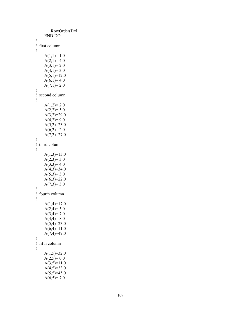```
RowOrder(I)=I
     E
N
D D
O
!<br>!   first column
!
     A(1,1)=1.0A(2,1)=4.0A(3,1)=2.0A(4,1)=3.0A(5,1)=12.0A(6,1)=4.0A(7,1)=2.0!<br>! second column
!
     A(1,2)=2.0A(2,2)=5.0A(3,2)=29.0A(4,2)=9.0A(5,2)=23.0A(6,2)=2.0A(7,2)=27.0!<br>! third column
!
     A(1,3)=13.0A(2,3)=3.0A(3,3)=4.0A(4,3)=34.0A(5,3)=3.0A(6,3)=22.0A(7,3)=3.0!<br>! fourth column
!
     A(1,4)=17.0A(2,4)=5.0A(3,4)=7.0A(4,4)=8.0A(5,4)=23.0A(6,4)=11.0A(7,4)=49.0!<br>!   fifth column
!
     A(1,5)=32.0A(2,5)=0.0A(3,5)=11.0A(4,5)=33.0A(5,5)=45.0A(6,5)=7.0
```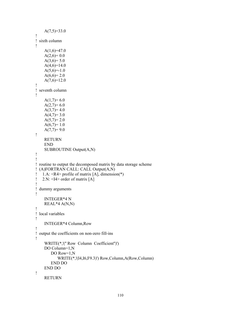```
A(7,5)=33.0!
! sixth column
!
    A(1,6)=47.0A(2,6)=0.0A(3,6)=5.0A(4,6)=14.0A(5,6)=1.0A(6,6)=2.0A(7,6)=12.0!
! seventh column
!
    A(1,7)=6.0A(2,7)=6.0A(3,7)=4.0A(4,7)=3.0A(5,7)=2.0A(6,7)=1.0A(7,7)=9.0!
     RETURN
     END
     SUBROUTINE Output(A,N)
!
!
! routine to output the decomposed matrix by data storage scheme
! (A)FORTRAN CALL: CALL Output(A,N)
! 1.A: \langle R4 \rangle profile of matrix [A], dimension(*)
! 2.N: <I4> order of matrix [A]
!
! dummy arguments
!
     INTEGER*4 N
     REAL*4 A(N,N)
!
! local variables
!
     INTEGER*4 Column,Row
!
! output the coefficients on non-zero fill-ins
!
     WRITE(*,'('' Row Column Coefficient'')')
     DO Column=1,N
        DO Row=1,N
            WRITE(*,'(I4,I6,F9.3)') Row,Column,A(Row,Column)
        END DO
     END DO
!
     RETURN
```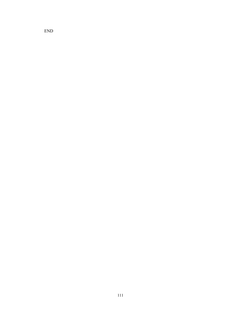END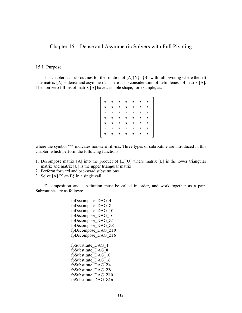Chapter 15. Dense and Asymmetric Solvers with Full Pivoting

# 15.1 Purpose

This chapter has subroutines for the solution of  $[A]\{X\}=\{B\}$  with full pivoting where the left side matrix [A] is dense and asymmetric. There is no consideration of definiteness of matrix [A]. The non-zero fill-ins of matrix [A] have a simple shape, for example, as:

where the symbol "\*" indicates non-zero fill-ins. Three types of subroutine are introduced in this chapter, which perform the following functions:

- 1. Decompose matrix [A] into the product of [L][U] where matrix [L] is the lower triangular matrix and matrix [U] is the upper triangular matrix.
- 2. Perform forward and backward substitutions.
- 3. Solve  $[A]\{X\} = \{B\}$  in a single call.

Decomposition and substitution must be called in order, and work together as a pair. Subroutines are as follows:

> fpDecompose\_DAG\_4 fpDecompose\_DAG\_8 fpDecompose\_DAG\_10 fpDecompose\_DAG\_16 fpDecompose\_DAG\_Z4 fpDecompose\_DAG\_Z8 fpDecompose\_DAG\_Z10 fpDecompose\_DAG\_Z16 fpSubstitute\_DAG\_4 fpSubstitute\_DAG\_8 fpSubstitute\_DAG\_10 fpSubstitute\_DAG\_16 fpSubstitute\_DAG\_Z4 fpSubstitute\_DAG\_Z8 fpSubstitute\_DAG\_Z10 fpSubstitute\_DAG\_Z16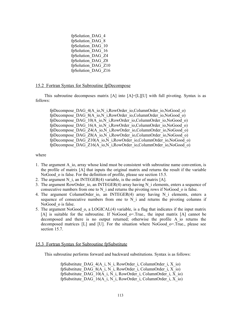fpSolution\_DAG\_4 fpSolution\_DAG\_8 fpSolution\_DAG\_10 fpSolution\_DAG\_16 fpSolution\_DAG\_Z4 fpSolution\_DAG\_Z8 fpSolution\_DAG\_Z10 fpSolution\_DAG\_Z16

# 15.2 Fortran Syntax for Subroutine fpDecompose

This subroutine decomposes matrix [A] into [A]=[L][U] with full pivoting. Syntax is as follows:

fpDecompose DAG\_4(A\_io,N\_i,RowOrder\_io,ColumnOrder\_io,NoGood\_o) fpDecompose\_DAG\_8(A\_io,N\_i,RowOrder\_io,ColumnOrder\_io,NoGood\_o) fpDecompose\_DAG\_10(A\_io,N\_i,RowOrder\_io,ColumnOrder\_io,NoGood\_o) fpDecompose\_DAG\_16(A\_io,N\_i,RowOrder\_io,ColumnOrder\_io,NoGood\_o) fpDecompose\_DAG\_Z4(A\_io,N\_i,RowOrder\_io,ColumnOrder\_io,NoGood\_o) fpDecompose\_DAG\_Z8(A\_io,N\_i,RowOrder\_io,ColumnOrder\_io,NoGood\_o)  $f_p$ Decompose\_DAG\_Z10( $\overline{A}$  io,N\_i,RowOrder\_io,ColumnOrder\_io,NoGood\_o) fpDecompose\_DAG\_Z16(A\_io,N\_i,RowOrder\_io,ColumnOrder\_io,NoGood\_o)

where

- 1. The argument A\_io, array whose kind must be consistent with subroutine name convention, is the profile of matrix [A] that inputs the original matrix and returns the result if the variable NoGood o is false. For the definition of profile, please see section 15.5.
- 2. The argument N i, an INTEGER(4) variable, is the order of matrix  $[**A**]$ .
- 3. The argument RowOrder io, an INTEGER(4) array having N i elements, enters a sequence of consecutive numbers from one to  $N$  i and returns the pivoting rows if NoGood  $\alpha$  is false.
- 4. The argument ColumnOrder io, an INTEGER(4) array having N i elements, enters a sequence of consecutive numbers from one to  $N_i$  and returns the pivoting columns if NoGood o is false.
- 5. The argument NoGood\_o, a LOGICAL(4) variable, is a flag that indicates if the input matrix [A] is suitable for the subroutine. If NoGood\_o=.True., the input matrix [A] cannot be decomposed and there is no output returned; otherwise the profile A\_io returns the decomposed matrices [L] and [U]. For the situation where NoGood\_o=.True., please see section 15.7.

## 15.3 Fortran Syntax for Subroutine fpSubstitute

This subroutine performs forward and backward substitutions. Syntax is as follows:

fpSubstitute DAG  $4(A_i, N_i, RowOrder\ i, ColumnOrder\ i, X_i)$ fpSubstitute DAG  $8(A_i, N_i)$ , RowOrder i, ColumnOrder i, X io) fpSubstitute DAG\_10(A\_i, N\_i, RowOrder\_i, ColumnOrder\_i, X\_io) fpSubstitute DAG\_16(A\_i, N\_i, RowOrder\_i, ColumnOrder\_i, X\_io)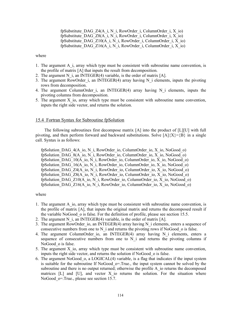fpSubstitute DAG  $Z4(A_i, N_i, RowOrder\ i, ColumnOrder\ i, X_i)$ fpSubstitute DAG  $Z8(A_i, N_i, RowOrder\ i, ColumnOrder\ i, X_i)$ fpSubstitute DAG  $Z10(A_i, N_i, RowOrder\ i, ColumnOrder\ i, Xio)$ fpSubstitute\_DAG\_Z16( $\overline{A_i}$ , N\_i, RowOrder\_i, ColumnOrder\_i, X\_io)

where

- 1. The argument A\_i, array which type must be consistent with subroutine name convention, is the profile of matrix [A] that inputs the result from decomposition.
- 2. The argument N i, an INTEGER(4) variable, is the order of matrix  $[A]$ .
- 3. The argument RowOrder i, an INTEGER(4) array having N i elements, inputs the pivoting rows from decomposition.
- 4. The argument ColumnOrder i, an INTEGER(4) array having N i elements, inputs the pivoting columns from decomposition.
- 5. The argument X\_io, array which type must be consistent with subroutine name convention, inputs the right side vector, and returns the solution.

## 15.4 Fortran Syntax for Subroutine fpSolution

The following subroutines first decompose matrix [A] into the product of [L][U] with full pivoting, and then perform forward and backward substitutions. Solve  $[A]\{X\}=\{B\}$  in a single call. Syntax is as follows:

fpSolution\_DAG\_4(A\_io, N\_i, RowOrder\_io, ColumnOrder\_io, X\_io, NoGood\_o) fpSolution\_DAG\_8(A\_io, N\_i, RowOrder\_io, ColumnOrder\_io, X\_io, NoGood\_o) fpSolution\_DAG\_10(A\_io, N\_i, RowOrder\_io, ColumnOrder\_io, X\_io, NoGood\_o) fpSolution\_DAG\_16(A\_io, N\_i, RowOrder\_io, ColumnOrder\_io, X\_io, NoGood\_o) fpSolution\_DAG\_Z4(A\_io, N\_i, RowOrder\_io, ColumnOrder\_io, X\_io, NoGood\_o) fpSolution\_DAG\_Z8(A\_io, N\_i, RowOrder\_io, ColumnOrder\_io, X\_io, NoGood\_o) fpSolution\_DAG\_Z10(A\_io, N\_i, RowOrder\_io, ColumnOrder\_io,  $\overline{X}$  io, NoGood\_o) fpSolution\_DAG\_Z16(A\_io, N\_i, RowOrder\_io, ColumnOrder\_io, X\_io, NoGood\_o)

#### where

- 1. The argument A\_io, array which type must be consistent with subroutine name convention, is the profile of matrix [A], that inputs the original matrix and returns the decomposed result if the variable NoGood\_o is false. For the definition of profile, please see section 15.5.
- 2. The argument N i, an INTEGER(4) variable, is the order of matrix  $[A]$ .
- 3. The argument RowOrder io, an INTEGER(4) array having N i elements, enters a sequence of consecutive numbers from one to  $N$  i and returns the pivoting rows if NoGood  $\circ$  is false.
- 4. The argument ColumnOrder io, an INTEGER(4) array having N i elements, enters a sequence of consecutive numbers from one to  $N_i$  and returns the pivoting columns if NoGood o is false.
- 5. The argument X\_io, array which type must be consistent with subroutine name convention, inputs the right side vector, and returns the solution if NoGood\_o is false.
- 6. The argument NoGood\_o, a LOGICAL(4) variable, is a flag that indicates if the input system is suitable for the subroutine If NoGood $\sigma$ =.True., the input system cannot be solved by the subroutine and there is no output returned; otherwise the profile A io returns the decomposed matrices  $[L]$  and  $[U]$ , and vector X io returns the solution. For the situation where NoGood o=.True., please see section 15.7.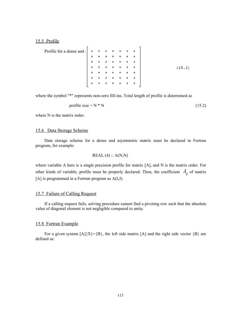## 15.5 Profile

Profile for a dense and

\n
$$
\begin{bmatrix}\n \star & \star & \star & \star & \star & \star & \star & \star \\
 \star & \star & \star & \star & \star & \star & \star & \star \\
 \star & \star & \star & \star & \star & \star & \star & \star \\
 \star & \star & \star & \star & \star & \star & \star & \star \\
 \star & \star & \star & \star & \star & \star & \star & \star \\
 \star & \star & \star & \star & \star & \star & \star & \star \\
 \star & \star & \star & \star & \star & \star & \star & \star \\
 \star & \star & \star & \star & \star & \star & \star & \star \\
 \star & \star & \star & \star & \star & \star & \star & \star \\
 \star & \star & \star & \star & \star & \star & \star & \star \\
 \star & \star & \star & \star & \star & \star & \star & \star \\
 \star & \star & \star & \star & \star & \star & \star & \star \\
 \star & \star & \star & \star & \star & \star & \star & \star \\
 \star & \star & \star & \star & \star & \star & \star & \star \\
 \star & \star & \star & \star & \star & \star & \star & \star \\
 \star & \star & \star & \star & \star & \star & \star & \star \\
 \star & \star & \star & \star & \star & \star & \star & \star \\
 \star & \star & \star & \star & \star & \star & \star & \star \\
 \star & \star & \star & \star & \star & \star & \star & \star \\
 \star & \star & \star & \star &
$$

where the symbol "\*" represents non-zero fill-ins. Total length of profile is determined as

$$
profile size = N * N \tag{15.2}
$$

where N is the matrix order.

# 15.6 Data Storage Scheme

Data storage scheme for a dense and asymmetric matrix must be declared in Fortran program, for example:

$$
REAL(4) :: A(N,N)
$$

where variable A here is a single precision profile for matrix [A], and N is the matrix order. For other kinds of variable, profile must be properly declared. Then, the coefficient  $A_{ii}$  of matrix [A] is programmed in a Fortran program as A(I,J).

# 15.7 Failure of Calling Request

If a calling request fails, solving procedure cannot find a pivoting row such that the absolute value of diagonal element is not negligible compared to unity.

## 15.8 Fortran Example

For a given system  $[A]\{X\}=\{B\}$ , the left side matrix  $[A]$  and the right side vector  $\{B\}$  are defined as: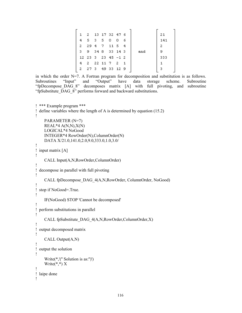| $\mathbf{1}$ |                      | 2 13 17 32 47 6 |     |     |     | 21  |
|--------------|----------------------|-----------------|-----|-----|-----|-----|
| 4            |                      | 5 3 5 0         | - 0 | - 6 |     | 141 |
| 2            |                      | 29 4 7 11 5 4   |     |     |     | -2  |
| з.           |                      | 9 34 8 33 14 3  |     |     | and | 9   |
|              | $12$ 23 3 23 45 -1 2 |                 |     |     |     | 333 |
| 4            |                      | 2 22 11 7 2 1   |     |     |     |     |
| 2.           |                      | 27 3 49 33 12 9 |     |     |     | -3  |
|              |                      |                 |     |     |     |     |

```
in which the order N=7. A Fortran program for decomposition and substitution is as follows.
Subroutines "Input" and "Output" have data storage scheme. Subroutine
"fpDecompose DAG 8" decomposes matrix [A] with full pivoting, and subroutine
"fpSubstitute_DAG_8" performs forward and backward substitutions.
```

```
! *** Example program ***
! define variables where the length of A is determined by equation (15.2)
!
     PARAMETER (N=7)
    REAL*4 A(N,N), X(N) LOGICAL*4 NoGood
     INTEGER*4 RowOrder(N),ColumnOrder(N)
     DATA X/21.0,141.0,2.0,9.0,333.0,1.0,3.0/
!
! input matrix [A]
!
     CALL Input(A,N,RowOrder,ColumnOrder)
!
! decompose in parallel with full pivoting
!
     CALL fpDecompose_DAG_4(A,N,RowOrder, ColumnOrder, NoGood)
!
! stop if NoGood=.True.
!
     IF(NoGood) STOP 'Cannot be decomposed'
!
! perform substitutions in parallel
!
     CALL fpSubstitute_DAG_4(A,N,RowOrder,ColumnOrder,X)
!
! output decomposed matrix
!
     CALL Output(A,N)
!
! output the solution
!
     Write(*,'('' Solution is as:'')')
    Write(*,*) X
!
! laipe done
!
```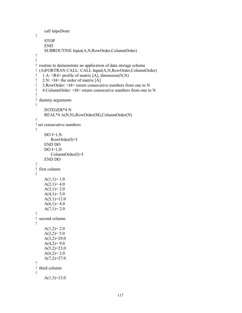```
 call laipeDone
!
     STOP
     END
     SUBROUTINE Input(A,N,RowOrder,ColumnOrder)
!
!
! routine to demonstrate an application of data storage scheme
! (A)FORTRAN CALL: CALL Input(A,N,RowOrder,ColumnOrder)
! 1.A: <R4> profile of matrix [A], dimension(N,N)
! 2.N: \leqI4> the order of matrix [A]
! 3.RowOrder: <I4> return consecutive numbers from one to N
! 4.ColumnOrder: <I4> return consecutive numbers from one to N
!
! dummy arguments
!
     INTEGER*4 N
     REAL*4 A(N,N),RowOrder(M),ColumnOrder(N)
!
! set consecutive numbers
!
    DO I=1,N RowOrder(I)=I
     END DO
    DO I=1,N ColumnOrder(I)=I
     END DO
!
! first column
!
    A(1,1)=1.0A(2,1)=4.0A(3,1)=2.0A(4,1)=3.0A(5,1)=12.0A(6,1)=4.0A(7,1)=2.0!
! second column
!
    A(1,2)=2.0A(2,2)=5.0A(3,2)=29.0A(4,2)=9.0A(5,2)=23.0A(6,2)=2.0A(7,2)=27.0!
! third column
!
    A(1,3)=13.0
```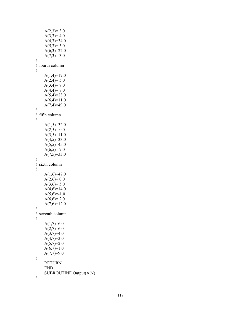$A(2,3)=3.0$  $A(3,3)=4.0$  $A(4,3)=34.0$  $A(5,3)=3.0$  $A(6,3)=22.0$  $A(7,3)=3.0$ !<br>! fourth column !  $A(1,4)=17.0$  $A(2,4)=5.0$  $A(3,4)=7.0$  $A(4,4)=8.0$  $A(5,4)=23.0$  $A(6,4)=11.0$  $A(7,4)=49.0$ !<br>! fifth column !  $A(1,5)=32.0$  $A(2,5)=0.0$  $A(3,5)=11.0$  $A(4,5)=33.0$  $A(5,5)=45.0$  $A(6,5)=7.0$  $A(7,5)=33.0$ !<br>! sixth column !  $A(1,6)=47.0$  $A(2,6)=0.0$  $A(3,6)=5.0$  $A(4,6)=14.0$  $A(5,6)=1.0$  $A(6,6)=2.0$  $A(7,6)=12.0$ !<br>! seventh column !  $A(1,7)=6.0$  $A(2,7)=6.0$  $A(3,7)=4.0$  $A(4,7)=3.0$  $A(5,7)=2.0$  $A(6,7)=1.0$  $A(7,7)=9.0$ ! **RETURN** E N D SUBROUTINE Output(A,N) !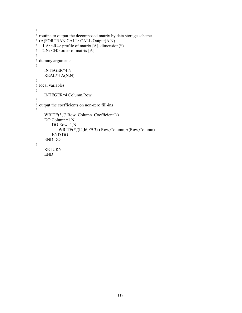```
!
! routine to output the decomposed matrix by data storage scheme
! (A)FORTRAN CALL: CALL Output(A,N)
\hat{1}. 1.A: <R4> profile of matrix [A], dimension(*)
! 2.N: \leqI4> order of matrix [A]
!
! dummy arguments
!
     INTEGER*4 N
     REAL*4 A(N,N)
!
! local variables
!
     INTEGER*4 Column,Row
!
! output the coefficients on non-zero fill-ins
!
     WRITE(*,'('' Row Column Coefficient'')')
     DO Column=1,N
         DO Row=1,N
             WRITE(*,'(I4,I6,F9.3)') Row,Column,A(Row,Column)
         END DO
     END DO
!
     RETURN
     END
```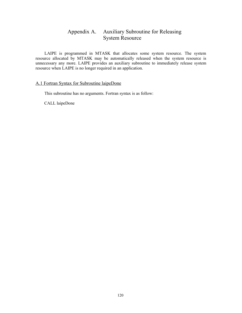# Appendix A. Auxiliary Subroutine for Releasing System Resource

LAIPE is programmed in MTASK that allocates some system resource. The system resource allocated by MTASK may be automatically released when the system resource is unnecessary any more. LAIPE provides an auxiliary subroutine to immediately release system resource when LAIPE is no longer required in an application.

# A.1 Fortran Syntax for Subroutine laipeDone

This subroutine has no arguments. Fortran syntax is as follow:

CALL laipeDone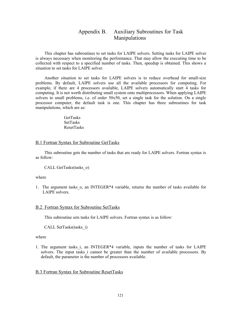# Appendix B. Auxiliary Subroutines for Task Manipulations

This chapter has subroutines to set tasks for LAIPE solvers. Setting tasks for LAIPE solver is always necessary when monitoring the performance. That may allow the executing time to be collected with respect to a specified number of tasks. Then, speedup is obtained. This shows a situation to set tasks for LAIPE solver.

Another situation to set tasks for LAIPE solvers is to reduce overhead for small-size problems. By default, LAIPE solvers use all the available processors for computing. For example, if there are 4 processors available, LAIPE solvers automatically start 4 tasks for computing. It is not worth distributing small system onto multiprocessors. When applying LAIPE solvers to small problems, i.e. of order 50x50, set a single task for the solution. On a single processor computer, the default task is one. This chapter has three subroutines for task manipulations, which are as:

> **GetTasks** SetTasks ResetTasks

# B.1 Fortran Syntax for Subroutine GetTasks

This subroutine gets the number of tasks that are ready for LAIPE solvers. Fortran syntax is as follow:

CALL GetTasks(tasks\_o)

where

1. The argument tasks\_o, an INTEGER\*4 variable, returns the number of tasks available for LAIPE solvers.

## B.2 Fortran Syntax for Subroutine SetTasks

This subroutine sets tasks for LAIPE solvers. Fortran syntax is as follow:

CALL SetTasks(tasks\_i)

#### where

1. The argument tasks\_i, an INTEGER\*4 variable, inputs the number of tasks for LAIPE solvers. The input tasks i cannot be greater than the number of available processors. By default, the parameter is the number of processors available.

# B.3 Fortran Syntax for Subroutine ResetTasks